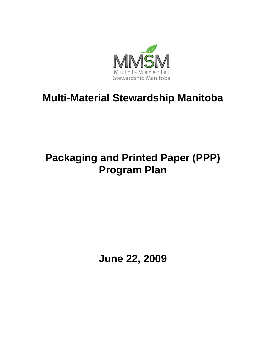

# **Multi-Material Stewardship Manitoba**

# **Packaging and Printed Paper (PPP) Program Plan**

**June 22, 2009**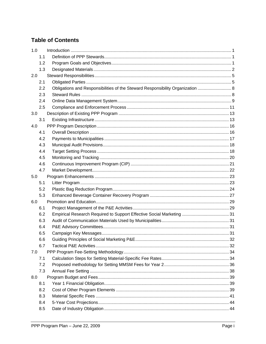# **Table of Contents**

| 1.0 |     |                                                                                |  |
|-----|-----|--------------------------------------------------------------------------------|--|
|     | 1.1 |                                                                                |  |
|     | 1.2 |                                                                                |  |
|     | 1.3 |                                                                                |  |
| 2.0 |     |                                                                                |  |
|     | 2.1 |                                                                                |  |
|     | 2.2 | Obligations and Responsibilities of the Steward Responsibility Organization  8 |  |
|     | 2.3 |                                                                                |  |
|     | 2.4 |                                                                                |  |
|     | 2.5 |                                                                                |  |
| 3.0 |     |                                                                                |  |
|     | 3.1 |                                                                                |  |
| 4.0 |     |                                                                                |  |
|     | 4.1 |                                                                                |  |
|     | 4.2 |                                                                                |  |
|     | 4.3 |                                                                                |  |
|     | 4.4 |                                                                                |  |
|     | 4.5 |                                                                                |  |
|     | 4.6 |                                                                                |  |
|     | 4.7 |                                                                                |  |
| 5.0 |     |                                                                                |  |
|     | 5.1 |                                                                                |  |
|     | 5.2 |                                                                                |  |
|     | 5.3 |                                                                                |  |
| 6.0 |     |                                                                                |  |
|     | 6.1 |                                                                                |  |
|     | 6.2 |                                                                                |  |
|     | 6.3 |                                                                                |  |
|     | 6.4 |                                                                                |  |
|     | 6.5 |                                                                                |  |
|     | 6.6 |                                                                                |  |
|     | 6.7 |                                                                                |  |
| 7.0 |     |                                                                                |  |
|     | 7.1 |                                                                                |  |
|     | 7.2 |                                                                                |  |
|     | 7.3 |                                                                                |  |
| 8.0 |     |                                                                                |  |
|     | 8.1 |                                                                                |  |
|     | 8.2 |                                                                                |  |
|     | 8.3 |                                                                                |  |
|     | 8.4 |                                                                                |  |
|     | 8.5 |                                                                                |  |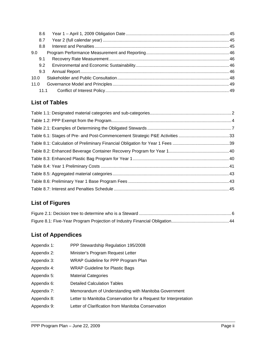| 8.6  |  |
|------|--|
| 8.7  |  |
| 8.8  |  |
| 9.0  |  |
| 9.1  |  |
| 9.2  |  |
| 9.3  |  |
| 10.0 |  |
| 11.0 |  |
|      |  |

# **List of Tables**

# **List of Figures**

# **List of Appendices**

- Appendix 1: PPP Stewardship Regulation 195/2008
- Appendix 2: Minister's Program Request Letter
- Appendix 3: WRAP Guideline for PPP Program Plan
- Appendix 4: WRAP Guideline for Plastic Bags
- Appendix 5: Material Categories
- Appendix 6: Detailed Calculation Tables
- Appendix 7: Memorandum of Understanding with Manitoba Government
- Appendix 8: Letter to Manitoba Conservation for a Request for Interpretation
- Appendix 9: Letter of Clarification from Manitoba Conservation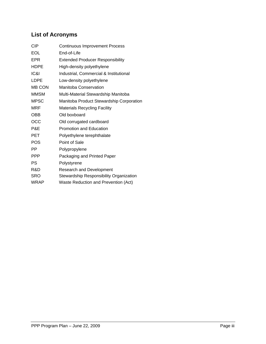# **List of Acronyms**

| <b>CIP</b>    | <b>Continuous Improvement Process</b>    |
|---------------|------------------------------------------|
| EOL           | End-of-Life                              |
| EPR           | <b>Extended Producer Responsibility</b>  |
| <b>HDPE</b>   | High-density polyethylene                |
| ICRI          | Industrial, Commercial & Institutional   |
| <b>LDPE</b>   | Low-density polyethylene                 |
| <b>MB CON</b> | Manitoba Conservation                    |
| <b>MMSM</b>   | Multi-Material Stewardship Manitoba      |
| <b>MPSC</b>   | Manitoba Product Stewardship Corporation |
| <b>MRF</b>    | <b>Materials Recycling Facility</b>      |
| <b>OBB</b>    | Old boxboard                             |
| OCC           | Old corrugated cardboard                 |
| P&E           | <b>Promotion and Education</b>           |
| <b>PET</b>    | Polyethylene terephthalate               |
| <b>POS</b>    | Point of Sale                            |
| PP            | Polypropylene                            |
| <b>PPP</b>    | Packaging and Printed Paper              |
| PS            | Polystyrene                              |
| R&D           | <b>Research and Development</b>          |
| SRO           | Stewardship Responsibility Organization  |
| <b>WRAP</b>   | Waste Reduction and Prevention (Act)     |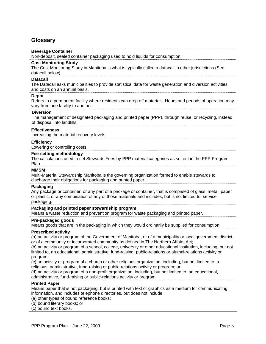# **Glossary**

### **Beverage Container**

Non-deposit, sealed container packaging used to hold liquids for consumption.

#### **Cost Monitoring Study**

The Cost Monitoring Study in Manitoba is what is typically called a datacall in other jurisdictions (See datacall below)

#### **Datacall**

The Datacall asks municipalities to provide statistical data for waste generation and diversion activities and costs on an annual basis.

#### **Depot**

Refers to a permanent facility where residents can drop off materials. Hours and periods of operation may vary from one facility to another.

#### **Diversion**

The management of designated packaging and printed paper (PPP), through reuse, or recycling, instead of disposal into landfills.

#### **Effectiveness**

Increasing the material recovery levels

#### **Efficiency**

Lowering or controlling costs.

#### **Fee-setting methodology**

The calculations used to set Stewards Fees by PPP material categories as set out in the PPP Program Plan

#### **MMSM**

Multi-Material Stewardship Manitoba is the governing organization formed to enable stewards to discharge their obligations for packaging and printed paper.

### **Packaging**

Any package or container, or any part of a package or container, that is comprised of glass, metal, paper or plastic, or any combination of any of those materials and includes, but is not limited to, service packaging.

#### **Packaging and printed paper stewardship program**

Means a waste reduction and prevention program for waste packaging and printed paper.

#### **Pre-packaged goods**

Means goods that are in the packaging in which they would ordinarily be supplied for consumption.

### **Prescribed activity**

(a) an activity or program of the Government of Manitoba, or of a municipality or local government district, or of a community or incorporated community as defined in The Northern Affairs Act;

(b) an activity or program of a school, college, university or other educational institution, including, but not limited to, an educational, administrative, fund-raising, public-relations or alumni-relations activity or program;

(c) an activity or program of a church or other religious organization, including, but not limited to, a religious, administrative, fund-raising or public-relations activity or program; or

(d) an activity or program of a non-profit organization, including, but not limited to, an educational, administrative, fund-raising or public-relations activity or program.

#### **Printed Paper**

Means paper that is not packaging, but is printed with text or graphics as a medium for communicating information, and includes telephone directories, but does not include

- (a) other types of bound reference books;
- (b) bound literary books; or

(c) bound text books.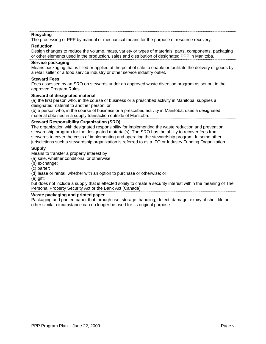### **Recycling**

The processing of PPP by manual or mechanical means for the purpose of resource recovery.

### **Reduction**

Design changes to reduce the volume, mass, variety or types of materials, parts, components, packaging or other elements used in the production, sales and distribution of designated PPP in Manitoba.

### **Service packaging**

Means packaging that is filled or applied at the point of sale to enable or facilitate the delivery of goods by a retail seller or a food service industry or other service industry outlet.

### **Steward Fees**

Fees assessed by an SRO on stewards under an approved waste diversion program as set out in the approved Program Rules.

### **Steward of designated material**

(a) the first person who, in the course of business or a prescribed activity in Manitoba, supplies a designated material to another person; or

(b) a person who, in the course of business or a prescribed activity in Manitoba, uses a designated material obtained in a supply transaction outside of Manitoba.

### **Steward Responsibility Organization (SRO)**

The organization with designated responsibility for implementing the waste reduction and prevention stewardship program for the designated material(s). The SRO has the ability to recover fees from stewards to cover the costs of implementing and operating the stewardship program. In some other jurisdictions such a stewardship organization is referred to as a IFO or Industry Funding Organization.

### **Supply**

Means to transfer a property interest by

(a) sale, whether conditional or otherwise;

(b) exchange;

(c) barter;

(d) lease or rental, whether with an option to purchase or otherwise; or

(e) gift;

but does not include a supply that is effected solely to create a security interest within the meaning of The Personal Property Security Act or the Bank Act (Canada)

### **Waste packaging and printed paper**

Packaging and printed paper that through use, storage, handling, defect, damage, expiry of shelf life or other similar circumstance can no longer be used for its original purpose.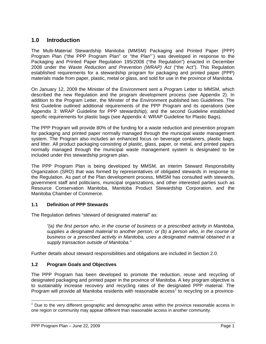# <span id="page-6-0"></span>**1.0 Introduction**

The Multi-Material Stewardship Manitoba (MMSM) Packaging and Printed Paper (PPP) Program Plan ("the PPP Program Plan" or "the Plan"`) was developed in response to the Packaging and Printed Paper Regulation 195/2008 ("the Regulation") enacted in December 2008 under the *Waste Reduction and Prevention (WRAP) Act* ("the Act"). This Regulation established requirements for a stewardship program for packaging and printed paper (PPP) materials made from paper, plastic, metal or glass, and sold for use in the province of Manitoba.

On January 12, 2009 the Minister of the Environment sent a Program Letter to MMSM, which described the new Regulation and the program development process (see Appendix 2). In addition to the Program Letter, the Minster of the Environment published two Guidelines. The first Guideline outlined additional requirements of the PPP Program and its operations (see Appendix 3: WRAP Guideline for PPP stewardship); and the second Guideline established specific requirements for plastic bags (see Appendix 4: WRAP Guideline for Plastic Bags).

The PPP Program will provide 80% of the funding for a waste reduction and prevention program for packaging and printed paper normally managed through the municipal waste management system. The Program also includes an enhanced focus on beverage containers, plastic bags, and litter. All product packaging consisting of plastic, glass, paper, or metal, and printed papers normally managed through the municipal waste management system is designated to be included under this stewardship program plan.

The PPP Program Plan is being developed by MMSM, an interim Steward Responsibility Organization (SRO) that was formed by representatives of obligated stewards in response to the Regulation. As part of the Plan development process, MMSM has consulted with stewards, government staff and politicians, municipal organizations, and other interested parties such as Resource Conservation Manitoba, Manitoba Product Stewardship Corporation, and the Manitoba Chamber of Commerce.

### <span id="page-6-1"></span>**1.1 Definition of PPP Stewards**

The Regulation defines "steward of designated material" as:

*"(a) the first person who, in the course of business or a prescribed activity in Manitoba, supplies a designated material to another person; or (b) a person who, in the course of business or a prescribed activity in Manitoba, uses a designated material obtained in a supply transaction outside of Manitoba."* 

Further details about steward responsibilities and obligations are included in Section 2.0.

### <span id="page-6-2"></span>**1.2 Program Goals and Objectives**

The PPP Program has been developed to promote the reduction, reuse and recycling of designated packaging and printed paper in the province of Manitoba. A key program objective is to sustainably increase recovery and recycling rates of the designated PPP material. The Program will provide all Manitoba residents with reasonable access<sup>[1](#page-6-3)</sup> to recycling on a province-

-

<span id="page-6-3"></span> $1$  Due to the very different geographic and demographic areas within the province reasonable access in one region or community may appear different than reasonable access in another community.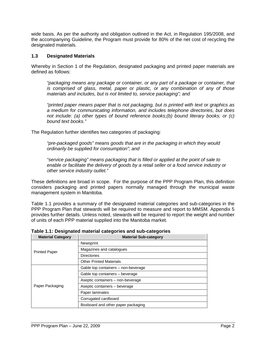wide basis. As per the authority and obligation outlined in the Act, in Regulation 195/2008, and the accompanying Guideline, the Program must provide for 80% of the net cost of recycling the designated materials.

### <span id="page-7-0"></span>**1.3 Designated Materials**

Whereby in Section 1 of the Regulation, designated packaging and printed paper materials are defined as follows:

*"packaging means any package or container, or any part of a package or container, that is comprised of glass, metal, paper or plastic, or any combination of any of those materials and includes, but is not limited to, service packaging"; and* 

*"printed paper means paper that is not packaging, but is printed with text or graphics as a medium for communicating information, and includes telephone directories, but does not include: (a) other types of bound reference books;(b) bound literary books; or (c) bound text books."* 

The Regulation further identifies two categories of packaging:

*"pre-packaged goods" means goods that are in the packaging in which they would ordinarily be supplied for consumption"; and* 

*"service packaging" means packaging that is filled or applied at the point of sale to enable or facilitate the delivery of goods by a retail seller or a food service industry or other service industry outlet."* 

These definitions are broad in scope. For the purpose of the PPP Program Plan, this definition considers packaging and printed papers normally managed through the municipal waste management system in Manitoba.

Table 1.1 provides a summary of the designated material categories and sub-categories in the PPP Program Plan that stewards will be required to measure and report to MMSM. Appendix 5 provides further details. Unless noted, stewards will be required to report the weight and number of units of each PPP material supplied into the Manitoba market.

| <b>Material Category</b> | <b>Material Sub-category</b>        |
|--------------------------|-------------------------------------|
|                          | Newsprint                           |
| <b>Printed Paper</b>     | Magazines and catalogues            |
|                          | <b>Directories</b>                  |
|                          | <b>Other Printed Materials</b>      |
|                          | Gable top containers - non-beverage |
|                          | Gable top containers - beverage     |
|                          | Aseptic containers - non-beverage   |
| Paper Packaging          | Aseptic containers - beverage       |
|                          | Paper laminates                     |
|                          | Corrugated cardboard                |
|                          | Boxboard and other paper packaging  |

<span id="page-7-1"></span>**Table 1.1: Designated material categories and sub-categories**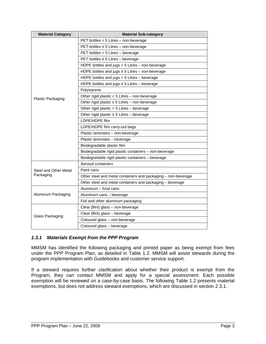| <b>Material Category</b> | <b>Material Sub-category</b>                                  |  |  |
|--------------------------|---------------------------------------------------------------|--|--|
|                          | PET bottles < 5 Litres - non-beverage                         |  |  |
|                          | PET bottles $\geq$ 5 Litres - non-beverage                    |  |  |
|                          | PET bottles $<$ 5 Litres – beverage                           |  |  |
|                          | PET bottles ≥ 5 Litres - beverage                             |  |  |
|                          | HDPE bottles and jugs < 5 Litres - non-beverage               |  |  |
|                          | HDPE bottles and jugs $\geq$ 5 Litres - non-beverage          |  |  |
|                          | HDPE bottles and jugs $<$ 5 Litres – beverage                 |  |  |
|                          | HDPE bottles and jugs $\geq$ 5 Litres - beverage              |  |  |
|                          | Polystyrene                                                   |  |  |
| Plastic Packaging        | Other rigid plastic < 5 Litres - non-beverage                 |  |  |
|                          | Other rigid plastic $\geq$ 5 Litres - non-beverage            |  |  |
|                          | Other rigid plastic < 5 Litres - beverage                     |  |  |
|                          | Other rigid plastic ≥ 5 Litres - beverage                     |  |  |
|                          | LDPE/HDPE film                                                |  |  |
|                          | LDPE/HDPE film carry-out bags                                 |  |  |
|                          | Plastic laminates - non-beverage                              |  |  |
|                          | Plastic laminates - beverage                                  |  |  |
|                          | Biodegradable plastic film                                    |  |  |
|                          | Biodegradable rigid plastic containers - non-beverage         |  |  |
|                          | Biodegradable rigid plastic containers - beverage             |  |  |
|                          | Aerosol containers                                            |  |  |
| Steel and Other Metal    | Paint cans                                                    |  |  |
| Packaging                | Other steel and metal containers and packaging – non-beverage |  |  |
|                          | Other steel and metal containers and packaging - beverage     |  |  |
|                          | Aluminum - food cans                                          |  |  |
| Aluminum Packaging       | Aluminum cans - beverage                                      |  |  |
|                          | Foil and other aluminum packaging                             |  |  |
|                          | Clear (flint) glass - non-beverage                            |  |  |
| Glass Packaging          | Clear (flint) glass - beverage                                |  |  |
|                          | Coloured glass - non-beverage                                 |  |  |
|                          | Coloured glass - beverage                                     |  |  |

### *1.3.1 Materials Exempt from the PPP Program*

MMSM has identified the following packaging and printed paper as being exempt from fees under the PPP Program Plan, as detailed in [Table 1.2.](#page-9-0) MMSM will assist stewards during the program implementation with Guidebooks and customer service support.

If a steward requires further clarification about whether their product is exempt from the Program, they can contact MMSM and apply for a special assessment. Each possible exemption will be reviewed on a case-by-case basis. The following [Table 1.2](#page-9-0) presents material exemptions, but does not address steward exemptions, which are discussed in section 2.3.1.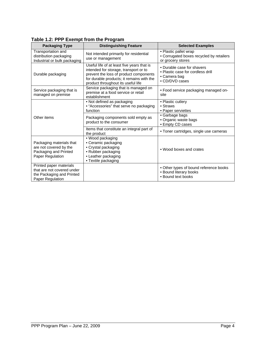<span id="page-9-0"></span>

| <b>Packaging Type</b>                                                                                  | <b>Distinguishing Feature</b>                                                                                                                                                                                    | <b>Selected Examples</b>                                                                          |
|--------------------------------------------------------------------------------------------------------|------------------------------------------------------------------------------------------------------------------------------------------------------------------------------------------------------------------|---------------------------------------------------------------------------------------------------|
| Transportation and<br>distribution packaging<br>Industrial or bulk packaging                           | Not intended primarily for residential<br>use or management                                                                                                                                                      | • Plastic pallet wrap<br>• Corrugated boxes recycled by retailers<br>or grocery stores            |
| Durable packaging                                                                                      | Useful life of at least five years that is<br>intended for storage, transport or to<br>prevent the loss of product components<br>for durable products; it remains with the<br>product throughout its useful life | • Durable case for shavers<br>• Plastic case for cordless drill<br>• Camera bag<br>• CD/DVD cases |
| Service packaging that is<br>managed on premise                                                        | Service packaging that is managed on<br>premise at a food service or retail<br>establishment                                                                                                                     | • Food service packaging managed on-<br>site                                                      |
|                                                                                                        | • Not defined as packaging<br>• "Accessories" that serve no packaging<br>function                                                                                                                                | • Plastic cutlery<br>• Straws<br>• Paper serviettes                                               |
| Other items                                                                                            | Packaging components sold empty as<br>product to the consumer                                                                                                                                                    | • Garbage bags<br>· Organic waste bags<br>• Empty CD cases                                        |
|                                                                                                        | Items that constitute an integral part of<br>the product                                                                                                                                                         | • Toner cartridges, single use cameras                                                            |
| Packaging materials that<br>are not covered by the<br>Packaging and Printed<br><b>Paper Regulation</b> | · Wood packaging<br>• Ceramic packaging<br>• Crystal packaging<br>• Rubber packaging<br>• Leather packaging<br>• Textile packaging                                                                               | • Wood boxes and crates                                                                           |
| Printed paper materials<br>that are not covered under<br>the Packaging and Printed<br>Paper Regulation |                                                                                                                                                                                                                  | • Other types of bound reference books<br>• Bound literary books<br>• Bound text books            |

# **Table 1.2: PPP Exempt from the Program**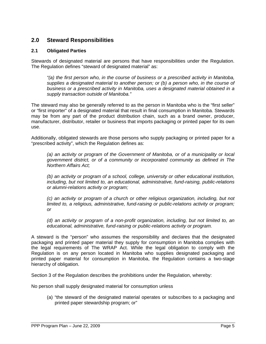# <span id="page-10-0"></span>**2.0 Steward Responsibilities**

### <span id="page-10-1"></span>**2.1 Obligated Parties**

Stewards of designated material are persons that have responsibilities under the Regulation. The Regulation defines "steward of designated material" as:

*"(a) the first person who, in the course of business or a prescribed activity in Manitoba, supplies a designated material to another person; or (b) a person who, in the course of business or a prescribed activity in Manitoba, uses a designated material obtained in a supply transaction outside of Manitoba."*

The steward may also be generally referred to as the person in Manitoba who is the "first seller" or "first importer" of a designated material that result in final consumption in Manitoba. Stewards may be from any part of the product distribution chain, such as a brand owner, producer, manufacturer, distributor, retailer or business that imports packaging or printed paper for its own use.

Additionally, obligated stewards are those persons who supply packaging or printed paper for a "prescribed activity", which the Regulation defines as:

*(a) an activity or program of the Government of Manitoba, or of a municipality or local government district, or of a community or incorporated community as defined in The Northern Affairs Act;* 

*(b) an activity or program of a school, college, university or other educational institution, including, but not limited to, an educational, administrative, fund-raising, public-relations or alumni-relations activity or program;* 

*(c) an activity or program of a church or other religious organization, including, but not limited to, a religious, administrative, fund-raising or public-relations activity or program; or* 

*(d) an activity or program of a non-profit organization, including, but not limited to, an educational, administrative, fund-raising or public-relations activity or program.* 

A steward is the "person" who assumes the responsibility and declares that the designated packaging and printed paper material they supply for consumption in Manitoba complies with the legal requirements of The WRAP Act. While the legal obligation to comply with the Regulation is on any person located in Manitoba who supplies designated packaging and printed paper material for consumption in Manitoba, the Regulation contains a two-stage hierarchy of obligation.

Section 3 of the Regulation describes the prohibitions under the Regulation, whereby:

No person shall supply designated material for consumption unless

(a) "the steward of the designated material operates or subscribes to a packaging and printed paper stewardship program; or"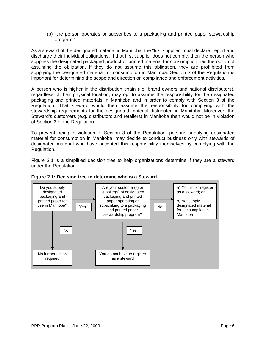(b) "the person operates or subscribes to a packaging and printed paper stewardship program."

As a steward of the designated material in Manitoba, the "first supplier" must declare, report and discharge their individual obligations. If that first supplier does not comply, then the person who supplies the designated packaged product or printed material for consumption has the option of assuming the obligation. If they do not assume this obligation, they are prohibited from supplying the designated material for consumption in Manitoba. Section 3 of the Regulation is important for determining the scope and direction on compliance and enforcement activities.

A person who is higher in the distribution chain (i.e. brand owners and national distributors), regardless of their physical location, may opt to assume the responsibility for the designated packaging and printed materials in Manitoba and in order to comply with Section 3 of the Regulation. That steward would then assume the responsibility for complying with the stewardship requirements for the designated material distributed in Manitoba. Moreover, the Steward's customers (e.g. distributors and retailers) in Manitoba then would not be in violation of Section 3 of the Regulation.

To prevent being in violation of Section 3 of the Regulation, persons supplying designated material for consumption in Manitoba, may decide to conduct business only with stewards of designated material who have accepted this responsibility themselves by complying with the Regulation.

[Figure 2.1](#page-11-0) is a simplified decision tree to help organizations determine if they are a steward under the Regulation.

<span id="page-11-0"></span>

### **Figure 2.1: Decision tree to determine who is a Steward**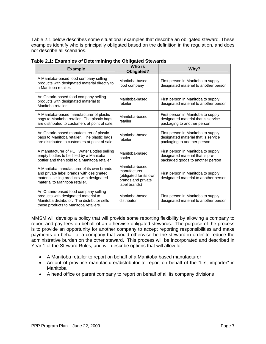Table 2.1 below describes some situational examples that describe an obligated steward. These examples identify who is principally obligated based on the definition in the regulation, and does not describe all scenarios.

| <b>Example</b>                                                                                                                                                        | Who is<br><b>Obligated?</b>                                                                     | Why?                                                                                                       |
|-----------------------------------------------------------------------------------------------------------------------------------------------------------------------|-------------------------------------------------------------------------------------------------|------------------------------------------------------------------------------------------------------------|
| A Manitoba-based food company selling<br>products with designated material directly to<br>a Manitoba retailer.                                                        | Manitoba-based<br>food company                                                                  | First person in Manitoba to supply<br>designated material to another person                                |
| An Ontario-based food company selling<br>products with designated material to<br>Manitoba retailer.                                                                   | Manitoba-based<br>retailer                                                                      | First person in Manitoba to supply<br>designated material to another person                                |
| A Manitoba-based manufacturer of plastic<br>bags to Manitoba retailer. The plastic bags<br>are distributed to customers at point of sale.                             | Manitoba-based<br>retailer                                                                      | First person in Manitoba to supply<br>designated material that is service<br>packaging to another person   |
| An Ontario-based manufacturer of plastic<br>bags to Manitoba retailer. The plastic bags<br>are distributed to customers at point of sale.                             | Manitoba-based<br>retailer                                                                      | First person in Manitoba to supply<br>designated material that is service<br>packaging to another person   |
| A manufacturer of PET Water Bottles selling<br>empty bottles to be filled by a Manitoba<br>bottler and then sold to a Manitoba retailer                               | Manitoba-based<br>bottler                                                                       | First person in Manitoba to supply<br>designated material that is pre-<br>packaged goods to another person |
| A Manitoba manufacturer of its own brands<br>and private label brands with designated<br>material selling products with designated<br>material to Manitoba retailer.  | Manitoba-based<br>manufacturer<br>(obligated for its own<br>brands and private<br>label brands) | First person in Manitoba to supply<br>designated material to another person                                |
| An Ontario-based food company selling<br>products with designated material to<br>Manitoba distributor. The distributor sells<br>these products to Manitoba retailers. | Manitoba-based<br>distributor                                                                   | First person in Manitoba to supply<br>designated material to another person                                |

<span id="page-12-0"></span>**Table 2.1: Examples of Determining the Obligated Stewards**

MMSM will develop a policy that will provide some reporting flexibility by allowing a company to report and pay fees on behalf of an otherwise obligated stewards. The purpose of the process is to provide an opportunity for another company to accept reporting responsibilities and make payments on behalf of a company that would otherwise be the steward in order to reduce the administrative burden on the other steward. This process will be incorporated and described in Year 1 of the Steward Rules, and will describe options that will allow for:

- A Manitoba retailer to report on behalf of a Manitoba based manufacturer
- An out of province manufacturer/distributor to report on behalf of the "first importer" in Manitoba
- A head office or parent company to report on behalf of all its company divisions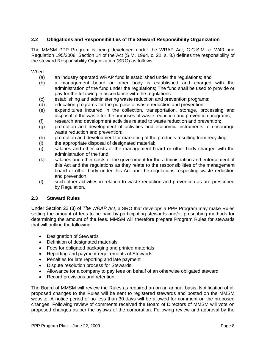### <span id="page-13-0"></span>**2.2 Obligations and Responsibilities of the Steward Responsibility Organization**

The MMSM PPP Program is being developed under the WRAP Act, C.C.S.M. c. W40 and Regulation 195/2008. Section 14 of the Act (S.M. 1994, c. 22, s. 8.) defines the responsibility of the steward Responsibility Organization (SRO) as follows:

### When

- (a) an industry operated WRAP fund is established under the regulations; and
- (b) a management board or other body is established and charged with the administration of the fund under the regulations; The fund shall be used to provide or pay for the following in accordance with the regulations:
- (c) establishing and administering waste reduction and prevention programs;
- (d) education programs for the purpose of waste reduction and prevention;
- (e) expenditures incurred in the collection, transportation, storage, processing and disposal of the waste for the purposes of waste reduction and prevention programs;
- (f) research and development activities related to waste reduction and prevention;
- (g) promotion and development of activities and economic instruments to encourage waste reduction and prevention;
- (h) promotion and development for marketing of the products resulting from recycling;
- (i) the appropriate disposal of designated material;
- (j) salaries and other costs of the management board or other body charged with the administration of the fund;
- (k) salaries and other costs of the government for the administration and enforcement of this Act and the regulations as they relate to the responsibilities of the management board or other body under this Act and the regulations respecting waste reduction and prevention;
- (l) such other activities in relation to waste reduction and prevention as are prescribed by Regulation.

### <span id="page-13-1"></span>**2.3 Steward Rules**

Under Section 22 (3) of *The WRAP Act*, a SRO that develops a PPP Program may make Rules setting the amount of fees to be paid by participating stewards and/or prescribing methods for determining the amount of the fees. MMSM will therefore prepare Program Rules for stewards that will outline the following:

- Designation of Stewards
- Definition of designated materials
- Fees for obligated packaging and printed materials
- Reporting and payment requirements of Stewards
- Penalties for late reporting and late payment
- Dispute resolution process for Stewards
- Allowance for a company to pay fees on behalf of an otherwise obligated steward
- Record provisions and retention

The Board of MMSM will review the Rules as required an on an annual basis. Notification of all proposed changes to the Rules will be sent to registered stewards and posted on the MMSM website. A notice period of no less than 30 days will be allowed for comment on the proposed changes. Following review of comments received the Board of Directors of MMSM will vote on proposed changes as per the bylaws of the corporation. Following review and approval by the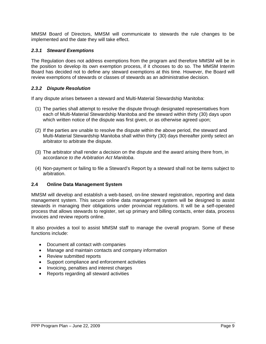MMSM Board of Directors, MMSM will communicate to stewards the rule changes to be implemented and the date they will take effect.

### *2.3.1 Steward Exemptions*

The Regulation does not address exemptions from the program and therefore MMSM will be in the position to develop its own exemption process, if it chooses to do so. The MMSM Interim Board has decided not to define any steward exemptions at this time. However, the Board will review exemptions of stewards or classes of stewards as an administrative decision.

### *2.3.2 Dispute Resolution*

If any dispute arises between a steward and Multi-Material Stewardship Manitoba:

- (1) The parties shall attempt to resolve the dispute through designated representatives from each of Multi-Material Stewardship Manitoba and the steward within thirty (30) days upon which written notice of the dispute was first given, or as otherwise agreed upon;
- (2) If the parties are unable to resolve the dispute within the above period, the steward and Multi-Material Stewardship Manitoba shall within thirty (30) days thereafter jointly select an arbitrator to arbitrate the dispute.
- (3) The arbitrator shall render a decision on the dispute and the award arising there from, in accordance *to the Arbitration Act Manitoba*.
- (4) Non-payment or failing to file a Steward's Report by a steward shall not be items subject to arbitration.

### <span id="page-14-0"></span>**2.4 Online Data Management System**

MMSM will develop and establish a web-based, on-line steward registration, reporting and data management system. This secure online data management system will be designed to assist stewards in managing their obligations under provincial regulations. It will be a self-operated process that allows stewards to register, set up primary and billing contacts, enter data, process invoices and review reports online.

It also provides a tool to assist MMSM staff to manage the overall program. Some of these functions include:

- Document all contact with companies
- Manage and maintain contacts and company information
- Review submitted reports
- Support compliance and enforcement activities
- Invoicing, penalties and interest charges
- Reports regarding all steward activities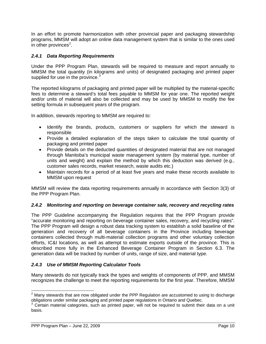In an effort to promote harmonization with other provincial paper and packaging stewardship programs, MMSM will adopt an online data management system that is similar to the ones used in other provinces $2$ .

### *2.4.1 Data Reporting Requirements*

Under the PPP Program Plan, stewards will be required to measure and report annually to MMSM the total quantity (in kilograms and units) of designated packaging and printed paper supplied for use in the province. $3$ 

The reported kilograms of packaging and printed paper will be multiplied by the material-specific fees to determine a steward's total fees payable to MMSM for year one. The reported weight and/or units of material will also be collected and may be used by MMSM to modify the fee setting formula in subsequent years of the program.

In addition, stewards reporting to MMSM are required to:

- Identify the brands, products, customers or suppliers for which the steward is responsible
- Provide a detailed explanation of the steps taken to calculate the total quantity of packaging and printed paper
- Provide details on the deducted quantities of designated material that are not managed through Manitoba's municipal waste management system (by material type, number of units and weight) and explain the method by which this deduction was derived (e.g., customer sales records, market research, waste audits etc.)
- Maintain records for a period of at least five years and make these records available to MMSM upon request

MMSM will review the data reporting requirements annually in accordance with Section 3(3) of the PPP Program Plan.

### *2.4.2 Monitoring and reporting on beverage container sale, recovery and recycling rates*

The PPP Guideline accompanying the Regulation requires that the PPP Program provide "accurate monitoring and reporting on beverage container sales, recovery, and recycling rates". The PPP Program will design a robust data tracking system to establish a solid baseline of the generation and recovery of all beverage containers in the Province including beverage containers collected through multi-material collection programs and other voluntary collection efforts, IC&I locations, as well as attempt to estimate exports outside of the province. This is described more fully in the Enhanced Beverage Container Program in Section 6.3. The generation data will be tracked by number of units, range of size, and material type.

### *2.4.3 Use of MMSM Reporting Calculator Tools*

Many stewards do not typically track the types and weights of components of PPP, and MMSM recognizes the challenge to meet the reporting requirements for the first year. Therefore, MMSM

<span id="page-15-0"></span><sup>&</sup>lt;u>2</u><br><sup>2</sup> Many stewards that are now obligated under the PPP Regulation are accustomed to using to discharge obligations under similar packaging and printed paper regulations in Ontario and Quebec.<br><sup>3</sup> Certain material categories, such as printed paper, will not be required to submit their data on a unit

<span id="page-15-1"></span>basis.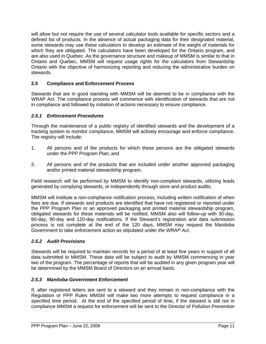will allow but not require the use of several calculator tools available for specific sectors and a defined list of products. In the absence of actual packaging data for their designated material, some stewards may use these calculators to develop an estimate of the weight of materials for which they are obligated. The calculators have been developed for the Ontario program, and are also used in Quebec. As the governance structure and makeup of MMSM is similar to that in Ontario and Quebec, MMSM will request usage rights for the calculators from Stewardship Ontario with the objective of harmonizing reporting and reducing the administrative burden on stewards.

# <span id="page-16-0"></span>**2.5 Compliance and Enforcement Process**

Stewards that are in good standing with MMSM will be deemed to be in compliance with the WRAP Act. The compliance process will commence with identification of stewards that are not in compliance and followed by initiation of actions necessary to ensure compliance.

### *2.5.1 Enforcement Procedures*

Through the maintenance of a public registry of identified stewards and the development of a tracking system to monitor compliance, MMSM will actively encourage and enforce compliance. The registry will include:

- 1. All persons and of the products for which these persons are the obligated stewards under the PPP Program Plan; and
- 2. All persons and of the products that are included under another approved packaging and/or printed material stewardship program.

Field research will be performed by MMSM to identify non-compliant stewards, utilizing leads generated by complying stewards, or independently through store and product audits.

MMSM will institute a non-compliance notification process, including written notification of when fees are due. If stewards and products are identified that have not registered or reported under the PPP Program Plan or an approved packaging and printed material stewardship program, obligated stewards for these materials will be notified. MMSM also will follow-up with 30-day, 60-day, 90-day and 120-day notifications. If the Steward's registration and data submission process is not complete at the end of the 120 days, MMSM may request the Manitoba Government to take enforcement action as stipulated under *the WRAP Act*.

### *2.5.2 Audit Provisions*

Stewards will be required to maintain records for a period of at least five years in support of all data submitted to MMSM. These data will be subject to audit by MMSM commencing in year two of the program. The percentage of reports that will be audited in any given program year will be determined by the MMSM Board of Directors on an annual basis.

### *2.5.3 Manitoba Government Enforcement*

If, after registered letters are sent to a steward and they remain in non-compliance with the Regulation or PPP Rules MMSM will make two more attempts to request compliance in a specified time period. At the end of the specified period of time, if the steward is still not in compliance MMSM a request for enforcement will be sent to the Director of Pollution Prevention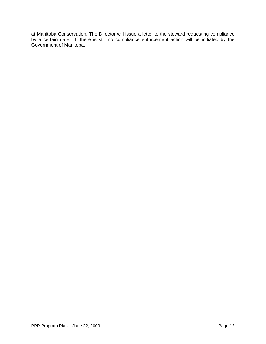at Manitoba Conservation. The Director will issue a letter to the steward requesting compliance by a certain date. If there is still no compliance enforcement action will be initiated by the Government of Manitoba.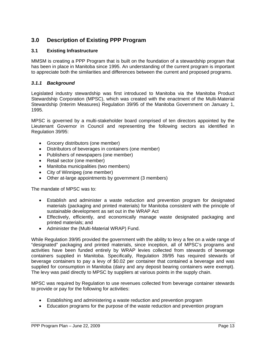# <span id="page-18-0"></span>**3.0 Description of Existing PPP Program**

### <span id="page-18-1"></span>**3.1 Existing Infrastructure**

MMSM is creating a PPP Program that is built on the foundation of a stewardship program that has been in place in Manitoba since 1995. An understanding of the current program is important to appreciate both the similarities and differences between the current and proposed programs.

### *3.1.1 Background*

Legislated industry stewardship was first introduced to Manitoba via the Manitoba Product Stewardship Corporation (MPSC), which was created with the enactment of the Multi-Material Stewardship (Interim Measures) Regulation 39/95 of the Manitoba Government on January 1, 1995.

MPSC is governed by a multi-stakeholder board comprised of ten directors appointed by the Lieutenant Governor in Council and representing the following sectors as identified in Regulation 39/95:

- Grocery distributors (one member)
- Distributors of beverages in containers (one member)
- Publishers of newspapers (one member)
- Retail sector (one member)
- Manitoba municipalities (two members)
- City of Winnipeg (one member)
- Other at-large appointments by government (3 members)

The mandate of MPSC was to:

- Establish and administer a waste reduction and prevention program for designated materials (packaging and printed materials) for Manitoba consistent with the principle of sustainable development as set out in the WRAP Act
- Effectively, efficiently, and economically manage waste designated packaging and printed materials; and
- Administer the (Multi-Material WRAP) Fund.

While Regulation 39/95 provided the government with the ability to levy a fee on a wide range of "designated" packaging and printed materials, since inception, all of MPSC's programs and activities have been funded entirely by WRAP levies collected from stewards of beverage containers supplied in Manitoba. Specifically, Regulation 39/95 has required stewards of beverage containers to pay a levy of \$0.02 per container that contained a beverage and was supplied for consumption in Manitoba (dairy and any deposit bearing containers were exempt). The levy was paid directly to MPSC by suppliers at various points in the supply chain.

MPSC was required by Regulation to use revenues collected from beverage container stewards to provide or pay for the following for activities:

- Establishing and administering a waste reduction and prevention program
- Education programs for the purpose of the waste reduction and prevention program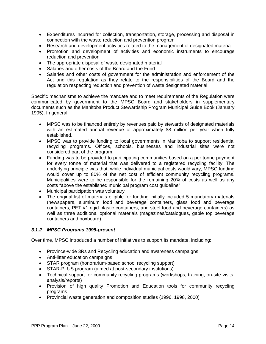- Expenditures incurred for collection, transportation, storage, processing and disposal in connection with the waste reduction and prevention program
- Research and development activities related to the management of designated material
- Promotion and development of activities and economic instruments to encourage reduction and prevention
- The appropriate disposal of waste designated material
- Salaries and other costs of the Board and the Fund
- Salaries and other costs of government for the administration and enforcement of the Act and this regulation as they relate to the responsibilities of the Board and the regulation respecting reduction and prevention of waste designated material

Specific mechanisms to achieve the mandate and to meet requirements of the Regulation were communicated by government to the MPSC Board and stakeholders in supplementary documents such as the Manitoba Product Stewardship Program Municipal Guide Book (January 1995). In general:

- MPSC was to be financed entirely by revenues paid by stewards of designated materials with an estimated annual revenue of approximately \$8 million per year when fully established.
- MPSC was to provide funding to local governments in Manitoba to support residential recycling programs. Offices, schools, businesses and industrial sites were not considered part of the program.
- Funding was to be provided to participating communities based on a per tonne payment for every tonne of material that was delivered to a registered recycling facility. The underlying principle was that, while individual municipal costs would vary, MPSC funding would cover up to 80% of the net cost of efficient community recycling programs. Municipalities were to be responsible for the remaining 20% of costs as well as any costs "above the established municipal program cost guideline"
- Municipal participation was voluntary
- The original list of materials eligible for funding initially included 5 mandatory materials (newspapers, aluminum food and beverage containers, glass food and beverage containers, PET #1 rigid plastic containers, and steel food and beverage containers) as well as three additional optional materials (magazines/catalogues, gable top beverage containers and boxboard).

### *3.1.2 MPSC Programs 1995-present*

Over time, MPSC introduced a number of initiatives to support its mandate, including:

- Province-wide 3Rs and Recycling education and awareness campaigns
- Anti-litter education campaigns
- STAR program (honorarium-based school recycling support)
- STAR-PLUS program (aimed at post-secondary institutions)
- Technical support for community recycling programs (workshops, training, on-site visits, analysis/reports)
- Provision of high quality Promotion and Education tools for community recycling programs
- Provincial waste generation and composition studies (1996, 1998, 2000)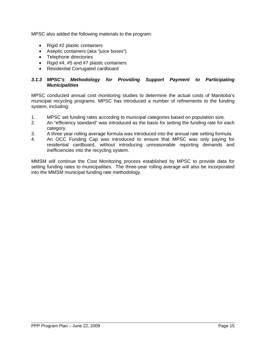MPSC also added the following materials to the program:

- Rigid #2 plastic containers
- Aseptic containers (aka "juice boxes")
- Telephone directories
- Rigid #4, #5 and #7 plastic containers
- Residential Corrugated cardboard

### *3.1.3 MPSC's Methodology for Providing Support Payment to Participating Municipalities*

MPSC conducted annual cost monitoring studies to determine the actual costs of Manitoba's municipal recycling programs. MPSC has introduced a number of refinements to the funding system, including:

- 1. MPSC set funding rates according to municipal categories based on population size.
- 2. An "efficiency standard" was introduced as the basis for setting the funding rate for each category.
- 3. A three year rolling average formula was introduced into the annual rate setting formula.
- 4. An OCC Funding Cap was introduced to ensure that MPSC was only paying for residential cardboard, without introducing unreasonable reporting demands and inefficiencies into the recycling system.

MMSM will continue the Cost Monitoring process established by MPSC to provide data for setting funding rates to municipalities. The three-year rolling average will also be incorporated into the MMSM municipal funding rate methodology.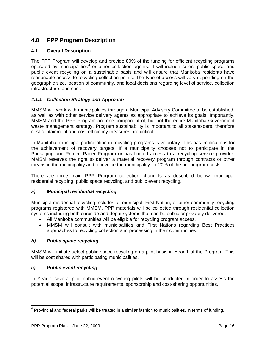# <span id="page-21-0"></span>**4.0 PPP Program Description**

# <span id="page-21-1"></span>**4.1 Overall Description**

The PPP Program will develop and provide 80% of the funding for efficient recycling programs operated by municipalities<sup>[4](#page-21-2)</sup> or other collection agents. It will include select public space and public event recycling on a sustainable basis and will ensure that Manitoba residents have reasonable access to recycling collection points. The type of access will vary depending on the geographic size, location of community, and local decisions regarding level of service, collection infrastructure, and cost.

### *4.1.1 Collection Strategy and Approach*

MMSM will work with municipalities through a Municipal Advisory Committee to be established, as well as with other service delivery agents as appropriate to achieve its goals. Importantly, MMSM and the PPP Program are one component of, but not the entire Manitoba Government waste management strategy. Program sustainability is important to all stakeholders, therefore cost containment and cost efficiency measures are critical.

In Manitoba, municipal participation in recycling programs is voluntary. This has implications for the achievement of recovery targets. If a municipality chooses not to participate in the Packaging and Printed Paper Program or has limited access to a recycling service provider, MMSM reserves the right to deliver a material recovery program through contracts or other means in the municipality and to invoice the municipality for 20% of the net program costs.

There are three main PPP Program collection channels as described below: municipal residential recycling, public space recycling, and public event recycling.

### *a) Municipal residential recycling*

Municipal residential recycling includes all municipal, First Nation, or other community recycling programs registered with MMSM. PPP materials will be collected through residential collection systems including both curbside and depot systems that can be public or privately delivered.

- All Manitoba communities will be eligible for recycling program access.
- MMSM will consult with municipalities and First Nations regarding Best Practices approaches to recycling collection and processing in their communities.

### *b) Public space recycling*

MMSM will initiate select public space recycling on a pilot basis in Year 1 of the Program. This will be cost shared with participating municipalities.

### *c) Public event recycling*

In Year 1 several pilot public event recycling pilots will be conducted in order to assess the potential scope, infrastructure requirements, sponsorship and cost-sharing opportunities.

<span id="page-21-2"></span><sup>-</sup><sup>4</sup> Provincial and federal parks will be treated in a similar fashion to municipalities, in terms of funding.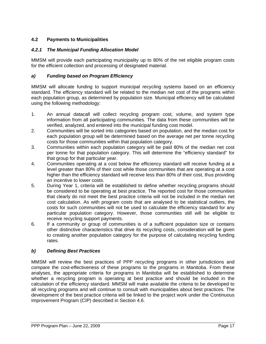# <span id="page-22-0"></span>**4.2 Payments to Municipalities**

# *4.2.1 The Municipal Funding Allocation Model*

MMSM will provide each participating municipality up to 80% of the net eligible program costs for the efficient collection and processing of designated material.

### *a) Funding based on Program Efficiency*

MMSM will allocate funding to support municipal recycling systems based on an efficiency standard. The efficiency standard will be related to the median net cost of the programs within each population group, as determined by population size. Municipal efficiency will be calculated using the following methodology:

- 1. An annual datacall will collect recycling program cost, volume, and system type information from all participating communities. The data from these communities will be verified, analyzed, and entered into the municipal funding cost model.
- 2. Communities will be sorted into categories based on population, and the median cost for each population group will be determined based on the average net per tonne recycling costs for those communities within that population category.
- 3. Communities within each population category will be paid 80% of the median net cost per tonne for that population category. This will determine the "efficiency standard" for that group for that particular year.
- 4. Communities operating at a cost below the efficiency standard will receive funding at a level greater than 80% of their cost while those communities that are operating at a cost higher than the efficiency standard will receive less than 80% of their cost, thus providing an incentive to lower costs.
- 5. During Year 1, criteria will be established to define whether recycling programs should be considered to be operating at best practice. The reported cost for those communities that clearly do not meet the best practice criteria will not be included in the median net cost calculation. As with program costs that are analysed to be statistical outliers, the costs for such communities will not be used to calculate the efficiency standard for any particular population category. However, those communities still will be eligible to receive recycling support payments.
- 6. If a community or group of communities is of a sufficient population size or contains other distinctive characteristics that drive its recycling costs, consideration will be given to creating another population category for the purpose of calculating recycling funding rates.

### *b) Defining Best Practices*

MMSM will review the best practices of PPP recycling programs in other jurisdictions and compare the cost-effectiveness of these programs to the programs in Manitoba. From these analyses, the appropriate criteria for programs in Manitoba will be established to determine whether a recycling program is operating at best practice and should be included in the calculation of the efficiency standard. MMSM will make available the criteria to be developed to all recycling programs and will continue to consult with municipalities about best practices. The development of the best practice criteria will be linked to the project work under the Continuous Improvement Program (CIP) described in Section 4.6.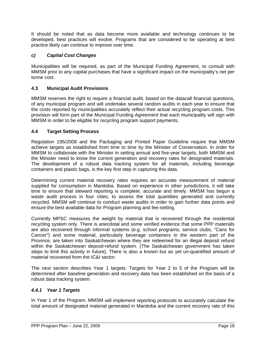It should be noted that as data become more available and technology continues to be developed, best practices will evolve. Programs that are considered to be operating at best practice likely can continue to improve over time.

# *c) Capital Cost Changes*

Municipalities will be required, as part of the Municipal Funding Agreement, to consult with MMSM prior to any capital purchases that have a significant impact on the municipality's net per tonne cost.

# <span id="page-23-0"></span>**4.3 Municipal Audit Provisions**

MMSM reserves the right to require a financial audit, based on the datacall financial questions, of any municipal program and will undertake several random audits in each year to ensure that the costs reported by municipalities accurately reflect their actual recycling program costs. This provision will form part of the Municipal Funding Agreement that each municipality will sign with MMSM in order to be eligible for recycling program support payments.

# <span id="page-23-1"></span>**4.4 Target Setting Process**

Regulation 195/2008 and the Packaging and Printed Paper Guideline require that MMSM achieve targets as established from time to time by the Minister of Conservation. In order for MMSM to collaborate with the Minister in setting annual and five-year targets, both MMSM and the Minister need to know the current generation and recovery rates for designated materials. The development of a robust data tracking system for all materials, including beverage containers and plastic bags, is the key first step in capturing this data.

Determining current material recovery rates requires an accurate measurement of material supplied for consumption in Manitoba. Based on experience in other jurisdictions, it will take time to ensure that steward reporting is complete, accurate and timely. MMSM has begun a waste audit process in four cities, to assess the total quantities generated and currently recycled. MMSM will continue to conduct waste audits in order to gain further data points and ensure the best available data for Program planning and fee-setting.

Currently MPSC measures the weight by material that is recovered through the residential recycling system only. There is anecdotal and some verified evidence that some PPP materials are also recovered through informal systems (e.g. school programs, service clubs, "Cans for Cancer") and some material, particularly beverage containers in the western part of the Province, are taken into Saskatchewan where they are redeemed for an illegal deposit refund within the Saskatchewan deposit-refund system. (The Saskatchewan government has taken steps to limit this activity in future). There is also a known but as yet un-quantified amount of material recovered from the IC&I sector.

The next section describes Year 1 targets. Targets for Year 2 to 5 of the Program will be determined after baseline generation and recovery data has been established on the basis of a robust data tracking system.

### *4.4.1 Year 1 Targets*

In Year 1 of the Program, MMSM will implement reporting protocols to accurately calculate the total amount of designated material generated in Manitoba and the current recovery rate of this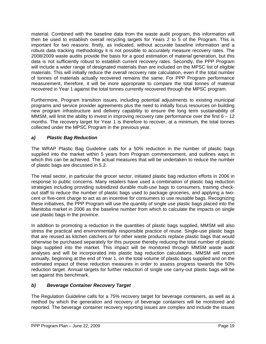material. Combined with the baseline data from the waste audit program, this information will then be used to establish overall recycling targets for Years 2 to 5 of the Program. This is important for two reasons: firstly, as indicated, without accurate baseline information and a robust data tracking methodology it is not possible to accurately measure recovery rates. The 2008/2009 waste audits provide the basis for a good estimation of material generation, but this data is not sufficiently robust to establish current recovery rates. Secondly, the PPP Program will include a wider range of designated materials than are included on the MPSC list of eligible materials. This will initially reduce the overall recovery rate calculation, even if the total number of tonnes of materials actually recovered remains the same. For PPP Program performance measurement, therefore, it will be more appropriate to compare the total tonnes of material recovered in Year 1 against the total tonnes currently recovered through the MPSC program.

Furthermore, Program transition issues, including potential adjustments to existing municipal programs and service provider agreements plus the need to initially focus resources on building new program infrastructure and delivery capability to ensure the long term sustainability of MMSM, will limit the ability to invest in improving recovery rate performance over the first  $6 - 12$ months. The recovery target for Year 1 is therefore to recover, at a minimum, the total tonnes collected under the MPSC Program in the previous year.

# *a) Plastic Bag Reduction*

The WRAP Plastic Bag Guideline calls for a 50% reduction in the number of plastic bags supplied into the market within 5 years from Program commencement, and outlines ways in which this can be achieved. The actual measures that will be undertaken to reduce the number of plastic bags are discussed in 5.2.

The retail sector, in particular the grocer sector, initiated plastic bag reduction efforts in 2006 in response to public concerns. Many retailers have used a combination of plastic bag reduction strategies including providing subsidized durable multi-use bags to consumers, training checkout staff to reduce the number of plastic bags used to package groceries, and applying a twocent or five-cent charge to act as an incentive for consumers to use reusable bags. Recognizing these initiatives, the PPP Program will use the quantity of single use plastic bags placed into the Manitoba market in 2006 as the baseline number from which to calculate the impacts on single use plastic bags in the province.

In addition to promoting a reduction in the quantities of plastic bags supplied, MMSM will also stress the practical and environmentally responsible practice of reuse. Single-use plastic bags that are reused as kitchen catchers or for other waste products replace plastic bags that would otherwise be purchased separately for this purpose thereby reducing the total number of plastic bags supplied into the market. This impact will be monitored through MMSM waste audit analyses and will be incorporated into plastic bag reduction calculations. MMSM will report annually, beginning at the end of Year 1, on the total volume of plastic bags supplied and on the estimated impact of these reduction measures in order to assess progress towards the 50% reduction target. Annual targets for further reduction of single use carry-out plastic bags will be set against this benchmark.

### *b) Beverage Container Recovery Target*

The Regulation Guideline calls for a 75% recovery target for beverage containers, as well as a method by which the generation and recovery of beverage containers will be monitored and reported. The beverage container recovery reporting issues are complex and include the issues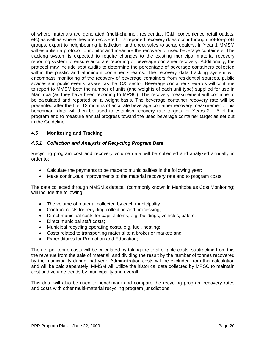of where materials are generated (multi-channel, residential, IC&I, convenience retail outlets, etc) as well as where they are recovered. Unreported recovery does occur through not-for-profit groups, export to neighbouring jurisdiction, and direct sales to scrap dealers. In Year 1 MMSM will establish a protocol to monitor and measure the recovery of used beverage containers. The tracking system is expected to require changes to the existing municipal material recovery reporting system to ensure accurate reporting of beverage container recovery. Additionally, the protocol may include spot audits to determine the percentage of beverage containers collected within the plastic and aluminum container streams. The recovery data tracking system will encompass monitoring of the recovery of beverage containers from residential sources, public spaces and public events, as well as the IC&I sector. Beverage container stewards will continue to report to MMSM both the number of units (and weights of each unit type) supplied for use in Manitoba (as they have been reporting to MPSC). The recovery measurement will continue to be calculated and reported on a weight basis. The beverage container recovery rate will be presented after the first 12 months of accurate beverage container recovery measurement. This benchmark data will then be used to establish recovery rate targets for Years  $2 - 5$  of the program and to measure annual progress toward the used beverage container target as set out in the Guideline.

### <span id="page-25-0"></span>**4.5 Monitoring and Tracking**

### *4.5.1 Collection and Analysis of Recycling Program Data*

Recycling program cost and recovery volume data will be collected and analyzed annually in order to:

- Calculate the payments to be made to municipalities in the following year;
- Make continuous improvements to the material recovery rate and to program costs.

The data collected through MMSM's datacall (commonly known in Manitoba as Cost Monitoring) will include the following:

- The volume of material collected by each municipality,
- Contract costs for recycling collection and processing;
- Direct municipal costs for capital items, e.g. buildings, vehicles, balers;
- Direct municipal staff costs;
- Municipal recycling operating costs, e.g. fuel, heating;
- Costs related to transporting material to a broker or market; and
- Expenditures for Promotion and Education;

The net per tonne costs will be calculated by taking the total eligible costs, subtracting from this the revenue from the sale of material, and dividing the result by the number of tonnes recovered by the municipality during that year. Administration costs will be excluded from this calculation and will be paid separately. MMSM will utilize the historical data collected by MPSC to maintain cost and volume trends by municipality and overall.

This data will also be used to benchmark and compare the recycling program recovery rates and costs with other multi-material recycling program jurisdictions.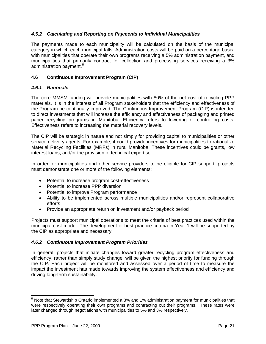### *4.5.2 Calculating and Reporting on Payments to Individual Municipalities*

The payments made to each municipality will be calculated on the basis of the municipal category in which each municipal falls. Administration costs will be paid on a percentage basis, with municipalities that operate their own programs receiving a 5% administration payment, and municipalities that primarily contract for collection and processing services receiving a 3% administration payment.<sup>[5](#page-26-1)</sup>

### <span id="page-26-0"></span>**4.6 Continuous Improvement Program (CIP)**

### *4.6.1 Rationale*

The core MMSM funding will provide municipalities with 80% of the net cost of recycling PPP materials. It is in the interest of all Program stakeholders that the efficiency and effectiveness of the Program be continually improved. The Continuous Improvement Program (CIP) is intended to direct investments that will increase the efficiency and effectiveness of packaging and printed paper recycling programs in Manitoba. Efficiency refers to lowering or controlling costs. Effectiveness refers to increasing the material recovery levels.

The CIP will be strategic in nature and not simply for providing capital to municipalities or other service delivery agents. For example, it could provide incentives for municipalities to rationalize Material Recycling Facilities (MRFs) in rural Manitoba. These incentives could be grants, low interest loans, and/or the provision of technical expertise.

In order for municipalities and other service providers to be eligible for CIP support, projects must demonstrate one or more of the following elements:

- Potential to increase program cost-effectiveness
- Potential to increase PPP diversion
- Potential to improve Program performance
- Ability to be implemented across multiple municipalities and/or represent collaborative efforts
- Provide an appropriate return on investment and/or payback period

Projects must support municipal operations to meet the criteria of best practices used within the municipal cost model. The development of best practice criteria in Year 1 will be supported by the CIP as appropriate and necessary.

### *4.6.2 Continuous Improvement Program Priorities*

In general, projects that initiate changes toward greater recycling program effectiveness and efficiency, rather than simply study change, will be given the highest priority for funding through the CIP. Each project will be monitored and assessed over a period of time to measure the impact the investment has made towards improving the system effectiveness and efficiency and driving long-term sustainability.

<span id="page-26-1"></span> 5 Note that Stewardship Ontario implemented a 3% and 1% administration payment for municipalities that were respectively operating their own programs and contracting out their programs. These rates were later changed through negotiations with municipalities to 5% and 3% respectively.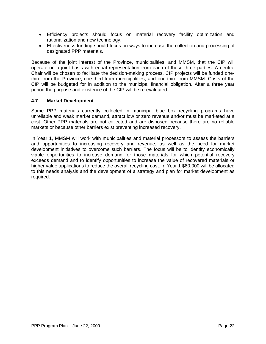- Efficiency projects should focus on material recovery facility optimization and rationalization and new technology.
- Effectiveness funding should focus on ways to increase the collection and processing of designated PPP materials.

Because of the joint interest of the Province, municipalities, and MMSM, that the CIP will operate on a joint basis with equal representation from each of these three parties. A neutral Chair will be chosen to facilitate the decision-making process. CIP projects will be funded onethird from the Province, one-third from municipalities, and one-third from MMSM. Costs of the CIP will be budgeted for in addition to the municipal financial obligation. After a three year period the purpose and existence of the CIP will be re-evaluated.

### <span id="page-27-0"></span>**4.7 Market Development**

Some PPP materials currently collected in municipal blue box recycling programs have unreliable and weak market demand, attract low or zero revenue and/or must be marketed at a cost. Other PPP materials are not collected and are disposed because there are no reliable markets or because other barriers exist preventing increased recovery.

In Year 1, MMSM will work with municipalities and material processors to assess the barriers and opportunities to increasing recovery and revenue, as well as the need for market development initiatives to overcome such barriers. The focus will be to identify economically viable opportunities to increase demand for those materials for which potential recovery exceeds demand and to identify opportunities to increase the value of recovered materials or higher value applications to reduce the overall recycling cost. In Year 1 \$60,000 will be allocated to this needs analysis and the development of a strategy and plan for market development as required.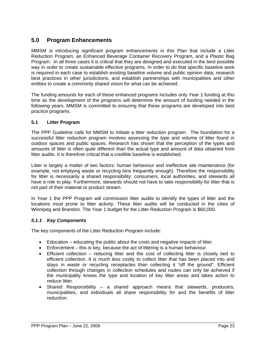# <span id="page-28-0"></span>**5.0 Program Enhancements**

MMSM is introducing significant program enhancements in this Plan that include a Litter Reduction Program, an Enhanced Beverage Container Recovery Program, and a Plastic Bag Program. In all three cases it is critical that they are designed and executed in the best possible way in order to create sustainable effective programs. In order to do that specific baseline work is required in each case to establish existing baseline volume and public opinion data, research best practices in other jurisdictions, and establish partnerships with municipalities and other entities to create a commonly shared vision for what can be achieved.

The funding amounts for each of these enhanced programs includes only Year 1 funding at this time as the development of the programs will determine the amount of funding needed in the following years. MMSM is committed to ensuring that these programs are developed into best practice programs.

### <span id="page-28-1"></span>**5.1 Litter Program**

The PPP Guideline calls for MMSM to initiate a litter reduction program. The foundation for a successful litter reduction program involves assessing the type and volume of litter found in outdoor spaces and public spaces. Research has shown that the perception of the types and amounts of litter is often quite different than the actual type and amount of data obtained from litter audits. It is therefore critical that a credible baseline is established.

Litter is largely a matter of two factors: human behaviour and ineffective site maintenance (for example, not emptying waste or recycling bins frequently enough). Therefore the responsibility for litter is necessarily a shared responsibility: consumers, local authorities, and stewards all have a role to play. Furthermore, stewards should not have to take responsibility for litter that is not part of their material or product stream.

In Year 1 the PPP Program will commission litter audits to identify the types of litter and the locations most prone to litter activity. These litter audits will be conducted in the cities of Winnipeg and Brandon. The Year 1 budget for the Litter Reduction Program is \$60,000.

### *5.1.1 Key Components*

The key components of the Litter Reduction Program include:

- Education educating the public about the costs and negative impacts of litter.
- Enforcement this is key, because the act of littering is a human behaviour.
- Efficient collection reducing litter and the cost of collecting litter is closely tied to efficient collection. It is much less costly to collect litter that has been placed into and stays in waste or recycling receptacles than collecting it "off the ground". Efficient collection through changes in collection schedules and routes can only be achieved if the municipality knows the type and location of key litter areas and takes action to reduce litter.
- Shared Responsibility  $-$  a shared approach means that stewards, producers, municipalities, and individuals all share responsibility for and the benefits of litter reduction.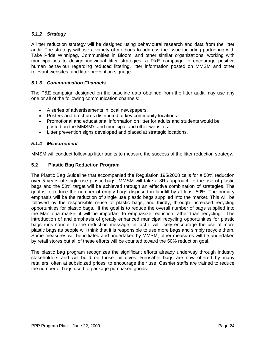### *5.1.2 Strategy*

A litter reduction strategy will be designed using behavioural research and data from the litter audit. The strategy will use a variety of methods to address the issue including partnering with Take Pride Winnipeg, Communities in Bloom, and other similar organizations, working with municipalities to design individual litter strategies, a P&E campaign to encourage positive human behaviour regarding reduced littering, litter information posted on MMSM and other relevant websites, and litter prevention signage.

### *5.1.3 Communication Channels*

The P&E campaign designed on the baseline data obtained from the litter audit may use any one or all of the following communication channels:

- A series of advertisements in local newspapers.
- Posters and brochures distributed at key community locations.
- Promotional and educational information on litter for adults and students would be posted on the MMSM's and municipal and other websites.
- Litter prevention signs developed and placed at strategic locations.

### *5.1.4 Measurement*

MMSM will conduct follow-up litter audits to measure the success of the litter reduction strategy.

### <span id="page-29-0"></span>**5.2 Plastic Bag Reduction Program**

The Plastic Bag Guideline that accompanied the Regulation 195/2008 calls for a 50% reduction over 5 years of single-use plastic bags. MMSM will take a 3Rs approach to the use of plastic bags and the 50% target will be achieved through an effective combination of strategies. The goal is to reduce the number of empty bags disposed in landfill by at least 50%. The primary emphasis will be the reduction of single use plastic bags supplied into the market. This will be followed by the responsible reuse of plastic bags, and thirdly, through increased recycling opportunities for plastic bags. If the goal is to reduce the overall number of bags supplied into the Manitoba market it will be important to emphasize reduction rather than recycling. The introduction of and emphasis of greatly enhanced municipal recycling opportunities for plastic bags runs counter to the reduction message; in fact it will likely encourage the use of more plastic bags as people will think that it is responsible to use more bags and simply recycle them. Some measures will be initiated and undertaken by MMSM; other measures will be undertaken by retail stores but all of these efforts will be counted toward the 50% reduction goal.

The plastic bag program recognizes the significant efforts already underway through industry stakeholders and will build on those initiatives. Reusable bags are now offered by many retailers, often at subsidized prices, to encourage their use. Cashier staffs are trained to reduce the number of bags used to package purchased goods.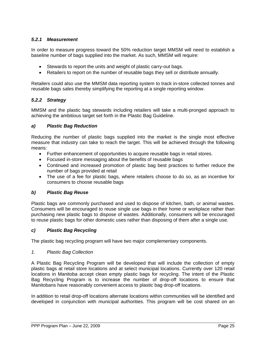### *5.2.1 Measurement*

In order to measure progress toward the 50% reduction target MMSM will need to establish a baseline number of bags supplied into the market. As such, MMSM will require:

- Stewards to report the units and weight of plastic carry-out bags.
- Retailers to report on the number of reusable bags they sell or distribute annually.

Retailers could also use the MMSM data reporting system to track in-store collected tonnes and reusable bags sales thereby simplifying the reporting at a single reporting window.

### *5.2.2 Strategy*

MMSM and the plastic bag stewards including retailers will take a multi-pronged approach to achieving the ambitious target set forth in the Plastic Bag Guideline.

### *a) Plastic Bag Reduction*

Reducing the number of plastic bags supplied into the market is the single most effective measure that industry can take to reach the target. This will be achieved through the following means:

- Further enhancement of opportunities to acquire reusable bags in retail stores.
- Focused in-store messaging about the benefits of reusable bags
- Continued and increased promotion of plastic bag best practices to further reduce the number of bags provided at retail
- The use of a fee for plastic bags, where retailers choose to do so, as an incentive for consumers to choose reusable bags

### *b) Plastic Bag Reuse*

Plastic bags are commonly purchased and used to dispose of kitchen, bath, or animal wastes. Consumers will be encouraged to reuse single use bags in their home or workplace rather than purchasing new plastic bags to dispose of wastes. Additionally, consumers will be encouraged to reuse plastic bags for other domestic uses rather than disposing of them after a single use.

### *c) Plastic Bag Recycling*

The plastic bag recycling program will have two major complementary components.

### *1. Plastic Bag Collection*

A Plastic Bag Recycling Program will be developed that will include the collection of empty plastic bags at retail store locations and at select municipal locations. Currently over 120 retail locations in Manitoba accept clean empty plastic bags for recycling. The intent of the Plastic Bag Recycling Program is to increase the number of drop-off locations to ensure that Manitobans have reasonably convenient access to plastic bag drop-off locations.

In addition to retail drop-off locations alternate locations within communities will be identified and developed in conjunction with municipal authorities. This program will be cost shared on an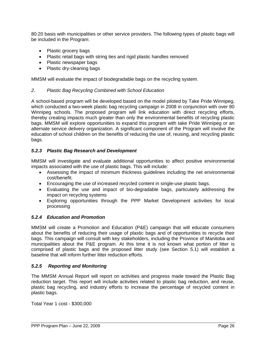80:20 basis with municipalities or other service providers. The following types of plastic bags will be included in the Program:

- Plastic grocery bags
- Plastic retail bags with string ties and rigid plastic handles removed
- Plastic newspaper bags
- Plastic dry-cleaning bags

MMSM will evaluate the impact of biodegradable bags on the recycling system.

### *2. Plastic Bag Recycling Combined with School Education*

A school-based program will be developed based on the model piloted by Take Pride Winnipeg, which conducted a two-week plastic bag recycling campaign in 2008 in conjunction with over 80 Winnipeg schools. The proposed program will link education with direct recycling efforts, thereby creating impacts much greater than only the environmental benefits of recycling plastic bags. MMSM will explore opportunities to expand this program with take Pride Winnipeg or an alternate service delivery organization. A significant component of the Program will involve the education of school children on the benefits of reducing the use of, reusing, and recycling plastic bags.

### *5.2.3 Plastic Bag Research and Development*

MMSM will investigate and evaluate additional opportunities to affect positive environmental impacts associated with the use of plastic bags. This will include:

- Assessing the impact of minimum thickness guidelines including the net environmental cost/benefit.
- Encouraging the use of increased recycled content in single-use plastic bags.
- Evaluating the use and impact of bio-degradable bags, particularly addressing the impact on recycling systems
- Exploring opportunities through the PPP Market Development activities for local processing

### *5.2.4 Education and Promotion*

MMSM will create a Promotion and Education (P&E) campaign that will educate consumers about the benefits of reducing their usage of plastic bags and of opportunities to recycle their bags. This campaign will consult with key stakeholders, including the Province of Manitoba and municipalities about the P&E program. At this time it is not known what portion of litter is comprised of plastic bags and the proposed litter study (see Section 5.1) will establish a baseline that will inform further litter reduction efforts.

### *5.2.5 Reporting and Monitoring*

The MMSM Annual Report will report on activities and progress made toward the Plastic Bag reduction target. This report will include activities related to plastic bag reduction, and reuse, plastic bag recycling, and industry efforts to increase the percentage of recycled content in plastic bags.

Total Year 1 cost - \$300,000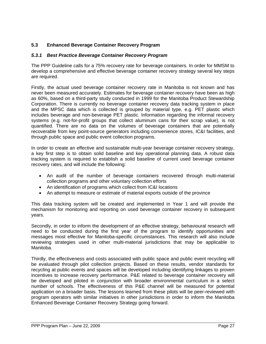# <span id="page-32-0"></span>**5.3 Enhanced Beverage Container Recovery Program**

### *5.3.1 Best Practice Beverage Container Recovery Program*

The PPP Guideline calls for a 75% recovery rate for beverage containers. In order for MMSM to develop a comprehensive and effective beverage container recovery strategy several key steps are required.

Firstly, the actual used beverage container recovery rate in Manitoba is not known and has never been measured accurately. Estimates for beverage container recovery have been as high as 60%, based on a third-party study conducted in 1999 for the Manitoba Product Stewardship Corporation. There is currently no beverage container recovery data tracking system in place and the MPSC data which is collected is grouped by material type, e.g. PET plastic which includes beverage and non-beverage PET plastic. Information regarding the informal recovery systems (e.g. not-for-profit groups that collect aluminum cans for their scrap value), is not quantified. There are no data on the volumes of beverage containers that are potentially recoverable from key point-source generators including convenience stores, IC&I facilities, and through public space and public event collection programs.

In order to create an effective and sustainable multi-year beverage container recovery strategy, a key first step is to obtain solid baseline and key operational planning data. A robust data tracking system is required to establish a solid baseline of current used beverage container recovery rates, and will include the following:

- An audit of the number of beverage containers recovered through multi-material collection programs and other voluntary collection efforts
- An identification of programs which collect from IC&I locations
- An attempt to measure or estimate of material exports outside of the province

This data tracking system will be created and implemented in Year 1 and will provide the mechanism for monitoring and reporting on used beverage container recovery in subsequent years.

Secondly, in order to inform the development of an effective strategy, behavioural research will need to be conducted during the first year of the program to identify opportunities and messages most effective for Manitoba-specific circumstances. This research will also include reviewing strategies used in other multi-material jurisdictions that may be applicable to Manitoba.

Thirdly, the effectiveness and costs associated with public space and public event recycling will be evaluated through pilot collection projects. Based on these results, vendor standards for recycling at public events and spaces will be developed including identifying linkages to proven incentives to increase recovery performance. P&E related to beverage container recovery will be developed and piloted in conjunction with broader environmental curriculum in a select number of schools. The effectiveness of this P&E channel will be measured for potential application on a broader basis. The lessons learned from these pilots will be peer-reviewed with program operators with similar initiatives in other jurisdictions in order to inform the Manitoba Enhanced Beverage Container Recovery Strategy going forward.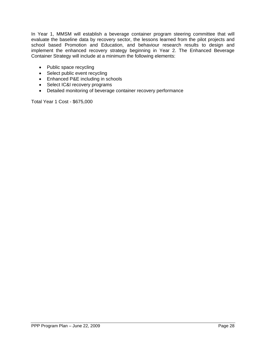In Year 1, MMSM will establish a beverage container program steering committee that will evaluate the baseline data by recovery sector, the lessons learned from the pilot projects and school based Promotion and Education, and behaviour research results to design and implement the enhanced recovery strategy beginning in Year 2. The Enhanced Beverage Container Strategy will include at a minimum the following elements:

- Public space recycling
- Select public event recycling
- Enhanced P&E including in schools
- Select IC&I recovery programs
- Detailed monitoring of beverage container recovery performance

Total Year 1 Cost - \$675,000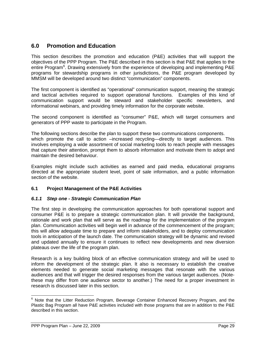# <span id="page-34-0"></span>**6.0 Promotion and Education**

This section describes the promotion and education (P&E) activities that will support the objectives of the PPP Program. The P&E described in this section is that P&E that applies to the entire Program<sup>[6](#page-34-2)</sup>. Drawing extensively from the experience of developing and implementing P&E programs for stewardship programs in other jurisdictions, the P&E program developed by MMSM will be developed around two distinct "communication" components.

The first component is identified as "operational" communication support, meaning the strategic and tactical activities required to support operational functions. Examples of this kind of communication support would be steward and stakeholder specific newsletters, and informational webinars, and providing timely information for the corporate website.

The second component is identified as "consumer" P&E, which will target consumers and generators of PPP waste to participate in the Program.

The following sections describe the plan to support these two communications components. which promote the call to action –increased recycling—directly to target audiences. This involves employing a wide assortment of social marketing tools to reach people with messages that capture their attention, prompt them to absorb information and motivate them to adopt and maintain the desired behaviour.

Examples might include such activities as earned and paid media, educational programs directed at the appropriate student level, point of sale information, and a public information section of the website.

### <span id="page-34-1"></span>**6.1 Project Management of the P&E Activities**

### *6.1.1 Step one - Strategic Communication Plan*

The first step in developing the communication approaches for both operational support and consumer P&E is to prepare a strategic communication plan. It will provide the background, rationale and work plan that will serve as the roadmap for the implementation of the program plan. Communication activities will begin well in advance of the commencement of the program; this will allow adequate time to prepare and inform stakeholders, and to deploy communication tools in anticipation of the launch date. The communication strategy will be dynamic and revised and updated annually to ensure it continues to reflect new developments and new diversion plateaus over the life of the program plan.

Research is a key building block of an effective communication strategy and will be used to inform the development of the strategic plan. It also is necessary to establish the creative elements needed to generate social marketing messages that resonate with the various audiences and that will trigger the desired responses from the various target audiences. (Notethese may differ from one audience sector to another.) The need for a proper investment in research is discussed later in this section.

<span id="page-34-2"></span> 6 Note that the Litter Reduction Program, Beverage Container Enhanced Recovery Program, and the Plastic Bag Program all have P&E activities included with those programs that are in addition to the P&E described in this section.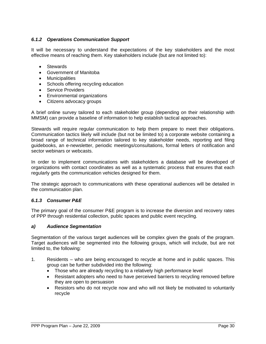### *6.1.2 Operations Communication Support*

It will be necessary to understand the expectations of the key stakeholders and the most effective means of reaching them. Key stakeholders include (but are not limited to):

- Stewards
- Government of Manitoba
- Municipalities
- Schools offering recycling education
- Service Providers
- Environmental organizations
- Citizens advocacy groups

A brief online survey tailored to each stakeholder group (depending on their relationship with MMSM) can provide a baseline of information to help establish tactical approaches.

Stewards will require regular communication to help them prepare to meet their obligations. Communication tactics likely will include (but not be limited to) a corporate website containing a broad range of technical information tailored to key stakeholder needs, reporting and filing guidebooks, an e-newsletter, periodic meetings/consultations, formal letters of notification and sector webinars or webcasts.

In order to implement communications with stakeholders a database will be developed of organizations with contact coordinates as well as a systematic process that ensures that each regularly gets the communication vehicles designed for them.

The strategic approach to communications with these operational audiences will be detailed in the communication plan.

### *6.1.3 Consumer P&E*

The primary goal of the consumer P&E program is to increase the diversion and recovery rates of PPP through residential collection, public spaces and public event recycling.

### *a) Audience Segmentation*

Segmentation of the various target audiences will be complex given the goals of the program. Target audiences will be segmented into the following groups, which will include, but are not limited to, the following:

- 1. Residents who are being encouraged to recycle at home and in public spaces. This group can be further subdivided into the following:
	- Those who are already recycling to a relatively high performance level
	- Resistant adopters who need to have perceived barriers to recycling removed before they are open to persuasion
	- Resistors who do not recycle now and who will not likely be motivated to voluntarily recycle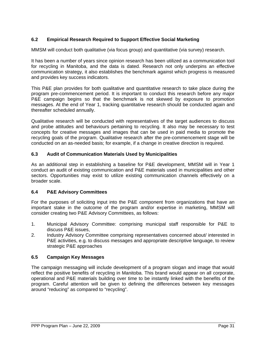# **6.2 Empirical Research Required to Support Effective Social Marketing**

MMSM will conduct both qualitative (via focus group) and quantitative (via survey) research.

It has been a number of years since opinion research has been utilized as a communication tool for recycling in Manitoba, and the data is dated. Research not only underpins an effective communication strategy, it also establishes the benchmark against which progress is measured and provides key success indicators.

This P&E plan provides for both qualitative and quantitative research to take place during the program pre-commencement period. It is important to conduct this research before any major P&E campaign begins so that the benchmark is not skewed by exposure to promotion messages. At the end of Year 1, tracking quantitative research should be conducted again and thereafter scheduled annually.

Qualitative research will be conducted with representatives of the target audiences to discuss and probe attitudes and behaviours pertaining to recycling. It also may be necessary to test concepts for creative messages and images that can be used in paid media to promote the recycling goals of the program. Qualitative research after the pre-commencement stage will be conducted on an as-needed basis; for example, if a change in creative direction is required.

# **6.3 Audit of Communication Materials Used by Municipalities**

As an additional step in establishing a baseline for P&E development, MMSM will in Year 1 conduct an audit of existing communication and P&E materials used in municipalities and other sectors. Opportunities may exist to utilize existing communication channels effectively on a broader scale.

# **6.4 P&E Advisory Committees**

For the purposes of soliciting input into the P&E component from organizations that have an important stake in the outcome of the program and/or expertise in marketing, MMSM will consider creating two P&E Advisory Committees, as follows:

- 1. Municipal Advisory Committee: comprising municipal staff responsible for P&E to discuss P&E issues,
- 2. Industry Advisory Committee comprising representatives concerned about/ interested in P&E activities, e.g. to discuss messages and appropriate descriptive language, to review strategic P&E approaches

# **6.5 Campaign Key Messages**

The campaign messaging will include development of a program slogan and image that would reflect the positive benefits of recycling in Manitoba. This brand would appear on all corporate, operational and P&E materials building over time to be instantly linked with the benefits of the program. Careful attention will be given to defining the differences between key messages around "reducing" as compared to "recycling".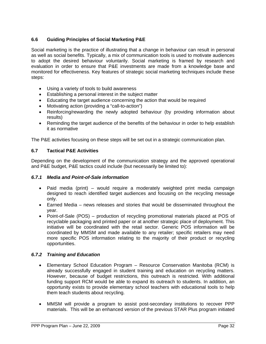# **6.6 Guiding Principles of Social Marketing P&E**

Social marketing is the practice of illustrating that a change in behaviour can result in personal as well as social benefits. Typically, a mix of communication tools is used to motivate audiences to adopt the desired behaviour voluntarily. Social marketing is framed by research and evaluation in order to ensure that P&E investments are made from a knowledge base and monitored for effectiveness. Key features of strategic social marketing techniques include these steps:

- Using a variety of tools to build awareness
- Establishing a personal interest in the subject matter
- Educating the target audience concerning the action that would be required
- Motivating action (providing a "call-to-action")
- Reinforcing/rewarding the newly adopted behaviour (by providing information about results)
- Reminding the target audience of the benefits of the behaviour in order to help establish it as normative

The P&E activities focusing on these steps will be set out in a strategic communication plan.

# **6.7 Tactical P&E Activities**

Depending on the development of the communication strategy and the approved operational and P&E budget, P&E tactics could include (but necessarily be limited to):

# *6.7.1 Media and Point-of-Sale information*

- Paid media (print) would require a moderately weighted print media campaign designed to reach identified target audiences and focusing on the recycling message only.
- Earned Media news releases and stories that would be disseminated throughout the year.
- Point-of-Sale (POS) production of recycling promotional materials placed at POS of recyclable packaging and printed paper or at another strategic place of deployment. This initiative will be coordinated with the retail sector. Generic POS information will be coordinated by MMSM and made available to any retailer; specific retailers may need more specific POS information relating to the majority of their product or recycling opportunities.

# *6.7.2 Training and Education*

- Elementary School Education Program Resource Conservation Manitoba (RCM) is already successfully engaged in student training and education on recycling matters. However, because of budget restrictions, this outreach is restricted. With additional funding support RCM would be able to expand its outreach to students. In addition, an opportunity exists to provide elementary school teachers with educational tools to help them teach students about recycling.
- MMSM will provide a program to assist post-secondary institutions to recover PPP materials. This will be an enhanced version of the previous STAR Plus program initiated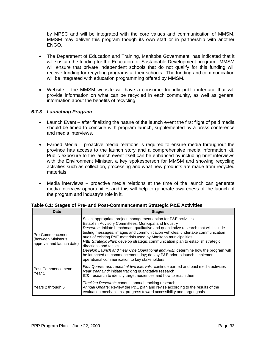by MPSC and will be integrated with the core values and communication of MMSM. MMSM may deliver this program though its own staff or in partnership with another ENGO.

- The Department of Education and Training, Manitoba Government, has indicated that it will sustain the funding for the Education for Sustainable Development program. MMSM will ensure that private independent schools that do not qualify for this funding will receive funding for recycling programs at their schools. The funding and communication will be integrated with education programming offered by MMSM.
- Website the MMSM website will have a consumer-friendly public interface that will provide information on what can be recycled in each community, as well as general information about the benefits of recycling.

# *6.7.3 Launching Program*

- Launch Event after finalizing the nature of the launch event the first flight of paid media should be timed to coincide with program launch, supplemented by a press conference and media interviews.
- Earned Media proactive media relations is required to ensure media throughout the province has access to the launch story and a comprehensive media information kit. Public exposure to the launch event itself can be enhanced by including brief interviews with the Environment Minister, a key spokesperson for MMSM and showing recycling activities such as collection, processing and what new products are made from recycled materials.
- Media interviews proactive media relations at the time of the launch can generate media interview opportunities and this will help to generate awareness of the launch of the program and industry's role in it.

| Date                                                                 | <b>Stages</b>                                                                                                                                                                                                                                                                                                                                                                                                                                                                                                                                                                                                                                                                                   |
|----------------------------------------------------------------------|-------------------------------------------------------------------------------------------------------------------------------------------------------------------------------------------------------------------------------------------------------------------------------------------------------------------------------------------------------------------------------------------------------------------------------------------------------------------------------------------------------------------------------------------------------------------------------------------------------------------------------------------------------------------------------------------------|
| Pre-Commencement<br>(between Minister's<br>approval and launch date) | Select appropriate project management option for P&E activities<br>Establish Advisory Committees: Municipal and Industry<br>Research: Initiate benchmark qualitative and quantitative research that will include<br>testing messages, images and communication vehicles; undertake communication<br>audit of existing P&E materials used by Manitoba municipalities<br>P&E Strategic Plan: develop strategic communication plan to establish strategic<br>directions and tactics<br>Develop Launch and Year One Operational and P&E: determine how the program will<br>be launched on commencement day; deploy P&E prior to launch; implement<br>operational communication to key stakeholders. |
| Post Commencement:<br>Year 1                                         | First Quarter and repeat at two intervals: continue earned and paid media activities<br>Near Year End: initiate tracking quantitative research<br>IC&I research to identify target audiences and how to reach them                                                                                                                                                                                                                                                                                                                                                                                                                                                                              |
| Years 2 through 5                                                    | Tracking Research: conduct annual tracking research.<br>Annual Update: Review the P&E plan and revise according to the results of the<br>evaluation mechanisms, progress toward accessibility and target goals.                                                                                                                                                                                                                                                                                                                                                                                                                                                                                 |

**Table 6.1: Stages of Pre- and Post-Commencement Strategic P&E Activities**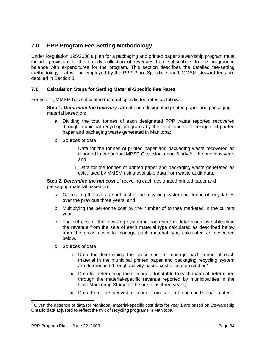# **7.0 PPP Program Fee-Setting Methodology**

Under Regulation 195/2008 a plan for a packaging and printed paper stewardship program must include provision for the orderly collection of revenues from subscribers to the program in balance with expenditures for the program. This section describes the detailed fee-setting methodology that will be employed by the PPP Plan. Specific Year 1 MMSM steward fees are detailed in Section 8.

# **7.1 Calculation Steps for Setting Material-Specific Fee Rates**

For year 1, MMSM has calculated material-specific fee rates as follows:

**Step 1.** *Determine the recovery rate* of each designated printed paper and packaging material based on:

- a. Dividing the total tonnes of each designated PPP waste reported recovered through municipal recycling programs by the total tonnes of designated printed paper and packaging waste generated in Manitoba;
- b. Sources of data
	- i. Data for the tonnes of printed paper and packaging waste recovered as reported in the annual MPSC Cost Monitoring Study for the previous year; and
	- ii. Data for the tonnes of printed paper and packaging waste generated as calculated by MMSM using available data from waste audit data;

**Step 2.** *Determine the net cost* of recycling each designated printed paper and packaging material based on:

- a. Calculating the average net cost of the recycling system per tonne of recyclables over the previous three years, and
- b. Multiplying the per-tonne cost by the number of tonnes marketed in the current year.
- c. The net cost of the recycling system in each year is determined by subtracting the revenue from the sale of each material type calculated as described below from the gross costs to manage each material type calculated as described below.
- d. Sources of data
	- i. Data for determining the gross cost to manage each tonne of each material in the municipal printed paper and packaging recycling system are determined through activity-based cost allocation studies<sup>[7](#page-39-0)</sup>;
	- ii. Data for determining the revenue attributable to each material determined through the material-specific revenue reported by municipalities in the Cost Monitoring Study for the previous three years;
	- iii. Data from the derived revenue from sale of each individual material

<span id="page-39-0"></span><sup>————————————————————&</sup>lt;br><sup>7</sup> Given the absence of data for Manitoba, material-specific cost data for year 1 are based on Stewardship Ontario data adjusted to reflect the mix of recycling programs in Manitoba.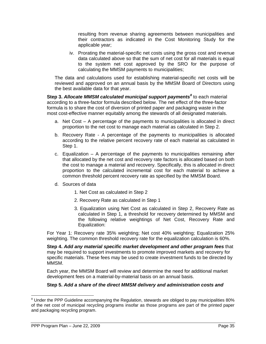resulting from revenue sharing agreements between municipalities and their contractors as indicated in the Cost Monitoring Study for the applicable year;

iv. Prorating the material-specific net costs using the gross cost and revenue data calculated above so that the sum of net cost for all materials is equal to the system net cost approved by the SRO for the purpose of calculating the MMSM payments to municipalities;

The data and calculations used for establishing material-specific net costs will be reviewed and approved on an annual basis by the MMSM Board of Directors using the best available data for that year.

Step 3. Allocate MMSM calculated municipal support payments<sup>[8](#page-40-0)</sup> to each material according to a three-factor formula described below. The net effect of the three-factor formula is to share the cost of diversion of printed paper and packaging waste in the most cost-effective manner equitably among the stewards of all designated materials.

- a. Net Cost A percentage of the payments to municipalities is allocated in direct proportion to the net cost to manage each material as calculated in Step 2.
- b. Recovery Rate A percentage of the payments to municipalities is allocated according to the relative percent recovery rate of each material as calculated in Step 1.
- c. Equalization A percentage of the payments to municipalities remaining after that allocated by the net cost and recovery rate factors is allocated based on both the cost to manage a material and recovery. Specifically, this is allocated in direct proportion to the calculated incremental cost for each material to achieve a common threshold percent recovery rate as specified by the MMSM Board.
- d. Sources of data
	- 1. Net Cost as calculated in Step 2
	- 2. Recovery Rate as calculated in Step 1
	- 3. Equalization using Net Cost as calculated in Step 2, Recovery Rate as calculated in Step 1, a threshold for recovery determined by MMSM and the following relative weightings of Net Cost, Recovery Rate and Equalization:

For Year 1: Recovery rate 35% weighting; Net cost 40% weighting; Equalization 25% weighting. The common threshold recovery rate for the equalization calculation is 60%.

**Step 4.** *Add any material specific market development and other program fees* that may be required to support investments to promote improved markets and recovery for specific materials. These fees may be used to create investment funds to be directed by MMSM.

 Each year, the MMSM Board will review and determine the need for additional market development fees on a material-by-material basis on an annual basis.

# **Step 5.** *Add a share of the direct MMSM delivery and administration costs and*

<span id="page-40-0"></span> $\overline{a}$ <sup>8</sup> Under the PPP Guideline accompanying the Regulation, stewards are obliged to pay municipalities 80% of the net cost of municipal recycling programs insofar as those programs are part of the printed paper and packaging recycling program.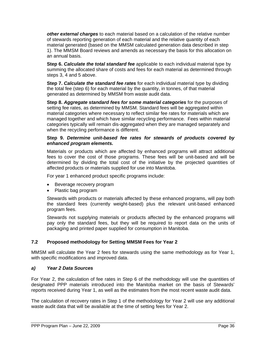*other external charges* to each material based on a calculation of the relative number of stewards reporting generation of each material and the relative quantity of each material generated (based on the MMSM calculated generation data described in step 1). The MMSM Board reviews and amends as necessary the basis for this allocation on an annual basis.

**Step 6.** *Calculate the total standard fee* applicable to each individual material type by summing the allocated share of costs and fees for each material as determined through steps 3, 4 and 5 above.

**Step 7.** *Calculate the standard fee rates* for each individual material type by dividing the total fee (step 6) for each material by the quantity, in tonnes, of that material generated as determined by MMSM from waste audit data.

**Step 8.** *Aggregate standard fees for some material categories* for the purposes of setting fee rates, as determined by MMSM. Standard fees will be aggregated within material categories where necessary to reflect similar fee rates for materials which are managed together and which have similar recycling performance. Fees within material categories typically will remain dis-aggregated when they are managed separately and when the recycling performance is different.

## **Step 9.** *Determine unit-based fee rates for stewards of products covered by enhanced program elements.*

Materials or products which are affected by enhanced programs will attract additional fees to cover the cost of those programs. These fees will be unit-based and will be determined by dividing the total cost of the initiative by the projected quantities of affected products or materials supplied for use into Manitoba.

For year 1 enhanced product specific programs include:

- Beverage recovery program
- Plastic bag program

Stewards with products or materials affected by these enhanced programs, will pay both the standard fees (currently weight-based) plus the relevant unit-based enhanced program fees.

Stewards not supplying materials or products affected by the enhanced programs will pay only the standard fees, but they will be required to report data on the units of packaging and printed paper supplied for consumption in Manitoba.

# **7.2 Proposed methodology for Setting MMSM Fees for Year 2**

MMSM will calculate the Year 2 fees for stewards using the same methodology as for Year 1, with specific modifications and improved data.

# *a) Year 2 Data Sources*

For Year 2, the calculation of fee rates in Step 6 of the methodology will use the quantities of designated PPP materials introduced into the Manitoba market on the basis of Stewards' reports received during Year 1, as well as the estimates from the most recent waste audit data.

The calculation of recovery rates in Step 1 of the methodology for Year 2 will use any additional waste audit data that will be available at the time of setting fees for Year 2.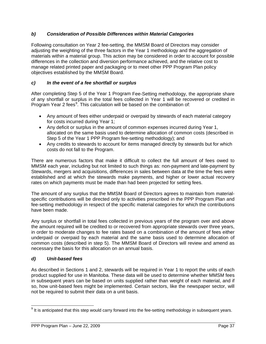# *b) Consideration of Possible Differences within Material Categories*

Following consultation on Year 2 fee-setting, the MMSM Board of Directors may consider adjusting the weighting of the three factors in the Year 1 methodology and the aggregation of materials within a material group. This action may be considered in order to account for possible differences in the collection and diversion performance achieved, and the relative cost to manage related printed paper and packaging or to meet other PPP Program Plan policy objectives established by the MMSM Board.

# *c) In the event of a fee shortfall or surplus*

After completing Step 5 of the Year 1 Program Fee-Setting methodology, the appropriate share of any shortfall or surplus in the total fees collected in Year 1 will be recovered or credited in Program Year 2 fees<sup>[9](#page-42-0)</sup>. This calculation will be based on the combination of:

- Any amount of fees either underpaid or overpaid by stewards of each material category for costs incurred during Year 1;
- Any deficit or surplus in the amount of common expenses incurred during Year 1, allocated on the same basis used to determine allocation of common costs (described in Step 5 of the Year 1 PPP Program fee-setting methodology); and
- Any credits to stewards to account for items managed directly by stewards but for which costs do not fall to the Program.

There are numerous factors that make it difficult to collect the full amount of fees owed to MMSM each year, including but not limited to such things as: non-payment and late-payment by Stewards, mergers and acquisitions, differences in sales between data at the time the fees were established and at which the stewards make payments, and higher or lower actual recovery rates on which payments must be made than had been projected for setting fees.

The amount of any surplus that the MMSM Board of Directors agrees to maintain from materialspecific contributions will be directed only to activities prescribed in the PPP Program Plan and fee-setting methodology in respect of the specific material categories for which the contributions have been made.

Any surplus or shortfall in total fees collected in previous years of the program over and above the amount required will be credited to or recovered from appropriate stewards over three years, in order to moderate changes to fee rates based on a combination of the amount of fees either underpaid or overpaid by each material and the same basis used to determine allocation of common costs (described in step 5). The MMSM Board of Directors will review and amend as necessary the basis for this allocation on an annual basis.

# *d) Unit-based fees*

As described in Sections 1 and 2, stewards will be required in Year 1 to report the units of each product supplied for use in Manitoba. These data will be used to determine whether MMSM fees in subsequent years can be based on units supplied rather than weight of each material, and if so, how unit-based fees might be implemented. Certain sectors, like the newspaper sector, will not be required to submit their data on a unit basis.

<span id="page-42-0"></span><sup>-</sup> $9$  It is anticipated that this step would carry forward into the fee-setting methodology in subsequent years.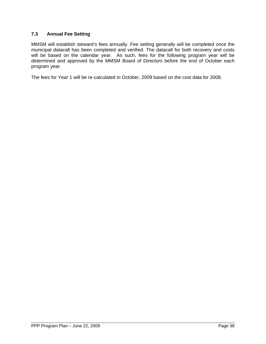# **7.3 Annual Fee Setting**

MMSM will establish steward's fees annually. Fee setting generally will be completed once the municipal datacall has been completed and verified. The datacall for both recovery and costs will be based on the calendar year. As such, fees for the following program year will be determined and approved by the MMSM Board of Directors before the end of October each program year.

The fees for Year 1 will be re-calculated in October, 2009 based on the cost data for 2008.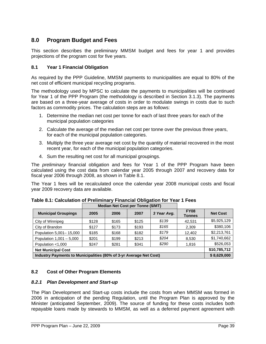# **8.0 Program Budget and Fees**

This section describes the preliminary MMSM budget and fees for year 1 and provides projections of the program cost for five years.

# **8.1 Year 1 Financial Obligation**

As required by the PPP Guideline, MMSM payments to municipalities are equal to 80% of the net cost of efficient municipal recycling programs.

The methodology used by MPSC to calculate the payments to municipalities will be continued for Year 1 of the PPP Program (the methodology is described in Section 3.1.3). The payments are based on a three-year average of costs in order to modulate swings in costs due to such factors as commodity prices. The calculation steps are as follows:

- 1. Determine the median net cost per tonne for each of last three years for each of the municipal population categories
- 2. Calculate the average of the median net cost per tonne over the previous three years, for each of the municipal population categories.
- 3. Multiply the three year average net cost by the quantity of material recovered in the most recent year, for each of the municipal population categories.
- 4. Sum the resulting net cost for all municipal groupings.

The *preliminary* financial obligation and fees for Year 1 of the PPP Program have been calculated using the cost data from calendar year 2005 through 2007 and recovery data for fiscal year 2006 through 2008, as shown in Table 8.1.

The Year 1 fees will be recalculated once the calendar year 2008 municipal costs and fiscal year 2009 recovery data are available.

|                                                                    | <b>Median Net Cost per Tonne (\$/MT)</b> |       |       |              |                       |                 |
|--------------------------------------------------------------------|------------------------------------------|-------|-------|--------------|-----------------------|-----------------|
| <b>Municipal Groupings</b>                                         | 2005                                     | 2006  | 2007  | 3 Year Avg.  | <b>FY08</b><br>Tonnes | <b>Net Cost</b> |
| City of Winnipeg                                                   | \$128                                    | \$165 | \$125 | \$139        | 42.531                | \$5,925,129     |
| City of Brandon                                                    | \$127                                    | \$173 | \$193 | \$165        | 2,309                 | \$380,106       |
| Population 5,001-15,000                                            | \$185                                    | \$168 | \$182 | \$179        | 12.402                | \$2,213,761     |
| Population $1,001 - 5,000$                                         | \$201                                    | \$199 | \$213 | \$204        | 8,530                 | \$1,740,662     |
| Population <1,000                                                  | \$247                                    | \$281 | \$341 | \$290        | 1,816                 | \$526,053       |
| <b>Net Municipal Cost</b>                                          |                                          |       |       | \$10,785,712 |                       |                 |
| Industry Payments to Municipalities (80% of 3-yr Average Net Cost) |                                          |       |       | \$8,629,000  |                       |                 |

**Table 8.1: Calculation of Preliminary Financial Obligation for Year 1 Fees** 

# **8.2 Cost of Other Program Elements**

# *8.2.1 Plan Development and Start-up*

The Plan Development and Start-up costs include the costs from when MMSM was formed in 2006 in anticipation of the pending Regulation, until the Program Plan is approved by the Minister (anticipated September, 2009). The source of funding for these costs includes both repayable loans made by stewards to MMSM, as well as a deferred payment agreement with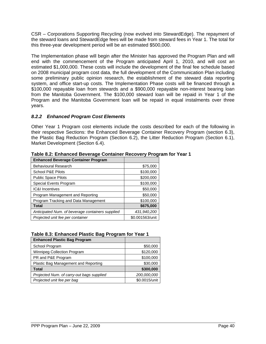CSR – Corporations Supporting Recycling (now evolved into StewardEdge). The repayment of the steward loans and StewardEdge fees will be made from steward fees in Year 1. The total for this three-year development period will be an estimated \$500,000.

The Implementation phase will begin after the Minister has approved the Program Plan and will end with the commencement of the Program anticipated April 1, 2010, and will cost an estimated \$1,000,000. These costs will include the development of the final fee schedule based on 2008 municipal program cost data, the full development of the Communication Plan including some preliminary public opinion research, the establishment of the steward data reporting system, and office start-up costs. The Implementation Phase costs will be financed through a \$100,000 repayable loan from stewards and a \$900,000 repayable non-interest bearing loan from the Manitoba Government. The \$100,000 steward loan will be repaid in Year 1 of the Program and the Manitoba Government loan will be repaid in equal instalments over three years.

# *8.2.2 Enhanced Program Cost Elements*

Other Year 1 Program cost elements include the costs described for each of the following in their respective Sections: the Enhanced Beverage Container Recovery Program (section 6.3), the Plastic Bag Reduction Program (Section 6.2), the Litter Reduction Program (Section 6.1), Market Development (Section 6.4).

| <b>Enhanced Beverage Container Program</b>       |                 |
|--------------------------------------------------|-----------------|
| <b>Behavioural Research</b>                      | \$75,000        |
| <b>School P&amp;E Pilots</b>                     | \$100,000       |
| <b>Public Space Pilots</b>                       | \$200,000       |
| Special Events Program                           | \$100,000       |
| <b>IC&amp;I Incentives</b>                       | \$50,000        |
| Program Management and Reporting                 | \$50,000        |
| Program Tracking and Data Management             | \$100,000       |
| <b>Total</b>                                     | \$675,000       |
| Anticipated Num. of beverage containers supplied | 431,940,200     |
| Projected unit fee per container                 | \$0.001563/unit |

**Table 8.2: Enhanced Beverage Container Recovery Program for Year 1** 

# **Table 8.3: Enhanced Plastic Bag Program for Year 1**

| <b>Enhanced Plastic Bag Program</b>       |               |
|-------------------------------------------|---------------|
| School Program                            | \$50,000      |
| <b>Winnipeg Collection Program</b>        | \$120,000     |
| PR and P&E Program                        | \$100,000     |
| Plastic Bag Management and Reporting      | \$30,000      |
| Total                                     | \$300,000     |
| Projected Num. of carry-out bags supplied | 200,000,000   |
| Projected unit fee per bag                | \$0.0015/unit |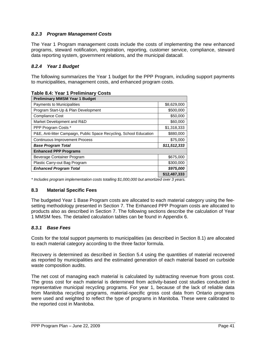# *8.2.3 Program Management Costs*

The Year 1 Program management costs include the costs of implementing the new enhanced programs, steward notification, registration, reporting, customer service, compliance, steward data reporting system, government relations, and the municipal datacall.

# *8.2.4 Year 1 Budget*

The following summarizes the Year 1 budget for the PPP Program, including support payments to municipalities, management costs, and enhanced program costs.

| <b>Preliminary MMSM Year 1 Budget</b>                               |              |
|---------------------------------------------------------------------|--------------|
| Payments to Municipalities                                          | \$8,629,000  |
| Program Start-Up & Plan Development                                 | \$500,000    |
| <b>Compliance Cost</b>                                              | \$50,000     |
| Market Development and R&D                                          | \$60,000     |
| PPP Program Costs *                                                 | \$1,318,333  |
| P&E, Anti-litter Campaign, Public Space Recycling, School Education | \$880,000    |
| <b>Continuous Improvement Process</b>                               | \$75,000     |
| <b>Base Program Total</b>                                           | \$11,512,333 |
| <b>Enhanced PPP Programs</b>                                        |              |
| Beverage Container Program                                          | \$675,000    |
| Plastic Carry-out Bag Program                                       | \$300,000    |
| <b>Enhanced Program Total</b>                                       | \$975,000    |
|                                                                     | \$12,487,333 |

**Table 8.4: Year 1 Preliminary Costs** 

*\* Includes program implementation costs totalling \$1,000,000 but amortized over 3 years.* 

# **8.3 Material Specific Fees**

The budgeted Year 1 Base Program costs are allocated to each material category using the feesetting methodology presented in Section 7. The Enhanced PPP Program costs are allocated to products also as described in Section 7. The following sections describe the calculation of Year 1 MMSM fees. The detailed calculation tables can be found in Appendix 6.

# *8.3.1 Base Fees*

Costs for the total support payments to municipalities (as described in Section 8.1) are allocated to each material category according to the three factor formula.

Recovery is determined as described in Section 5.4 using the quantities of material recovered as reported by municipalities and the estimated generation of each material based on curbside waste composition audits.

The net cost of managing each material is calculated by subtracting revenue from gross cost. The gross cost for each material is determined from activity-based cost studies conducted in representative municipal recycling programs. For year 1, because of the lack of reliable data from Manitoba recycling programs, material-specific gross cost data from Ontario programs were used and weighted to reflect the type of programs in Manitoba. These were calibrated to the reported cost in Manitoba.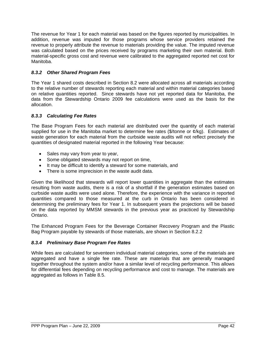The revenue for Year 1 for each material was based on the figures reported by municipalities. In addition, revenue was imputed for those programs whose service providers retained the revenue to properly attribute the revenue to materials providing the value. The imputed revenue was calculated based on the prices received by programs marketing their own material. Both material-specific gross cost and revenue were calibrated to the aggregated reported net cost for Manitoba.

# *8.3.2 Other Shared Program Fees*

The Year 1 shared costs described in Section 8.2 were allocated across all materials according to the relative number of stewards reporting each material and within material categories based on relative quantities reported. Since stewards have not yet reported data for Manitoba, the data from the Stewardship Ontario 2009 fee calculations were used as the basis for the allocation.

# *8.3.3 Calculating Fee Rates*

The Base Program Fees for each material are distributed over the quantity of each material supplied for use in the Manitoba market to determine fee rates (\$/tonne or  $\varrho$ /kg). Estimates of waste generation for each material from the curbside waste audits will not reflect precisely the quantities of designated material reported in the following Year because:

- Sales may vary from year to year,
- Some obligated stewards may not report on time,
- It may be difficult to identify a steward for some materials, and
- There is some imprecision in the waste audit data.

Given the likelihood that stewards will report lower quantities in aggregate than the estimates resulting from waste audits, there is a risk of a shortfall if the generation estimates based on curbside waste audits were used alone. Therefore, the experience with the variance in reported quantities compared to those measured at the curb in Ontario has been considered in determining the preliminary fees for Year 1. In subsequent years the projections will be based on the data reported by MMSM stewards in the previous year as practiced by Stewardship Ontario.

The Enhanced Program Fees for the Beverage Container Recovery Program and the Plastic Bag Program payable by stewards of those materials, are shown in Section 8.2.2

# *8.3.4 Preliminary Base Program Fee Rates*

While fees are calculated for seventeen individual material categories, some of the materials are aggregated and have a single fee rate. These are materials that are generally managed together throughout the system and/or have a similar level of recycling performance. This allows for differential fees depending on recycling performance and cost to manage. The materials are aggregated as follows in [Table 8.5.](#page-48-0)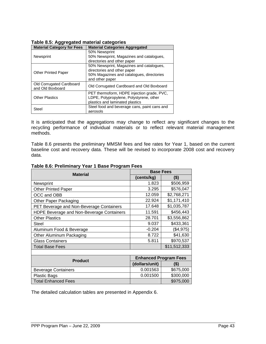<span id="page-48-0"></span>

| - כפי<br><b>Material Category for Fees</b>   | <b>Material Categories Aggregated</b>        |  |  |
|----------------------------------------------|----------------------------------------------|--|--|
|                                              | 50% Newsprint                                |  |  |
| <b>Newsprint</b>                             | 50% Newsprint, Magazines and catalogues,     |  |  |
|                                              | directories and other paper                  |  |  |
|                                              | 50% Newsprint, Magazines and catalogues,     |  |  |
| <b>Other Printed Paper</b>                   | directories and other paper                  |  |  |
|                                              | 50% Magazines and catalogues, directories    |  |  |
|                                              | and other paper                              |  |  |
| Old Corrugated Cardboard<br>and Old Boxboard | Old Corrugated Cardboard and Old Boxboard    |  |  |
|                                              | PET thermoform, HDPE injection grade, PVC,   |  |  |
| <b>Other Plastics</b>                        | LDPE, Polypropylene, Polystyrene, other      |  |  |
|                                              | plastics and laminated plastics              |  |  |
| Steel                                        | Steel food and beverage cans, paint cans and |  |  |
|                                              | aerosols                                     |  |  |

# **Table 8.5: Aggregated material categories**

It is anticipated that the aggregations may change to reflect any significant changes to the recycling performance of individual materials or to reflect relevant material management methods.

[Table 8.6](#page-48-1) presents the preliminary MMSM fees and fee rates for Year 1, based on the current baseline cost and recovery data. These will be revised to incorporate 2008 cost and recovery data.

| <b>Material</b>                           | <b>Base Fees</b>             |              |  |
|-------------------------------------------|------------------------------|--------------|--|
|                                           | (cents/kg)                   | $($ \$)      |  |
| Newsprint                                 | 1.823                        | \$506,959    |  |
| <b>Other Printed Paper</b>                | 3.295                        | \$576,047    |  |
| OCC and OBB                               | 12.059                       | \$2,768,271  |  |
| <b>Other Paper Packaging</b>              | 22.924                       | \$1,171,410  |  |
| PET Beverage and Non-Beverage Containers  | 17.648                       | \$1,035,787  |  |
| HDPE Beverage and Non-Beverage Containers | 11.591                       | \$456,443    |  |
| <b>Other Plastics</b>                     | 28.701                       | \$3,556,862  |  |
| <b>Steel</b>                              | 9.037                        | \$433,361    |  |
| Aluminum Food & Beverage                  | $-0.204$                     | (\$4,975)    |  |
| Other Aluminum Packaging                  | 8.722                        | \$41,630     |  |
| <b>Glass Containers</b>                   | 5.811                        | \$970,537    |  |
| <b>Total Base Fees</b>                    |                              | \$11,512,333 |  |
|                                           |                              |              |  |
| <b>Product</b>                            | <b>Enhanced Program Fees</b> |              |  |
|                                           | (dollars/unit)               | (\$)         |  |
| <b>Beverage Containers</b>                | 0.001563                     | \$675,000    |  |
| <b>Plastic Bags</b>                       | 0.001500                     | \$300,000    |  |
| <b>Total Enhanced Fees</b>                |                              | \$975,000    |  |

### <span id="page-48-1"></span>**Table 8.6: Preliminary Year 1 Base Program Fees**

The detailed calculation tables are presented in Appendix 6.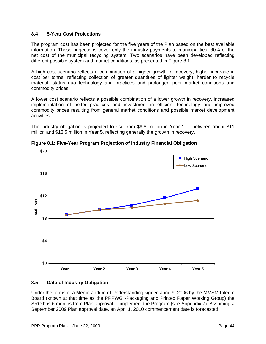# **8.4 5-Year Cost Projections**

The program cost has been projected for the five years of the Plan based on the best available information. These projections cover only the industry payments to municipalities, 80% of the net cost of the municipal recycling system. Two scenarios have been developed reflecting different possible system and market conditions, as presented in [Figure 8.1.](#page-49-0)

A high cost scenario reflects a combination of a higher growth in recovery, higher increase in cost per tonne, reflecting collection of greater quantities of lighter weight, harder to recycle material, status quo technology and practices and prolonged poor market conditions and commodity prices.

A lower cost scenario reflects a possible combination of a lower growth in recovery, increased implementation of better practices and investment in efficient technology and improved commodity prices resulting from general market conditions and possible market development activities.

The industry obligation is projected to rise from \$8.6 million in Year 1 to between about \$11 million and \$13.5 million in Year 5, reflecting generally the growth in recovery.

<span id="page-49-0"></span>

**Figure 8.1: Five-Year Program Projection of Industry Financial Obligation** 

# **8.5 Date of Industry Obligation**

Under the terms of a Memorandum of Understanding signed June 9, 2006 by the MMSM Interim Board (known at that time as the PPPWG -Packaging and Printed Paper Working Group) the SRO has 6 months from Plan approval to implement the Program (see Appendix 7). Assuming a September 2009 Plan approval date, an April 1, 2010 commencement date is forecasted.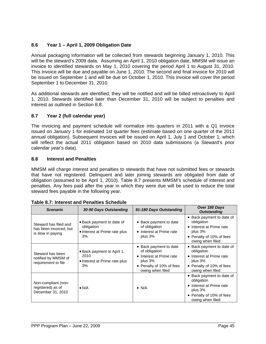# **8.6 Year 1 – April 1, 2009 Obligation Date**

Annual packaging information will be collected from stewards beginning January 1, 2010. This will be the steward's 2009 data. Assuming an April 1, 2010 obligation date, MMSM will issue an invoice to identified stewards on May 1, 2010 covering the period April 1 to August 31, 2010. This invoice will be due and payable on June 1, 2010. The second and final invoice for 2010 will be issued on September 1 and will be due on October 1, 2010. This invoice will cover the period September 1 to December 31, 2010.

As additional stewards are identified, they will be notified and will be billed retroactively to April 1, 2010. Stewards identified later than December 31, 2010 will be subject to penalties and interest as outlined in Section 8.8.

# **8.7 Year 2 (full calendar year)**

The invoicing and payment schedule will normalize into quarters in 2011 with a Q1 invoice issued on January 1 for estimated 1st quarter fees (estimate based on one quarter of the 2011 annual obligation). Subsequent invoices will be issued on April 1, July 1 and October 1, which will reflect the actual 2011 obligation based on 2010 data submissions (a Steward's prior calendar year's data).

# **8.8 Interest and Penalties**

MMSM will charge interest and penalties to stewards that have not submitted fees or stewards that have not registered. Delinquent and later joining stewards are obligated from date of obligation (assumed to be April 1, 2010). [Table 8.7](#page-50-0) presents MMSM's schedule of interest and penalties. Any fees paid after the year in which they were due will be used to reduce the total steward fees payable in the following year.

| <b>Scenario</b>                                                      | 30-90 Days Outstanding                                                         | 91-180 Days Outstanding                                                                                                          | Over 180 Days<br><b>Outstanding</b>                                                                                              |
|----------------------------------------------------------------------|--------------------------------------------------------------------------------|----------------------------------------------------------------------------------------------------------------------------------|----------------------------------------------------------------------------------------------------------------------------------|
| Steward has filed and<br>has been invoiced, but<br>is slow in paying | • Back payment to date of<br>obligation<br>• Interest at Prime rate plus<br>3% | • Back payment to date<br>of obligation<br>• Interest at Prime rate<br>plus $3\%$                                                | • Back payment to date of<br>obligation<br>• Interest at Prime rate<br>plus $3%$<br>• Penalty of 10% of fees<br>owing when filed |
| Steward has been<br>notified by MMSM of<br>requirement to file       | • Back payment to April 1,<br>2010<br>• Interest at Prime rate plus<br>3%      | • Back payment to date<br>of obligation<br>• Interest at Prime rate<br>plus $3%$<br>• Penalty of 10% of fees<br>owing when filed | • Back payment to date of<br>obligation<br>• Interest at Prime rate<br>plus 3%<br>• Penalty of 10% of fees<br>owing when filed   |
| Non-compliant (non-<br>registered) as of<br>December 31, 2010        | $\bullet$ N/A                                                                  | $\bullet$ N/A                                                                                                                    | • Back payment to date of<br>obligation<br>• Interest at Prime rate<br>plus 3%<br>• Penalty of 10% of fees<br>owing when filed   |

<span id="page-50-0"></span>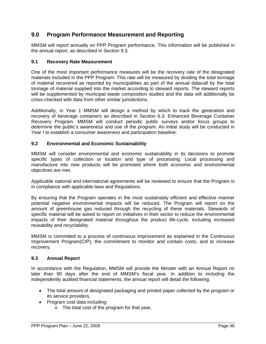# **9.0 Program Performance Measurement and Reporting**

MMSM will report annually on PPP Program performance. This information will be published in the annual report, as described in Section 9.3.

# **9.1 Recovery Rate Measurement**

One of the most important performance measures will be the recovery rate of the designated materials included in the PPP Program. This rate will be measured by dividing the total tonnage of material recovered as reported by municipalities as part of the annual datacall by the total tonnage of material supplied into the market according to steward reports. The steward reports will be supplemented by municipal waste composition studies and the data will additionally be cross-checked with data from other similar jurisdictions.

Additionally, in Year 1 MMSM will design a method by which to track the generation and recovery of beverage containers as described in Section 6.3: Enhanced Beverage Container Recovery Program. MMSM will conduct periodic public surveys and/or focus groups to determine the public's awareness and use of the program. An initial study will be conducted in Year I to establish a consumer awareness and participation baseline.

# **9.2 Environmental and Economic Sustainability**

MMSM will consider environmental and economic sustainability in its decisions to promote specific types of collection or location and type of processing. Local processing and manufacture into new products will be promoted where both economic and environmental objectives are met.

Applicable national and international agreements will be reviewed to ensure that the Program is in compliance with applicable laws and Regulations.

By ensuring that the Program operates in the most sustainably efficient and effective manner potential negative environmental impacts will be reduced. The Program will report on the amount of greenhouse gas reduced through the recycling of these materials. Stewards of specific material will be asked to report on initiatives in their sector to reduce the environmental impacts of their designated material throughout the product life-cycle, including increased reusability and recyclability.

MMSM is committed to a process of continuous improvement as explained in the Continuous Improvement Program(CIP), the commitment to monitor and contain costs, and to increase recovery.

# **9.3 Annual Report**

In accordance with the Regulation, MMSM will provide the Minster with an Annual Report no later than 90 days after the end of MMSM's fiscal year. In addition to including the independently audited financial statements, the annual report will detail the following:

- The total amount of designated packaging and printed paper collected by the program or its service providers,
- Program cost data including:
	- o The total cost of the program for that year,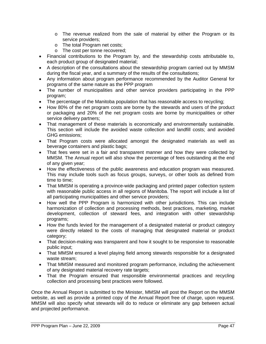- o The revenue realized from the sale of material by either the Program or its service providers;
- o The total Program net costs;
- o The cost per tonne recovered;
- Financial contributions to the Program by, and the stewardship costs attributable to, each product group of designated material;
- A description of the consultations about the stewardship program carried out by MMSM during the fiscal year, and a summary of the results of the consultations;
- Any information about program performance recommended by the Auditor General for programs of the same nature as the PPP program
- The number of municipalities and other service providers participating in the PPP program;
- The percentage of the Manitoba population that has reasonable access to recycling;
- How 80% of the net program costs are borne by the stewards and users of the product or packaging and 20% of the net program costs are borne by municipalities or other service delivery partners;
- That management of these materials is economically and environmentally sustainable. This section will include the avoided waste collection and landfill costs; and avoided GHG emissions;
- That Program costs were allocated amongst the designated materials as well as beverage containers and plastic bags;
- That fees were set in a fair and transparent manner and how they were collected by MMSM. The Annual report will also show the percentage of fees outstanding at the end of any given year;
- How the effectiveness of the public awareness and education program was measured. This may include tools such as focus groups, surveys, or other tools as defined from time to time;
- That MMSM is operating a province-wide packaging and printed paper collection system with reasonable public access in all regions of Manitoba. The report will include a list of all participating municipalities and other service providers;
- How well the PPP Program is harmonized with other jurisdictions. This can include harmonization of collection and processing methods, best practices, marketing, market development, collection of steward fees, and integration with other stewardship programs;
- How the funds levied for the management of a designated material or product category were directly related to the costs of managing that designated material or product category;
- That decision-making was transparent and how it sought to be responsive to reasonable public input;
- That MMSM ensured a level playing field among stewards responsible for a designated waste stream;
- That MMSM measured and monitored program performance, including the achievement of any designated material recovery rate targets;
- That the Program ensured that responsible environmental practices and recycling collection and processing best practices were followed.

Once the Annual Report is submitted to the Minister, MMSM will post the Report on the MMSM website, as well as provide a printed copy of the Annual Report free of charge, upon request. MMSM will also specify what stewards will do to reduce or eliminate any gap between actual and projected performance.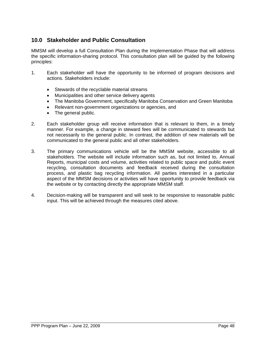# **10.0 Stakeholder and Public Consultation**

MMSM will develop a full Consultation Plan during the Implementation Phase that will address the specific information-sharing protocol. This consultation plan will be guided by the following principles:

- 1. Each stakeholder will have the opportunity to be informed of program decisions and actions. Stakeholders include:
	- Stewards of the recyclable material streams
	- Municipalities and other service delivery agents
	- The Manitoba Government, specifically Manitoba Conservation and Green Manitoba
	- Relevant non-government organizations or agencies, and
	- The general public.
- 2. Each stakeholder group will receive information that is relevant to them, in a timely manner. For example, a change in steward fees will be communicated to stewards but not necessarily to the general public. In contrast, the addition of new materials will be communicated to the general public and all other stakeholders.
- 3. The primary communications vehicle will be the MMSM website, accessible to all stakeholders. The website will include information such as, but not limited to, Annual Reports, municipal costs and volume, activities related to public space and public event recycling, consultation documents and feedback received during the consultation process, and plastic bag recycling information. All parties interested in a particular aspect of the MMSM decisions or activities will have opportunity to provide feedback via the website or by contacting directly the appropriate MMSM staff.
- 4. Decision-making will be transparent and will seek to be responsive to reasonable public input. This will be achieved through the measures cited above.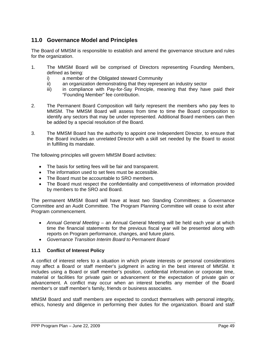# **11.0 Governance Model and Principles**

The Board of MMSM is responsible to establish and amend the governance structure and rules for the organization.

- 1. The MMSM Board will be comprised of Directors representing Founding Members, defined as being:
	- i) a member of the Obligated steward Community
	- ii) an organization demonstrating that they represent an industry sector
	- iii) in compliance with Pay-for-Say Principle, meaning that they have paid their "Founding Member" fee contribution.
- 2. The Permanent Board Composition will fairly represent the members who pay fees to MMSM. The MMSM Board will assess from time to time the Board composition to identify any sectors that may be under represented. Additional Board members can then be added by a special resolution of the Board.
- 3. The MMSM Board has the authority to appoint one Independent Director, to ensure that the Board includes an unrelated Director with a skill set needed by the Board to assist in fulfilling its mandate.

The following principles will govern MMSM Board activities:

- The basis for setting fees will be fair and transparent.
- The information used to set fees must be accessible.
- The Board must be accountable to SRO members.
- The Board must respect the confidentiality and competitiveness of information provided by members to the SRO and Board.

The permanent MMSM Board will have at least two Standing Committees: a Governance Committee and an Audit Committee. The Program Planning Committee will cease to exist after Program commencement.

- *Annual General Meeting* an Annual General Meeting will be held each year at which time the financial statements for the previous fiscal year will be presented along with reports on Program performance, changes, and future plans.
- *Governance Transition Interim Board to Permanent Board*

# **11.1 Conflict of Interest Policy**

A conflict of interest refers to a situation in which private interests or personal considerations may affect a Board or staff member's judgment in acting in the best interest of MMSM. It includes using a Board or staff member's position, confidential information or corporate time, material or facilities for private gain or advancement or the expectation of private gain or advancement. A conflict may occur when an interest benefits any member of the Board member's or staff member's family, friends or business associates.

MMSM Board and staff members are expected to conduct themselves with personal integrity, ethics, honesty and diligence in performing their duties for the organization. Board and staff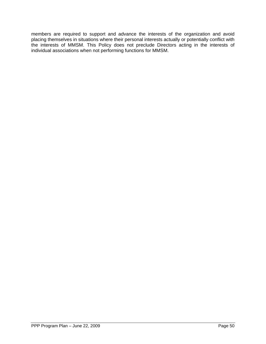members are required to support and advance the interests of the organization and avoid placing themselves in situations where their personal interests actually or potentially conflict with the interests of MMSM. This Policy does not preclude Directors acting in the interests of individual associations when not performing functions for MMSM.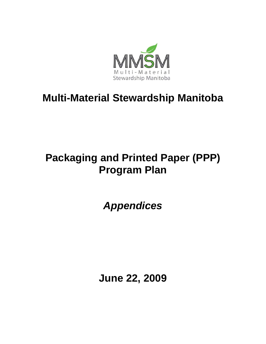

# **Multi-Material Stewardship Manitoba**

# **Packaging and Printed Paper (PPP) Program Plan**

*Appendices* 

**June 22, 2009**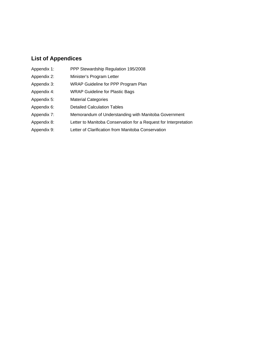# **List of Appendices**

- Appendix 1: PPP Stewardship Regulation 195/2008
- Appendix 2: Minister's Program Letter
- Appendix 3: WRAP Guideline for PPP Program Plan
- Appendix 4: WRAP Guideline for Plastic Bags
- Appendix 5: Material Categories
- Appendix 6: Detailed Calculation Tables
- Appendix 7: Memorandum of Understanding with Manitoba Government
- Appendix 8: Letter to Manitoba Conservation for a Request for Interpretation
- Appendix 9: Letter of Clarification from Manitoba Conservation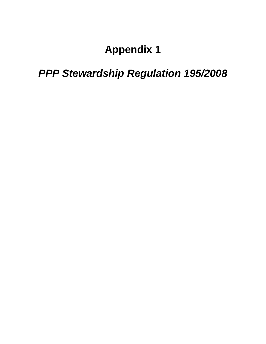# **Appendix 1**

# *PPP Stewardship Regulation 195/2008*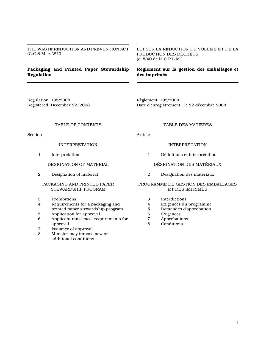THE WASTE REDUCTION AND PREVENTION ACT (C.C.S.M. c. W40)

### Packaging and Printed Paper Stewardship Regulation

LOI SUR LA RÉDUCTION DU VOLUME ET DE LA PRODUCTION DES DÉCHETS (c. W40 de la C.P.L.M.)

### Règlement sur la gestion des emballages et des imprimés

Regulation 195/2008 Registered December 22, 2008 Règlement 195/2008 Date d'enregistrement : le 22 décembre 2008

#### TABLE OF CONTENTS

Section

#### INTERPRETATION

1 Interpretation

DESIGNATION OF MATERIAL

2 Designation of material

#### PACKAGING AND PRINTED PAPER STEWARDSHIP PROGRAM

- 3 Prohibitions
- 4 Requirements for a packaging and printed paper stewardship program
- 5 Application for approval
- 6 Applicant must meet requirements for approval
- 7 Issuance of approval
- 8 Minister may impose new or additional conditions

### TABLE DES MATIÈRES

Article

#### INTERPRÉTATION

1 Définitions et interprétation

#### DÉSIGNATION DES MATÉRIAUX

2 Désignation des matériaux

#### PROGRAMME DE GESTION DES EMBALLAGES ET DES IMPRIMÉS

- 3 Interdictions
- 4 Exigences du programme<br>5 Demandes d'approbation
- 5 Demandes d'approbation<br>6 Exigences
- **Exigences**
- 7 Approbations
- 8 Conditions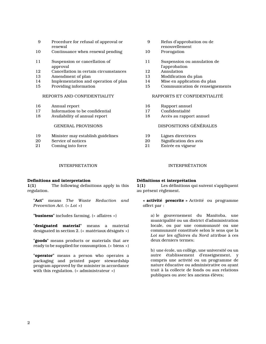- 9 Procedure for refusal of approval or renewal
- 10 Continuance when renewal pending
- 11 Suspension or cancellation of approval
- 12 Cancellation in certain circumstances<br>13 Amendment of plan
- Amendment of plan
- 14 Implementation and operation of plan<br>15 Providing information
- Providing information

#### REPORTS AND CONFIDENTIALITY

- 16 Annual report
- 17 Information to be confidential
- 18 Availability of annual report

#### GENERAL PROVISIONS

- 19 Minister may establish guidelines
- 20 Service of notices
- 21 Coming into force

#### INTERPRETATION INTERPRÉTATION

#### Definitions and interpretation

1(1) The following definitions apply in this regulation.

"Act" means The Waste Reduction and Prevention Act. (« Loi »)

"**business**" includes farming. (« affaires »)

"designated material" means a material designated in section 2. (« matériaux désignés »)

"goods" means products or materials that are ready to be supplied for consumption. (« biens »)

"**operator**" means a person who operates a packaging and printed paper stewardship program approved by the minister in accordance with this regulation. (« administrateur »)

- 9 Refus d'approbation ou de renouvellement
- 10 Prorogation
- 11 Suspension ou annulation de l'approbation
- 12 Annulation<br>13 Modification
- Modification du plan
- 14 Mise en application du plan<br>15 Communication de renseign
- Communication de renseignements

#### RAPPORTS ET CONFIDENTIALITÉ

- 16 Rapport annuel
- 17 Confidentialité
- 18 Accès au rapport annuel

#### DISPOSITIONS GÉNÉRALES

- 19 Lignes directrices
- 20 Signification des avis
- 21 Entrée en vigueur

#### Définitions et interprétation

1(1) Les définitions qui suivent s'appliquent au présent règlement.

« activité prescrite » Activité ou programme offert par :

a) le gouvernement du Manitoba, une municipalité ou un district d'administration locale, ou par une communauté ou une communauté constituée selon le sens que la Loi sur les affaires du Nord attribue à ces deux derniers termes;

b) une école, un collège, une université ou un autre établissement d'enseignement, y compris une activité ou un programme de nature éducative ou administrative ou ayant trait à la collecte de fonds ou aux relations publiques ou avec les anciens élèves;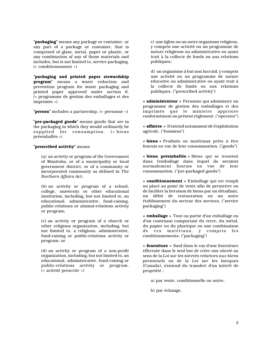"packaging" means any package or container, or any part of a package or container, that is comprised of glass, metal, paper or plastic, or any combination of any of those materials and includes, but is not limited to, service packaging. (« conditionnement »)

"packaging and printed paper stewardship program" means a waste reduction and prevention program for waste packaging and printed paper approved under section 6. (« programme de gestion des emballages et des imprimés »)

"**person**" includes a partnership. (« personne »)

"pre-packaged goods" means goods that are in the packaging in which they would ordinarily be supplied for consumption. (« biens préemballés »)

#### "**prescribed activity**" means

(a) an activity or program of the Government of Manitoba, or of a municipality or local government district, or of a community or incorporated community as defined in The Northern Affairs Act;

(b) an activity or program of a school, college, university or other educational institution, including, but not limited to, an educational, administrative, fund-raising, public-relations or alumni-relations activity or program;

(c) an activity or program of a church or other religious organization, including, but not limited to, a religious, administrative, fund-raising or public-relations activity or program; or

(d) an activity or program of a non-profit organization, including, but not limited to, an educational, administrative, fund-raising or public-relations activity or program. (« activité prescrite »)

c) une église ou un autre organisme religieux, y compris une activité ou un programme de nature religieuse ou administrative ou ayant trait à la collecte de fonds ou aux relations publiques;

d) un organisme à but non lucratif, y compris une activité ou un programme de nature éducative ou administrative ou ayant trait à la collecte de fonds ou aux relations publiques. ("prescribed activity")

« administrateur » Personne qui administre un programme de gestion des emballages et des imprimés que le ministre approuve conformément au présent règlement. ("operator")

« affaires » S'entend notamment de l'exploitation agricole. ("business")

« biens » Produits ou matériaux prêts à être fournis en vue de leur consommation. ("goods")

« biens préemballés » Biens qui se trouvent dans l'emballage dans lequel ils seraient normalement fournis en vue de leur consommation. ("pre-packaged goods")

« conditionnement » Emballage qui est rempli ou placé au point de vente afin de permettre ou de faciliter la livraison de biens par un détaillant, débit de restauration ou un autre établissement du secteur des services. ("service packaging")

« emballage » Tout ou partie d'un emballage ou d'un contenant comportant du verre, du métal, du papier ou du plastique ou une combinaison de ces matériaux, y compris les conditionnements. ("packaging")

« fourniture » Sauf dans le cas d'une fourniture effectuée dans le seul but de créer une sûreté au sens de la Loi sur les sûretés relatives aux biens personnels ou de la Loi sur les banques (Canada), s'entend du transfert d'un intérêt de propriété :

a) par vente, conditionnelle ou autre;

b) par échange;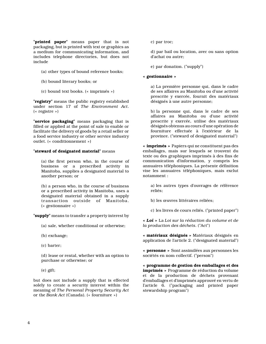"**printed paper**" means paper that is not packaging, but is printed with text or graphics as a medium for communicating information, and includes telephone directories, but does not include

- (a) other types of bound reference books;
- (b) bound literary books; or
- (c) bound text books. (« imprimés »)

"registry" means the public registry established under section 17 of The Environment Act. (« registre »)

"service packaging" means packaging that is filled or applied at the point of sale to enable or facilitate the delivery of goods by a retail seller or a food service industry or other service industry outlet. (« conditionnement »)

#### "steward of designated material" means

(a) the first person who, in the course of business or a prescribed activity in Manitoba, supplies a designated material to another person; or

(b) a person who, in the course of business or a prescribed activity in Manitoba, uses a designated material obtained in a supply transaction outside of Manitoba. (« gestionnaire »)

"supply" means to transfer a property interest by

- (a) sale, whether conditional or otherwise;
- (b) exchange;
- (c) barter;

(d) lease or rental, whether with an option to purchase or otherwise; or

(e) gift;

but does not include a supply that is effected solely to create a security interest within the meaning of The Personal Property Security Act or the Bank Act (Canada). (« fourniture »)

c) par troc;

d) par bail ou location, avec ou sans option d'achat ou autre;

e) par donation. ("supply")

#### « gestionnaire »

a) La première personne qui, dans le cadre de ses affaires au Manitoba ou d'une activité prescrite y exercée, fournit des matériaux désignés à une autre personne;

b) la personne qui, dans le cadre de ses affaires au Manitoba ou d'une activité prescrite y exercée, utilise des matériaux désignés obtenus au cours d'une opération de fourniture effectuée à l'extérieur de la province. ("steward of designated material")

« imprimés » Papiers qui ne constituent pas des emballages, mais sur lesquels se trouvent du texte ou des graphiques imprimés à des fins de communication d'information, y compris les annuaires téléphoniques. La présente définition vise les annuaires téléphoniques, mais exclut notamment :

a) les autres types d'ouvrages de référence reliés;

- b) les œuvres littéraires reliées;
- c) les livres de cours reliés. ("printed paper")

« Loi » La Loi sur la réduction du volume et de la production des déchets. ("Act")

« matériaux désignés » Matériaux désignés en application de l'article 2. ("designated material")

« personne » Sont assimilées aux personnes les sociétés en nom collectif. ("person")

« programme de gestion des emballages et des imprimés » Programme de réduction du volume et de la production de déchets provenant d'emballages et d'imprimés approuvé en vertu de l'article 6. ("packaging and printed paper stewardship program")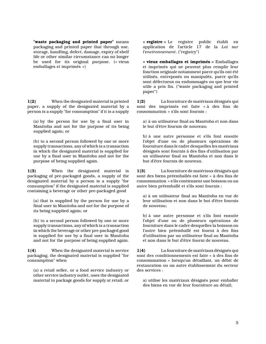"waste packaging and printed paper" means packaging and printed paper that through use, storage, handling, defect, damage, expiry of shelf life or other similar circumstance can no longer be used for its original purpose. (« vieux emballages et imprimés »)

1(2) When the designated material is printed paper, a supply of the designated material by a person is a supply "for consumption" if it is a supply

(a) by the person for use by a final user in Manitoba and not for the purpose of its being supplied again; or

(b) to a second person followed by one or more supply transactions, any of which is a transaction in which the designated material is supplied for use by a final user in Manitoba and not for the purpose of being supplied again.

1(3) When the designated material is packaging of pre-packaged goods, a supply of the designated material by a person is a supply "for consumption" if the designated material is supplied containing a beverage or other pre-packaged good

(a) that is supplied by the person for use by a final user in Manitoba and not for the purpose of its being supplied again; or

(b) to a second person followed by one or more supply transactions, any of which is a transaction in which the beverage or other pre-packaged good is supplied for use by a final user in Manitoba and not for the purpose of being supplied again.

1(4) When the designated material is service packaging, the designated material is supplied "for consumption" when

(a) a retail seller, or a food service industry or other service industry outlet, uses the designated material to package goods for supply at retail; or « registre » Le registre public établi en application de l'article 17 de la Loi sur l'environnement. ("registry")

« vieux emballages et imprimés » Emballages et imprimés qui ne peuvent plus remplir leur fonction originale notamment parce qu'ils ont été utilisés, entreposés ou manipulés, parce qu'ils sont défectueux ou endommagés ou que leur vie utile a pris fin. ("waste packaging and printed paper")

1(2) La fourniture de matériaux désignés qui sont des imprimés est faite « à des fins de consommation » s'ils sont fournis :

a) à un utilisateur final au Manitoba et non dans le but d'être fournis de nouveau;

b) à une autre personne et s'ils font ensuite l'objet d'une ou de plusieurs opérations de fourniture dans le cadre desquelles les matériaux désignés sont fournis à des fins d'utilisation par un utilisateur final au Manitoba et non dans le but d'être fournis de nouveau.

1(3) La fourniture de matériaux désignés qui sont des biens préemballés est faite « à des fins de consommation » s'ils contiennent une boisson ou un autre bien préemballé et s'ils sont fournis :

a) à un utilisateur final au Manitoba en vue de leur utilisation et non dans le but d'être fournis de nouveau;

b) à une autre personne et s'ils font ensuite l'objet d'une ou de plusieurs opérations de fourniture dans le cadre desquelles la boisson ou l'autre bien préemballé est fourni à des fins d'utilisation par un utilisateur final au Manitoba et non dans le but d'être fourni de nouveau.

1(4) La fourniture de matériaux désignés qui sont des conditionnements est faite « à des fins de consommation » lorsqu'un détaillant, un débit de restauration ou un autre établissement du secteur des services :

a) utilise les matériaux désignés pour emballer des biens en vue de leur fourniture au détail;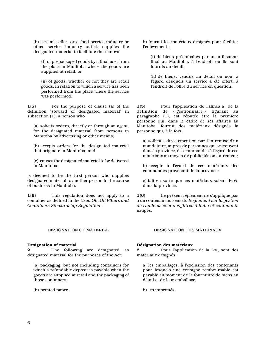(b) a retail seller, or a food service industry or other service industry outlet, supplies the designated material to facilitate the removal

(i) of prepackaged goods by a final user from the place in Manitoba where the goods are supplied at retail, or

(ii) of goods, whether or not they are retail goods, in relation to which a service has been performed from the place where the service was performed.

1(5) For the purpose of clause (a) of the definition "steward of designated material" in subsection (1), a person who

(a) solicits orders, directly or through an agent, for the designated material from persons in Manitoba by advertising or other means;

(b) accepts orders for the designated material that originate in Manitoba; and

(c) causes the designated material to be delivered in Manitoba;

is deemed to be the first person who supplies designated material to another person in the course of business in Manitoba.

1(6) This regulation does not apply to a container as defined in the Used Oil, Oil Filters and Containers Stewardship Regulation.

#### DESIGNATION OF MATERIAL DÉSIGNATION DES MATÉRIAUX

#### Designation of material

2 The following are designated as designated material for the purposes of the Act:

(a) packaging, but not including containers for which a refundable deposit is payable when the goods are supplied at retail and the packaging of those containers;

(b) printed paper.

b) fournit les matériaux désignés pour faciliter l'enlèvement :

(i) de biens préemballés par un utilisateur final au Manitoba, à l'endroit où ils sont fournis au détail,

(ii) de biens, vendus au détail ou non, à l'égard desquels un service a été offert, à l'endroit de l'offre du service en question.

1(5) Pour l'application de l'alinéa a) de la définition de « gestionnaire » figurant au paragraphe (1), est réputée être la première personne qui, dans le cadre de ses affaires au Manitoba, fournit des matériaux désignés la personne qui, à la fois :

a) sollicite, directement ou par l'entremise d'un mandataire, auprès de personnes qui se trouvent dans la province, des commandes à l'égard de ces matériaux au moyen de publicités ou autrement;

b) accepte à l'égard de ces matériaux des commandes provenant de la province;

c) fait en sorte que ces matériaux soient livrés dans la province.

1(6) Le présent règlement ne s'applique pas à un contenant au sens du Règlement sur la gestion de l'huile usée et des filtres à huile et contenants usagés.

#### Désignation des matériaux

2 Pour l'application de la Loi, sont des matériaux désignés :

a) les emballages, à l'exclusion des contenants pour lesquels une consigne remboursable est payable au moment de la fourniture de biens au détail et de leur emballage;

b) les imprimés.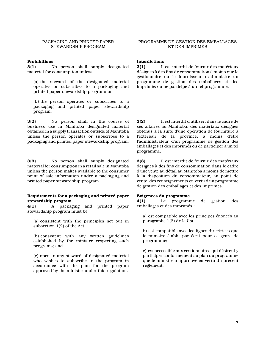#### PACKAGING AND PRINTED PAPER STEWARDSHIP PROGRAM

#### Prohibitions

3(1) No person shall supply designated material for consumption unless

(a) the steward of the designated material operates or subscribes to a packaging and printed paper stewardship program; or

(b) the person operates or subscribes to a packaging and printed paper stewardship program.

3(2) No person shall in the course of business use in Manitoba designated material obtained in a supply transaction outside of Manitoba unless the person operates or subscribes to a packaging and printed paper stewardship program.

3(3) No person shall supply designated material for consumption in a retail sale in Manitoba unless the person makes available to the consumer point of sale information under a packaging and printed paper stewardship program.

#### Requirements for a packaging and printed paper stewardship program

4(1) A packaging and printed paper stewardship program must be

(a) consistent with the principles set out in subsection 1(2) of the Act;

(b) consistent with any written guidelines established by the minister respecting such programs; and

(c) open to any steward of designated material who wishes to subscribe to the program in accordance with the plan for the program approved by the minister under this regulation.

#### PROGRAMME DE GESTION DES EMBALLAGES ET DES IMPRIMÉS

#### Interdictions

3(1) Il est interdit de fournir des matériaux désignés à des fins de consommation à moins que le gestionnaire ou le fournisseur n'administre un programme de gestion des emballages et des imprimés ou ne participe à un tel programme.

3(2) Il est interdit d'utiliser, dans le cadre de ses affaires au Manitoba, des matériaux désignés obtenus à la suite d'une opération de fourniture à l'extérieur de la province, à moins d'être l'administrateur d'un programme de gestion des emballages et des imprimés ou de participer à un tel programme.

3(3) Il est interdit de fournir des matériaux désignés à des fins de consommation dans le cadre d'une vente au détail au Manitoba à moins de mettre à la disposition du consommateur, au point de vente, des renseignements en vertu d'un programme de gestion des emballages et des imprimés.

#### Exigences du programme

4(1) Le programme de gestion des emballages et des imprimés :

a) est compatible avec les principes énoncés au paragraphe 1(2) de la Loi;

b) est compatible avec les lignes directrices que le ministre établit par écrit pour ce genre de programme;

c) est accessible aux gestionnaires qui désirent y participer conformément au plan du programme que le ministre a approuvé en vertu du présent règlement.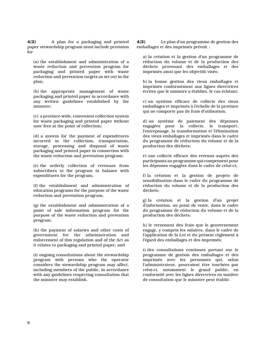4(2) A plan for a packaging and printed paper stewardship program must include provision for

(a) the establishment and administration of a waste reduction and prevention program for packaging and printed paper with waste reduction and prevention targets as set out in the plan;

(b) the appropriate management of waste packaging and printed paper in accordance with any written guidelines established by the minister;

(c) a province-wide, convenient collection system for waste packaging and printed paper without user fees at the point of collection;

(d) a system for the payment of expenditures incurred in the collection, transportation, storage, processing and disposal of waste packaging and printed paper in connection with the waste reduction and prevention program;

(e) the orderly collection of revenues from subscribers to the program in balance with expenditures for the program;

(f) the establishment and administration of education programs for the purpose of the waste reduction and prevention program;

(g) the establishment and administration of a point of sale information program for the purpose of the waste reduction and prevention program;

(h) the payment of salaries and other costs of government for the administration and enforcement of this regulation and of the Act as it relates to packaging and printed paper; and

(i) ongoing consultations about the stewardship program with persons who the operator considers the stewardship program may affect, including members of the public, in accordance with any guidelines respecting consultation that the minister may establish.

4(2) Le plan d'un programme de gestion des emballages et des imprimés prévoit :

a) la création et la gestion d'un programme de réduction du volume et de la production des déchets provenant des emballages et des imprimés ainsi que les objectifs visés;

b) la bonne gestion des vieux emballages et imprimés conformément aux lignes directrices écrites que le ministre a établies, le cas échéant;

c) un système efficace de collecte des vieux emballages et imprimés à l'échelle de la province qui ne comporte pas de frais d'utilisation;

d) un système de paiement des dépenses engagées pour la collecte, le transport, l'entreposage, la transformation et l'élimination des vieux emballages et imprimés dans le cadre du programme de réduction du volume et de la production des déchets;

e) une collecte efficace des revenus auprès des participants au programme qui compensent pour les dépenses engagées dans le cadre de celui-ci;

f) la création et la gestion de projets de sensibilisation dans le cadre du programme de réduction du volume et de la production des déchets;

g) la création et la gestion d'un projet d'information, au point de vente, dans le cadre du programme de réduction du volume et de la production des déchets;

h) le versement des frais que le gouvernement engage, y compris les salaires, dans le cadre de l'application de la Loi et du présent règlement à l'égard des emballages et des imprimés;

i) des consultations continues portant sur le programme de gestion des emballages et des imprimés avec les personnes qui, selon l'administrateur, pourraient être touchées par celui-ci, notamment le grand public, en conformité avec les lignes directrices en matière de consultation que le ministre peut établir.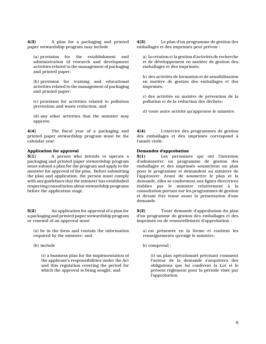4(3) A plan for a packaging and printed paper stewardship program may include

(a) provision for the establishment and administration of research and development activities related to the management of packaging and printed paper;

(b) provision for training and educational activities related to the management of packaging and printed paper;

(c) provision for activities related to pollution prevention and waste reduction; and

(d) any other activities that the minister may approve.

4(4) The fiscal year of a packaging and printed paper stewardship program must be the calendar year.

#### Application for approval

**5(1)** A person who intends to operate a packaging and printed paper stewardship program must submit a plan for the program and apply to the minister for approval of the plan. Before submitting the plan and application, the person must comply with any guidelines that the minister has established respecting consultation about stewardship programs before the application stage.

5(2) An application for approval of a plan for a packaging and printed paper stewardship program or renewal of an approval must

(a) be in the form and contain the information required by the minister; and

(b) include

(i) a business plan for the implementation of the applicant's responsibilities under the Act and this regulation covering the period for which the approval is being sought, and

4(3) Le plan d'un programme de gestion des emballages et des imprimés peut prévoir :

a) la création et la gestion d'activités de recherche et de développement en matière de gestion des emballages et des imprimés;

b) des activités de formation et de sensibilisation en matière de gestion des emballages et des imprimés;

c) des activités en matière de prévention de la pollution et de la réduction des déchets;

d) toute autre activité qu'approuve le ministre.

4(4) L'exercice des programmes de gestion des emballages et des imprimés correspond à l'année civile.

#### Demandes d'approbation

5(1) Les personnes qui ont l'intention d'administrer un programme de gestion des emballages et des imprimés soumettent un plan pour le programme et demandent au ministre de l'approuver. Avant de soumettre le plan et la demande, elles se conforment aux lignes directrices établies par le ministre relativement à la consultation portant sur les programmes de gestion et devant être tenue avant la présentation d'une demande.

5(2) Toute demande d'approbation du plan d'un programme de gestion des emballages et des imprimés ou de renouvellement d'approbation :

a) est présentée en la forme et contient les renseignements qu'exige le ministre;

b) comprend :

(i) un plan opérationnel précisant comment l'auteur de la demande s'acquittera des obligations que lui confèrent la Loi et le présent règlement pour la période visée par l'approbation,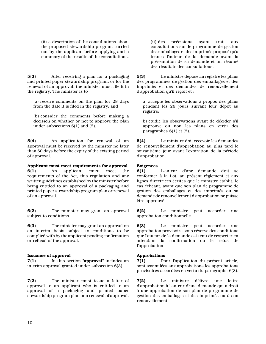(ii) a description of the consultations about the proposed stewardship program carried out by the applicant before applying and a summary of the results of the consultations.

5(3) After receiving a plan for a packaging and printed paper stewardship program, or for the renewal of an approval, the minister must file it in the registry. The minister is to

(a) receive comments on the plan for 28 days from the date it is filed in the registry; and

(b) consider the comments before making a decision on whether or not to approve the plan under subsections 6(1) and (2).

5(4) An application for renewal of an approval must be received by the minister no later than 60 days before the expiry of the existing period of approval.

#### Applicant must meet requirements for approval

6(1) An applicant must meet the requirements of the Act, this regulation and any written guidelines established by the minister before being entitled to an approval of a packaging and printed paper stewardship program plan or renewal of an approval.

6(2) The minister may grant an approval subject to conditions.

6(3) The minister may grant an approval on an interim basis subject to conditions to be complied with by the applicant pending confirmation or refusal of the approval.

#### Issuance of approval

7(1) In this section "approval" includes an interim approval granted under subsection 6(3).

7(2) The minister must issue a letter of approval to an applicant who is entitled to an approval of a packaging and printed paper stewardship program plan or a renewal of approval.

(ii) des précisions ayant trait aux consultations sur le programme de gestion des emballages et des imprimés proposé qu'a tenues l'auteur de la demande avant la présentation de sa demande et un résumé des résultats des consultations.

5(3) Le ministre dépose au registre les plans des programmes de gestion des emballages et des imprimés et des demandes de renouvellement d'approbation qu'il reçoit et :

a) accepte les observations à propos des plans pendant les 28 jours suivant leur dépôt au registre;

b) étudie les observations avant de décider s'il approuve ou non les plans en vertu des paragraphes 6(1) et (2).

5(4) Le ministre doit recevoir les demandes de renouvellement d'approbation au plus tard le soixantième jour avant l'expiration de la période d'approbation.

#### Exigences

6(1) L'auteur d'une demande doit se conformer à la Loi, au présent règlement et aux lignes directrices écrites que le ministre établit, le cas échéant, avant que son plan de programme de gestion des emballages et des imprimés ou sa demande de renouvellement d'approbation ne puisse être approuvé.

6(2) Le ministre peut accorder une approbation conditionnelle.

6(3) Le ministre peut accorder une approbation provisoire sous réserve des conditions que l'auteur de la demande est tenu de respecter en attendant la confirmation ou le refus de l'approbation.

#### Approbations

7(1) Pour l'application du présent article, sont assimilées aux approbations les approbations provisoires accordées en vertu du paragraphe 6(3).

7(2) Le ministre délivre une lettre d'approbation à l'auteur d'une demande qui a droit à une approbation de son plan de programme de gestion des emballages et des imprimés ou à son renouvellement.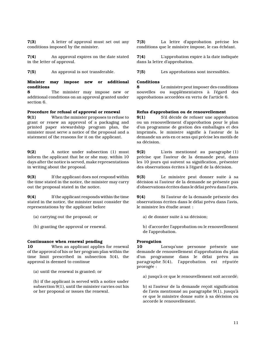7(3) A letter of approval must set out any conditions imposed by the minister.

7(4) An approval expires on the date stated in the letter of approval.

#### Minister may impose new or additional conditions

8 The minister may impose new or additional conditions on an approval granted under section 6.

#### Procedure for refusal of approval or renewal

9(1) When the minister proposes to refuse to grant or renew an approval of a packaging and printed paper stewardship program plan, the minister must serve a notice of the proposal and a statement of the reasons for it on the applicant.

9(2) A notice under subsection (1) must inform the applicant that he or she may, within 10 days after the notice is served, make representations in writing about the proposal.

9(3) If the applicant does not respond within the time stated in the notice, the minister may carry out the proposal stated in the notice.

9(4) If the applicant responds within the time stated in the notice, the minister must consider the representations by the applicant before

- (a) carrying out the proposal; or
- (b) granting the approval or renewal.

#### Continuance when renewal pending

10 When an applicant applies for renewal of the approval of his or her program plan within the time limit prescribed in subsection 5(4), the approval is deemed to continue

(a) until the renewal is granted; or

(b) if the applicant is served with a notice under subsection 9(1), until the minister carries out his or her proposal or issues the renewal.

7(3) La lettre d'approbation précise les conditions que le ministre impose, le cas échéant.

7(4) L'approbation expire à la date indiquée dans la lettre d'approbation.

7(5) An approval is not transferable. 7(5) Les approbations sont incessibles.

#### Conditions

Le ministre peut imposer des conditions nouvelles ou supplémentaires à l'égard des approbations accordées en vertu de l'article 6.

#### Refus d'approbation ou de renouvellement

9(1) S'il décide de refuser une approbation ou un renouvellement d'approbation pour le plan d'un programme de gestion des emballages et des imprimés, le ministre signifie à l'auteur de la demande un avis en ce sens qui précise les motifs de sa décision.

9(2) L'avis mentionné au paragraphe (1) précise que l'auteur de la demande peut, dans les 10 jours qui suivent sa signification, présenter des observations écrites à l'égard de la décision.

9(3) Le ministre peut donner suite à sa décision si l'auteur de la demande ne présente pas d'observations écrites dans le délai prévu dans l'avis.

9(4) Si l'auteur de la demande présente des observations écrites dans le délai prévu dans l'avis, le ministre les étudie avant :

a) de donner suite à sa décision;

b) d'accorder l'approbation ou le renouvellement de l'approbation.

#### Prorogation

10 Lorsqu'une personne présente une demande de renouvellement d'approbation du plan d'un programme dans le délai prévu au paragraphe 5(4), l'approbation est réputée prorogée :

a) jusqu'à ce que le renouvellement soit accordé;

b) si l'auteur de la demande reçoit signification de l'avis mentionné au paragraphe 9(1), jusqu'à ce que le ministre donne suite à sa décision ou accorde le renouvellement.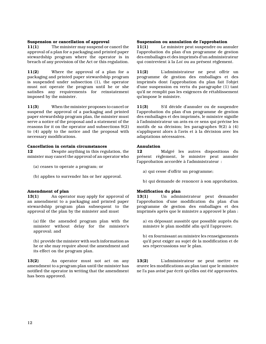#### Suspension or cancellation of approval

11(1) The minister may suspend or cancel the approval of a plan for a packaging and printed paper stewardship program where the operator is in breach of any provision of the Act or this regulation.

11(2) Where the approval of a plan for a packaging and printed paper stewardship program is suspended under subsection (1), the operator must not operate the program until he or she satisfies any requirements for reinstatement imposed by the minister.

11(3) When the minister proposes to cancel or suspend the approval of a packaging and printed paper stewardship program plan, the minister must serve a notice of the proposal and a statement of the reasons for it on the operator and subsections 9(2) to (4) apply to the notice and the proposal with necessary modifications.

#### Cancellation in certain circumstances

12 Despite anything in this regulation, the minister may cancel the approval of an operator who

- (a) ceases to operate a program; or
- (b) applies to surrender his or her approval.

#### Amendment of plan

13(1) An operator may apply for approval of an amendment to a packaging and printed paper stewardship program plan subsequent to the approval of the plan by the minister and must

(a) file the amended program plan with the minister without delay for the minister's approval; and

(b) provide the minister with such information as he or she may require about the amendment and its effect on the program plan.

13(2) An operator must not act on any amendment to a program plan until the minister has notified the operator in writing that the amendment has been approved.

#### Suspension ou annulation de l'approbation

11(1) Le ministre peut suspendre ou annuler l'approbation du plan d'un programme de gestion des emballages et des imprimés d'un administrateur qui contrevient à la Loi ou au présent règlement.

11(2) L'administrateur ne peut offrir un programme de gestion des emballages et des imprimés dont l'approbation du plan fait l'objet d'une suspension en vertu du paragraphe (1) tant qu'il ne remplit pas les exigences de rétablissement qu'impose le ministre.

11(3) S'il décide d'annuler ou de suspendre l'approbation du plan d'un programme de gestion des emballages et des imprimés, le ministre signifie à l'administrateur un avis en ce sens qui précise les motifs de sa décision; les paragraphes 9(2) à (4) s'appliquent alors à l'avis et à la décision avec les adaptations nécessaires.

#### Annulation

12 Malgré les autres dispositions du présent règlement, le ministre peut annuler l'approbation accordée à l'administrateur :

- a) qui cesse d'offrir un programme;
- b) qui demande de renoncer à son approbation.

#### Modification du plan

13(1) Un administrateur peut demander l'approbation d'une modification du plan d'un programme de gestion des emballages et des imprimés après que le ministre a approuvé le plan :

a) en déposant aussitôt que possible auprès du ministre le plan modifié afin qu'il l'approuve;

b) en fournissant au ministre les renseignements qu'il peut exiger au sujet de la modification et de ses répercussions sur le plan.

13(2) L'administrateur ne peut mettre en œuvre les modifications au plan tant que le ministre ne l'a pas avisé par écrit qu'elles ont été approuvées.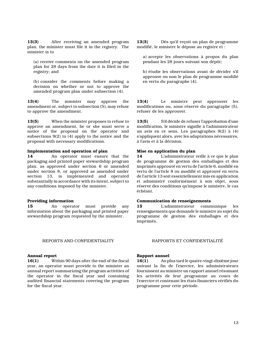13(3) After receiving an amended program plan, the minister must file it in the registry. The minister is to

(a) receive comments on the amended program plan for 28 days from the date it is filed in the registry; and

(b) consider the comments before making a decision on whether or not to approve the amended program plan under subsection (4).

13(4) The minister may approve the amendment or, subject to subsection (5), may refuse to approve the amendment.

13(5) When the minister proposes to refuse to approve an amendment, he or she must serve a notice of the proposal on the operator and subsections 9(2) to (4) apply to the notice and the proposal with necessary modifications.

#### Implementation and operation of plan

14 An operator must ensure that the packaging and printed paper stewardship program plan, as approved under section 6 or amended under section 8, or approved as amended under section 13, is implemented and operated substantially in accordance with its intent, subject to any conditions imposed by the minister.

#### Providing information

15 An operator must provide any information about the packaging and printed paper stewardship program requested by the minister.

#### REPORTS AND CONFIDENTIALITY RAPPORTS ET CONFIDENTIALITÉ

#### Annual report

16(1) Within 90 days after the end of the fiscal year, an operator must provide to the minister an annual report summarizing the program activities of the operator in the fiscal year and containing audited financial statements covering the program for the fiscal year.

13(3) Dès qu'il reçoit un plan de programme modifié, le ministre le dépose au registre et :

a) accepte les observations à propos du plan pendant les 28 jours suivant son dépôt;

b) étudie les observations avant de décider s'il approuve ou non le plan de programme modifié en vertu du paragraphe (4).

13(4) Le ministre peut approuver les modifications ou, sous réserve du paragraphe (5), refuser de les approuver.

13(5) S'il décide de refuser l'approbation d'une modification, le ministre signifie à l'administrateur un avis en ce sens. Les paragraphes 9(2) à (4) s'appliquent alors, avec les adaptations nécessaires, à l'avis et à la décision.

#### Mise en application du plan

14 L'administrateur veille à ce que le plan de programme de gestion des emballages et des imprimés approuvé en vertu de l'article 6, modifié en vertu de l'article 8 ou modifié et approuvé en vertu de l'article 13 soit essentiellement mis en application et administré conformément à son objet, sous réserve des conditions qu'impose le ministre, le cas échéant.

#### Communication de renseignements

15 L'administrateur communique les renseignements que demande le ministre au sujet du programme de gestion des emballages et des imprimés.

#### Rapport annuel

16(1) Au plus tard le quatre-vingt-dixième jour suivant la fin de l'exercice, les administrateurs fournissent au ministre un rapport annuel résumant les activités de leur programme au cours de l'exercice et contenant les états financiers vérifiés du programme pour cette période.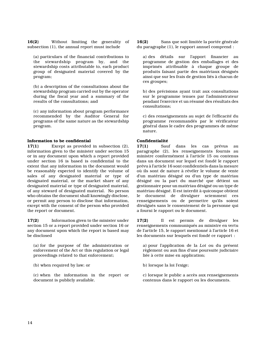16(2) Without limiting the generality of subsection (1), the annual report must include

(a) particulars of the financial contributions to the stewardship program by, and the stewardship costs attributable to, each product group of designated material covered by the program;

(b) a description of the consultations about the stewardship program carried out by the operator during the fiscal year and a summary of the results of the consultations; and

(c) any information about program performance recommended by the Auditor General for programs of the same nature as the stewardship program.

#### Information to be confidential

17(1) Except as provided in subsection (2), information given to the minister under section 15 or in any document upon which a report provided under section 16 is based is confidential to the extent that any information in the document would be reasonably expected to identify the volume of sales of any designated material or type of designated material, or the market share of any designated material or type of designated material, of any steward of designated material. No person who obtains the document shall knowingly disclose, or permit any person to disclose that information, except with the consent of the person who provided the report or document.

17(2) Information given to the minister under section 15 or a report provided under section 16 or any document upon which the report is based may be disclosed

(a) for the purpose of the administration or enforcement of the Act or this regulation or legal proceedings related to that enforcement;

(b) when required by law; or

(c) when the information in the report or document is publicly available.

16(2) Sans que soit limitée la portée générale du paragraphe (1), le rapport annuel comprend :

a) des détails sur l'apport financier au programme de gestion des emballages et des imprimés attribuable à chaque groupe de produits faisant partie des matériaux désignés ainsi que sur les frais de gestion liés à chacun de ces groupes;

b) des précisions ayant trait aux consultations sur le programme tenues par l'administrateur pendant l'exercice et un résumé des résultats des consultations;

c) des renseignements au sujet de l'efficacité du programme recommandés par le vérificateur général dans le cadre des programmes de même nature.

#### Confidentialité

17(1) Sauf dans les cas prévus au paragraphe (2), les renseignements fournis au ministre conformément à l'article 15 ou contenus dans un document sur lequel est fondé le rapport prévu à l'article 16 sont confidentiels dans la mesure où ils sont de nature à révéler le volume de vente d'un matériau désigné ou d'un type de matériau désigné ou la part du marché que détient un gestionnaire pour un matériau désigné ou un type de matériau désigné. Il est interdit à quiconque obtient le document de divulguer sciemment ces renseignements ou de permettre qu'ils soient divulgués sans le consentement de la personne qui a fourni le rapport ou le document.

17(2) Il est permis de divulguer les renseignements communiqués au ministre en vertu de l'article 15, le rapport mentionné à l'article 16 et les documents sur lesquels est fondé ce rapport :

a) pour l'application de la Loi ou du présent règlement ou aux fins d'une poursuite judiciaire liée à cette mise en application;

b) lorsque la loi l'exige;

c) lorsque le public a accès aux renseignements contenus dans le rapport ou les documents.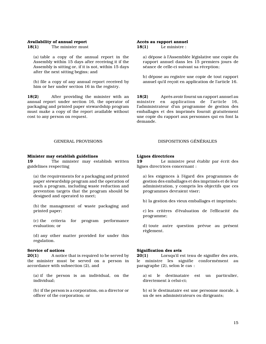#### Availability of annual report

18(1) The minister must

(a) table a copy of the annual report in the Assembly within 15 days after receiving it if the Assembly is sitting or, if it is not, within 15 days after the next sitting begins; and

(b) file a copy of any annual report received by him or her under section 16 in the registry.

18(2) After providing the minister with an annual report under section 16, the operator of packaging and printed paper stewardship program must make a copy of the report available without cost to any person on request.

#### Accès au rapport annuel 18(1) Le ministre :

a) dépose à l'Assemblée législative une copie du rapport annuel dans les 15 premiers jours de séance de celle-ci suivant sa réception;

b) dépose au registre une copie de tout rapport annuel qu'il reçoit en application de l'article 16.

18(2) Après avoir fourni un rapport annuel au ministre en application de l'article 16, l'administrateur d'un programme de gestion des emballages et des imprimés fournit gratuitement une copie du rapport aux personnes qui en font la demande.

#### Minister may establish guidelines

19 The minister may establish written guidelines respecting

(a) the requirements for a packaging and printed paper stewardship program and the operation of such a program, including waste reduction and prevention targets that the program should be designed and operated to meet;

(b) the management of waste packaging and printed paper;

(c) the criteria for program performance evaluation; or

(d) any other matter provided for under this regulation.

#### Service of notices

**20(1)** A notice that is required to be served by the minister must be served on a person in accordance with subsection (2), and

(a) if the person is an individual, on the individual;

(b) if the person is a corporation, on a director or officer of the corporation; or

#### GENERAL PROVISIONS DISPOSITIONS GÉNÉRALES

#### Lignes directrices

19 Le ministre peut établir par écrit des lignes directrices concernant :

a) les exigences à l'égard des programmes de gestion des emballages et des imprimés et de leur administration, y compris les objectifs que ces programmes devraient viser;

b) la gestion des vieux emballages et imprimés;

c) les critères d'évaluation de l'efficacité du programme;

d) toute autre question prévue au présent règlement.

#### Signification des avis

20(1) Lorsqu'il est tenu de signifier des avis, le ministre les signifie conformément au paragraphe (2), selon le cas :

a) si le destinataire est un particulier, directement à celui-ci;

b) si le destinataire est une personne morale, à un de ses administrateurs ou dirigeants;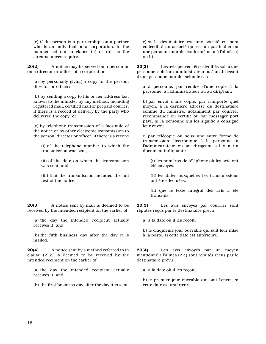(c) if the person is a partnership, on a partner who is an individual or a corporation, in the manner set out in clause (a) or (b), as the circumstances require.

20(2) A notice may be served on a person or on a director or officer of a corporation

(a) by personally giving a copy to the person, director or officer;

(b) by sending a copy to his or her address last known to the minister by any method, including registered mail, certified mail or prepaid courier, if there is a record of delivery by the party who delivered the copy; or

(c) by telephone transmission of a facsimile of the notice or by other electronic transmission to the person, director or officer, if there is a record

(i) of the telephone number to which the transmission was sent,

(ii) of the date on which the transmission was sent, and

(iii) that the transmission included the full text of the notice.

20(3) A notice sent by mail is deemed to be received by the intended recipient on the earlier of

(a) the day the intended recipient actually receives it; and

(b) the fifth business day after the day it is mailed.

20(4) A notice sent by a method referred to in clause (2)(c) is deemed to be received by the intended recipient on the earlier of

(a) the day the intended recipient actually receives it; and

(b) the first business day after the day it is sent.

c) si le destinataire est une société en nom collectif, à un associé qui est un particulier ou une personne morale, conformément à l'alinéa a) ou b).

20(2) Les avis peuvent être signifiés soit à une personne, soit à un administrateur ou à un dirigeant d'une personne morale, selon le cas :

a) à personne, par remise d'une copie à la personne, à l'administrateur ou au dirigeant;

b) par envoi d'une copie, par n'importe quel moyen, à la dernière adresse du destinataire connue du ministre, notamment par courrier recommandé ou certifié ou par messager port payé, si la personne qui les signifie a consigné leur envoi;

c) par télécopie ou sous une autre forme de transmission électronique à la personne, à l'administrateur ou au dirigeant s'il y a un document indiquant :

(i) les numéros de téléphone où les avis ont été envoyés,

(ii) les dates auxquelles les transmissions ont été effectuées,

(iii) que le texte intégral des avis a été transmis.

20(3) Les avis envoyés par courrier sont réputés reçus par le destinataire prévu :

a) à la date où il les reçoit;

b) le cinquième jour ouvrable qui suit leur mise à la poste, si cette date est antérieure.

20(4) Les avis envoyés par un moyen mentionné à l'alinéa (2)c) sont réputés reçus par le destinataire prévu :

a) à la date où il les reçoit;

b) le premier jour ouvrable qui suit l'envoi, si cette date est antérieure.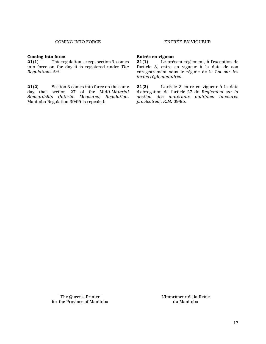#### Coming into force

21(1) This regulation, except section 3, comes into force on the day it is registered under The Regulations Act.

21(2) Section 3 comes into force on the same day that section 27 of the Multi-Material Stewardship (Interim Measures) Regulation, Manitoba Regulation 39/95 is repealed.

#### Entrée en vigueur

21(1) Le présent règlement, à l'exception de l'article 3, entre en vigueur à la date de son enregistrement sous le régime de la Loi sur les textes réglementaires.

21(2) L'article 3 entre en vigueur à la date d'abrogation de l'article 27 du Règlement sur la gestion des matériaux multiples (mesures provisoires), R.M. 39/95.

L'Imprimeur de la Reine du Manitoba

The Queen's Printer for the Province of Manitoba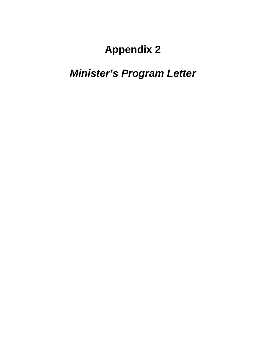# *Minister's Program Letter*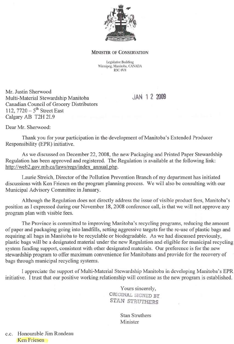

#### **MINISTER OF CONSERVATION**

Legislative Building Winnipeg, Manitoba, CANADA **R3C 0V8** 

Mr. Justin Sherwood Multi-Material Stewardship Manitoba Canadian Council of Grocery Distributors 112,  $7720 - 5$ <sup>th</sup> Street East Calgary AB T2H 2L9

JAN 1 2 2009

Dear Mr. Sherwood:

Thank you for your participation in the development of Manitoba's Extended Producer Responsibility (EPR) initiative.

As we discussed on December 22, 2008, the new Packaging and Printed Paper Stewardship Regulation has been approved and registered. The Regulation is available at the following link: http://web2.gov.mb.ca/laws/regs/index\_annual.php.

Laurie Streich, Director of the Pollution Prevention Branch of my department has initiated discussions with Ken Friesen on the program planning process. We will also be consulting with our Municipal Advisory Committee in January.

Although the Regulation does not directly address the issue of visible product fees, Manitoba's position as I expressed during our November 18, 2008 conference call, is that we will not approve any program plan with visible fees.

The Province is committed to improving Manitoba's recycling programs, reducing the amount of paper and packaging going into landfills, setting aggressive targets for the re-use of plastic bags and requiring all bags in Manitoba to be recyclable or biodegradable. As we had discussed previously, plastic bags will be a designated material under the new Regulation and eligible for municipal recycling system funding support, consistent with other designated materials. Our preference is for the new stewardship program to offer maximum convenience for Manitobans and provide for the recovery of bags through municipal recycling systems.

I appreciate the support of Multi-Material Stewardship Manitoba in developing Manitoba's EPR initiative. I trust that our positive working relationship will continue as the new program is established.

> Yours sincerely, ORIGINAL SIGNED BY **STAN STRUTHERS**

> > **Stan Struthers** Minister

c.c. Honourable Jim Rondeau Ken Friesen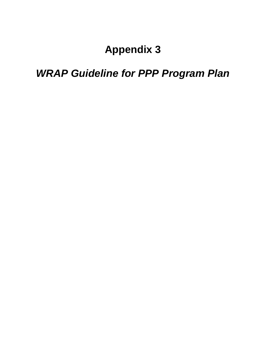# *WRAP Guideline for PPP Program Plan*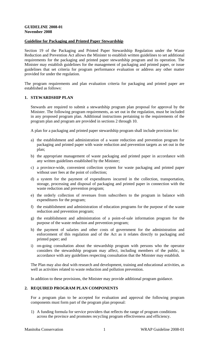### **Guideline for Packaging and Printed Paper Stewardship**

Section 19 of the Packaging and Printed Paper Stewardship Regulation under the Waste Reduction and Prevention Act allows the Minister to establish written guidelines to set additional requirements for the packaging and printed paper stewardship program and its operation. The Minister may establish guidelines for the management of packaging and printed paper, or issue guidelines that set criteria for program performance evaluation or address any other matter provided for under the regulation.

The program requirements and plan evaluation criteria for packaging and printed paper are established as follows:

### **1. STEWARDSHIP PLAN**

Stewards are required to submit a stewardship program plan proposal for approval by the Minister. The following program requirements, as set out in the regulation, must be included in any proposed program plan. Additional instructions pertaining to the requirements of the program plan and program are provided in sections 2 through 10.

A plan for a packaging and printed paper stewardship program shall include provision for:

- a) the establishment and administration of a waste reduction and prevention program for packaging and printed paper with waste reduction and prevention targets as set out in the plan;
- b) the appropriate management of waste packaging and printed paper in accordance with any written guidelines established by the Minister;
- c) a province-wide, convenient collection system for waste packaging and printed paper without user fees at the point of collection;
- d) a system for the payment of expenditures incurred in the collection, transportation, storage, processing and disposal of packaging and printed paper in connection with the waste reduction and prevention program;
- e) the orderly collection of revenues from subscribers to the program in balance with expenditures for the program;
- f) the establishment and administration of education programs for the purpose of the waste reduction and prevention program;
- g) the establishment and administration of a point-of-sale information program for the purpose of the waste reduction and prevention program;
- h) the payment of salaries and other costs of government for the administration and enforcement of this regulation and of the Act as it relates directly to packaging and printed paper; and
- i) on-going consultation about the stewardship program with persons who the operator considers the stewardship program may affect, including members of the public, in accordance with any guidelines respecting consultation that the Minister may establish.

The Plan may also deal with research and development, training and educational activities, as well as activities related to waste reduction and pollution prevention.

In addition to these provisions, the Minister may provide additional program guidance.

### **2. REQUIRED PROGRAM PLAN COMPONENTS**

For a program plan to be accepted for evaluation and approval the following program components must form part of the program plan proposal:

1) A funding formula for service providers that reflects the range of program conditions across the province and promotes recycling program effectiveness and efficiency.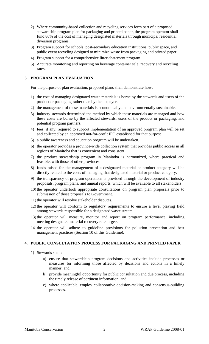- 2) Where community-based collection and recycling services form part of a proposed stewardship program plan for packaging and printed paper, the program operator shall fund 80% of the cost of managing designated materials through municipal residential diversion programs.
- 3) Program support for schools, post-secondary education institutions, public space, and public event recycling designed to minimize waste from packaging and printed paper.
- 4) Program support for a comprehensive litter abatement program
- 5) Accurate monitoring and reporting on beverage container sale, recovery and recycling rates.

### **3. PROGRAM PLAN EVALUATION**

For the purpose of plan evaluation, proposed plans shall demonstrate how:

- 1) the cost of managing designated waste materials is borne by the stewards and users of the product or packaging rather than by the taxpayer.
- 2) the management of these materials is economically and environmentally sustainable.
- 3) industry stewards determined the method by which these materials are managed and how these costs are borne by the affected stewards, users of the product or packaging, and potential program partners.
- 4) fees, if any, required to support implementation of an approved program plan will be set and collected by an approved not-for-profit IFO established for that purpose.
- 5) a public awareness and education program will be undertaken.
- 6) the operator provides a province-wide collection system that provides public access in all regions of Manitoba that is convenient and consistent.
- 7) the product stewardship program in Manitoba is harmonized, where practical and feasible, with those of other provinces.
- 8) funds raised for the management of a designated material or product category will be directly related to the costs of managing that designated material or product category.
- 9) the transparency of program operations is provided through the development of industry proposals, program plans, and annual reports, which will be available to all stakeholders.
- 10) the operator undertook appropriate consultations on program plan proposals prior to submission of those proposals to Government.
- 11) the operator will resolve stakeholder disputes.
- 12) the operator will conform to regulatory requirements to ensure a level playing field among stewards responsible for a designated waste stream.
- 13)the operator will measure, monitor and report on program performance, including meeting designated material recovery rate targets.
- 14. the operator will adhere to guideline provisions for pollution prevention and best management practices (Section 10 of this Guideline).

### **4. PUBLIC CONSULTATION PROCESS FOR PACKAGING AND PRINTED PAPER**

- 1) Stewards shall:
	- a) ensure that stewardship program decisions and activities include processes or measures for informing those affected by decisions and actions in a timely manner; and
	- b) provide meaningful opportunity for public consultation and due process, including the timely release of pertinent information, and
	- c) where applicable, employ collaborative decision-making and consensus-building processes.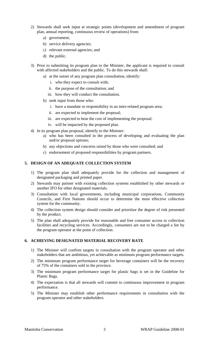- 2) Stewards shall seek input at strategic points (development and amendment of program plan, annual reporting, continuous review of operations) from:
	- a) government;
	- b) service delivery agencies;
	- c) relevant external agencies; and
	- d) the public.
- 3) Prior to submitting its program plan to the Minister, the applicant is required to consult with affected stakeholders and the public. To do this stewards shall:
	- a) at the outset of any program plan consultation, identify:
		- i. who they expect to consult with;
		- ii. the purpose of the consultation; and
		- iii. how they will conduct the consultation.
	- b) seek input from those who:
		- i. have a mandate or responsibility in an inter-related program area;
		- ii. are expected to implement the proposal;
		- iii. are expected to bear the cost of implementing the proposal;
		- iv. will be impacted by the proposed plan.
- 4) In its program plan proposal, identify to the Minister:
	- a) who has been consulted in the process of developing and evaluating the plan and/or proposal options;
	- b) any objections and concerns raised by those who were consulted; and
	- c) endorsement of proposed responsibilities by program partners.

### **5. DESIGN OF AN ADEQUATE COLLECTION SYSTEM**

- 1) The program plan shall adequately provide for the collection and management of designated packaging and printed paper.
- 2) Stewards may partner with existing collection systems established by other stewards or another IFO for other designated materials.
- 3) Consultation with local governments, including municipal corporations, Community Councils, and First Nations should occur to determine the most effective collection system for the community.
- 4) The collection system design should consider and prioritize the degree of risk presented by the product.
- 5) The plan shall adequately provide for reasonable and free consumer access to collection facilities and recycling services. Accordingly, consumers are not to be charged a fee by the program operator at the point of collection.

### **6. ACHIEVING DESIGNATED MATERIAL RECOVERY RATE**

- 1) The Minister will confirm targets in consultation with the program operator and other stakeholders that are ambitious, yet achievable as minimum program performance targets.
- 2) The minimum program performance target for beverage containers will be the recovery of 75% of the containers sold in the province.
- 3) The minimum program performance target for plastic bags is set in the Guideline for Plastic Bags.
- 4) The expectation is that all stewards will commit to continuous improvement in program performance.
- 5) The Minister may establish other performance requirements in consultation with the program operator and other stakeholders.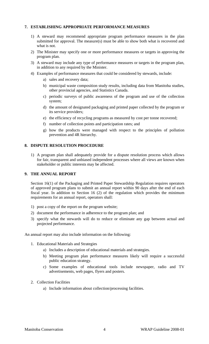### **7. ESTABLISHING APPROPRIATE PERFORMANCE MEASURES**

- 1) A steward may recommend appropriate program performance measures in the plan submitted for approval. The measure(s) must be able to show both what is recovered and what is not.
- 2) The Minister may specify one or more performance measures or targets in approving the program plan.
- 3) A steward may include any type of performance measures or targets in the program plan, in addition to any required by the Minister.
- 4) Examples of performance measures that could be considered by stewards, include:
	- a) sales and recovery data;
	- b) municipal waste composition study results, including data from Manitoba studies, other provincial agencies, and Statistics Canada.
	- c) periodic surveys of public awareness of the program and use of the collection system;
	- d) the amount of designated packaging and printed paper collected by the program or its service providers;
	- e) the efficiency of recycling programs as measured by cost per tonne recovered;
	- f) number of collection points and participation rates; and
	- g) how the products were managed with respect to the principles of pollution prevention and 4R hierarchy.

### **8. DISPUTE RESOLUTION PROCEDURE**

1) A program plan shall adequately provide for a dispute resolution process which allows for fair, transparent and unbiased independent processes where all views are known when stakeholder or public interests may be affected.

### **9. THE ANNUAL REPORT**

Section 16(1) of the Packaging and Printed Paper Stewardship Regulation requires operators of approved program plans to submit an annual report within 90 days after the end of each fiscal year. In addition to Section 16 (2) of the regulation which provides the minimum requirements for an annual report, operators shall:

- 1) post a copy of the report on the program website;
- 2) document the performance in adherence to the program plan; and
- 3) specify what the stewards will do to reduce or eliminate any gap between actual and projected performance.

An annual report may also include information on the following:

- 1. Educational Materials and Strategies
	- a) Includes a description of educational materials and strategies.
	- b) Meeting program plan performance measures likely will require a successful public education strategy.
	- c) Some examples of educational tools include newspaper, radio and TV advertisements, web pages, flyers and posters.
- 2. Collection Facilities
	- a) Include information about collection/processing facilities.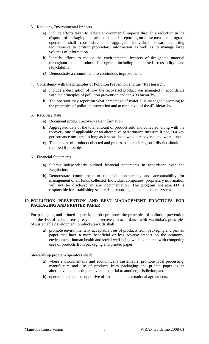- 3. Reducing Environmental Impacts
	- a) Include efforts taken to reduce environmental impacts through a reduction in the disposal of packaging and printed paper. In reporting on these measures program operators shall consolidate and aggregate individual steward reporting requirements to protect proprietary information as well as to manage large volumes of information.
	- b) Identify efforts to reduce the environmental impacts of designated material throughout the product life-cycle, including increased reusability and recyclability.
	- c) Demonstrate a commitment to continuous improvement.
- 4. Consistency with the principles of Pollution Prevention and the 4Rs Hierarchy
	- a) Include a description of how the recovered product was managed in accordance with the principles of pollution prevention and the 4Rs hierarchy.
	- b) The operator may report on what percentage of material is managed according to the principles of pollution prevention and at each level of the 4R hierarchy.
- 5. Recovery Rate
	- a) Document product recovery rate information.
	- b) Aggregated data of the total amount of product sold and collected, along with the recovery rate if applicable or an alternative performance measure if not, is a key performance measure, as long as it shows both what is recovered and what is not.
	- c) The amount of product collected and processed in each regional district should be reported if possible.
- 6. Financial Statements
	- a) Submit independently audited financial statements in accordance with the Regulation.
	- b) Demonstrate commitment to financial transparency and accountability for management of all funds collected. Individual companies' proprietary information will not be disclosed in any documentation. The program operator/IFO is responsible for establishing secure data reporting and management systems.

### **10. POLLUTION PREVENTION AND BEST MANAGEMENT PRACTICES FOR PACKAGING AND PRINTED PAPER**

For packaging and printed paper, Manitoba promotes the principles of pollution prevention and the 4Rs of reduce, reuse, recycle and recover. In accordance with Manitoba's principles of sustainable development, product stewards shall:

a) promote environmentally acceptable uses of products from packaging and printed paper that have a more beneficial or less adverse impact on the economy, environment, human health and social well-being when compared with competing uses of products from packaging and printed paper.

Stewardship program operators shall:

- a) where environmentally and economically sustainable, promote local processing, manufacture and use of products from packaging and printed paper as an alternative to exporting recovered material to another jurisdiction; and
- b) operate in a manner supportive of national and international agreements.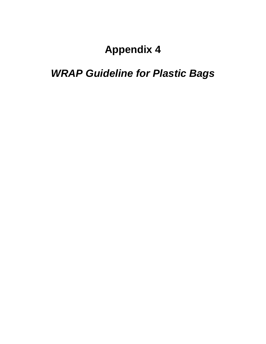# *WRAP Guideline for Plastic Bags*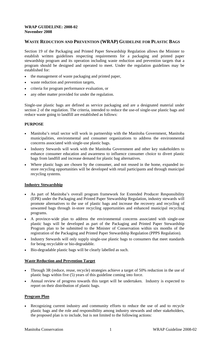### **WRAP GUIDELINE: 2008-02 November 2008**

### **WASTE REDUCTION AND PREVENTION (WRAP) GUIDELINE FOR PLASTIC BAGS**

Section 19 of the Packaging and Printed Paper Stewardship Regulation allows the Minister to establish written guidelines respecting requirements for a packaging and printed paper stewardship program and its operation including waste reduction and prevention targets that a program should be designed and operated to meet. Under the regulation guidelines may be established for:

- the management of waste packaging and printed paper,
- waste reduction and prevention targets,
- criteria for program performance evaluation, or
- any other matter provided for under the regulation.

Single-use plastic bags are defined as service packaging and are a designated material under section 2 of the regulation. The criteria, intended to reduce the use-of single-use plastic bags and reduce waste going to landfill are established as follows:

### **PURPOSE**

- Manitoba's retail sector will work in partnership with the Manitoba Government, Manitoba municipalities, environmental and consumer organizations to address the environmental concerns associated with single-use plastic bags.
- Industry Stewards will work with the Manitoba Government and other key stakeholders to enhance consumer education and awareness to influence consumer choice to divert plastic bags from landfill and increase demand for plastic bag alternatives.
- Where plastic bags are chosen by the consumer, and not reused in the home, expanded instore recycling opportunities will be developed with retail participants and through municipal recycling systems.

### **Industry Stewardship**

- As part of Manitoba's overall program framework for Extended Producer Responsibility (EPR) under the Packaging and Printed Paper Stewardship Regulation, industry stewards will promote alternatives to the use of plastic bags and increase the recovery and recycling of unwanted bags through in-store recycling opportunities and enhanced municipal recycling programs.
- A province-wide plan to address the environmental concerns associated with single-use plastic bags will be developed as part of the Packaging and Printed Paper Stewardship Program plan to be submitted to the Minister of Conservation within six months of the registration of the Packaging and Printed Paper Stewardship Regulation (PPPS Regulation).
- Industry Stewards will only supply single-use plastic bags to consumers that meet standards for being recyclable or bio-degradable.
- Bio-degradable plastic bags will be clearly labelled as such.

### **Waste Reduction and Prevention Target**

- Through 3R (reduce, reuse, recycle) strategies achieve a target of 50% reduction in the use of plastic bags within five (5) years of this guideline coming into force.
- Annual review of progress towards this target will be undertaken. Industry is expected to report on their distribution of plastic bags.

### **Program Plan**

Recognizing current industry and community efforts to reduce the use of and to recycle plastic bags and the role and responsibility among industry stewards and other stakeholders, the proposed plan is to include, but is not limited to the following actions: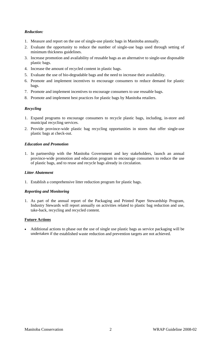### *Reduction:*

- 1. Measure and report on the use of single-use plastic bags in Manitoba annually.
- 2. Evaluate the opportunity to reduce the number of single-use bags used through setting of minimum thickness guidelines.
- 3. Increase promotion and availability of reusable bags as an alternative to single-use disposable plastic bags.
- 4. Increase the amount of recycled content in plastic bags.
- 5. Evaluate the use of bio-degradable bags and the need to increase their availability.
- 6. Promote and implement incentives to encourage consumers to reduce demand for plastic bags.
- 7. Promote and implement incentives to encourage consumers to use reusable bags.
- 8. Promote and implement best practices for plastic bags by Manitoba retailers.

### *Recycling*

- 1. Expand programs to encourage consumers to recycle plastic bags, including, in-store and municipal recycling services.
- 2. Provide province-wide plastic bag recycling opportunities in stores that offer single-use plastic bags at check-out.

### *Education and Promotion*

1. In partnership with the Manitoba Government and key stakeholders, launch an annual province-wide promotion and education program to encourage consumers to reduce the use of plastic bags, and to reuse and recycle bags already in circulation.

### *Litter Abatement*

1. Establish a comprehensive litter reduction program for plastic bags.

### *Reporting and Monitoring*

1. As part of the annual report of the Packaging and Printed Paper Stewardship Program, Industry Stewards will report annually on activities related to plastic bag reduction and use, take-back, recycling and recycled content.

### **Future Actions**

Additional actions to phase out the use of single use plastic bags as service packaging will be undertaken if the established waste reduction and prevention targets are not achieved. •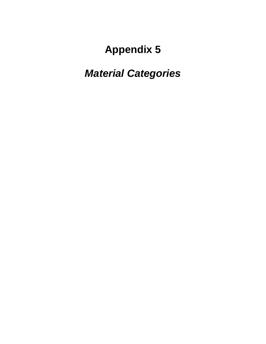# *Material Categories*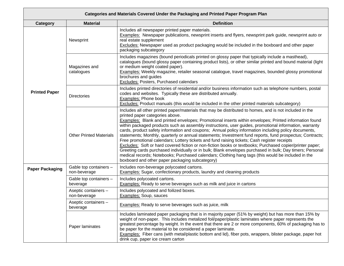| Categories and Materials Covered Under the Packaging and Printed Paper Program Plan |                                        |                                                                                                                                                                                                                                                                                                                                                                                                                                                                                                                                                                                                                                                                                                                                                                                                                                                                                                                                                                                                                                                                               |  |  |  |  |  |  |
|-------------------------------------------------------------------------------------|----------------------------------------|-------------------------------------------------------------------------------------------------------------------------------------------------------------------------------------------------------------------------------------------------------------------------------------------------------------------------------------------------------------------------------------------------------------------------------------------------------------------------------------------------------------------------------------------------------------------------------------------------------------------------------------------------------------------------------------------------------------------------------------------------------------------------------------------------------------------------------------------------------------------------------------------------------------------------------------------------------------------------------------------------------------------------------------------------------------------------------|--|--|--|--|--|--|
| Category                                                                            | <b>Material</b>                        | <b>Definition</b>                                                                                                                                                                                                                                                                                                                                                                                                                                                                                                                                                                                                                                                                                                                                                                                                                                                                                                                                                                                                                                                             |  |  |  |  |  |  |
|                                                                                     | Newsprint                              | Includes all newspaper printed paper materials.<br><b>Examples:</b> Newspaper publications, newsprint inserts and flyers, newsprint park guide, newsprint auto or<br>real estate supplement<br>Excludes: Newspaper used as product packaging would be included in the boxboard and other paper<br>packaging subcategory                                                                                                                                                                                                                                                                                                                                                                                                                                                                                                                                                                                                                                                                                                                                                       |  |  |  |  |  |  |
|                                                                                     | Magazines and<br>catalogues            | Includes magazines (bound periodicals printed on glossy paper that typically include a masthead),<br>catalogues (bound glossy paper containing product lists), or other similar printed and bound material (light<br>or medium weight coated paper).<br><b>Examples:</b> Weekly magazine, retailer seasonal catalogue, travel magazines, bounded glossy promotional<br>brochures and guides<br><b>Excludes: Posters, Purchased calendars</b>                                                                                                                                                                                                                                                                                                                                                                                                                                                                                                                                                                                                                                  |  |  |  |  |  |  |
| <b>Printed Paper</b>                                                                | <b>Directories</b>                     | Includes printed directories of residential and/or business information such as telephone numbers, postal<br>codes and websites. Typically these are distributed annually.<br>Examples: Phone book<br><b>Excludes:</b> Product manuals (this would be included in the other printed materials subcategory)                                                                                                                                                                                                                                                                                                                                                                                                                                                                                                                                                                                                                                                                                                                                                                    |  |  |  |  |  |  |
|                                                                                     | <b>Other Printed Materials</b>         | Includes all other printed paper/materials that may be distributed to homes, and is not included in the<br>printed paper categories above.<br><b>Examples:</b> Blank and printed envelopes; Promotional inserts within envelopes; Printed information found<br>within packaged products such as assembly instructions, user guides, promotional information, warranty<br>cards, product safety information and coupons; Annual policy information including policy documents,<br>statements; Monthly, quarterly or annual statements; Investment fund reports, fund prospectus; Contracts;<br>Free promotional calendars; Lottery tickets and fund raising tickets; Cash register receipts<br>Excludes: Soft or hard covered fiction or non-fiction books or textbooks; Purchased copier/printer paper;<br>Greeting cards purchased individually or in bulk; Blank envelopes purchased in bulk; Day timers; Personal<br>medical records; Notebooks; Purchased calendars; Clothing hang tags (this would be included in the<br>boxboard and other paper packaging subcategory) |  |  |  |  |  |  |
| <b>Paper Packaging</b>                                                              | Gable top containers -<br>non-beverage | Includes non-beverage polycoated cartons.<br><b>Examples:</b> Sugar, confectionary products, laundry and cleaning products                                                                                                                                                                                                                                                                                                                                                                                                                                                                                                                                                                                                                                                                                                                                                                                                                                                                                                                                                    |  |  |  |  |  |  |
|                                                                                     | Gable top containers -<br>beverage     | Includes polycoated cartons.<br><b>Examples:</b> Ready to serve beverages such as milk and juice in cartons                                                                                                                                                                                                                                                                                                                                                                                                                                                                                                                                                                                                                                                                                                                                                                                                                                                                                                                                                                   |  |  |  |  |  |  |
|                                                                                     | Aseptic containers -<br>non-beverage   | Includes polycoated and foilized boxes.<br><b>Examples: Soup, sauces</b>                                                                                                                                                                                                                                                                                                                                                                                                                                                                                                                                                                                                                                                                                                                                                                                                                                                                                                                                                                                                      |  |  |  |  |  |  |
| Aseptic containers -<br>beverage                                                    |                                        | Examples: Ready to serve beverages such as juice, milk                                                                                                                                                                                                                                                                                                                                                                                                                                                                                                                                                                                                                                                                                                                                                                                                                                                                                                                                                                                                                        |  |  |  |  |  |  |
|                                                                                     | Paper laminates                        | Includes laminated paper packaging that is in majority paper (51% by weight) but has more than 15% by<br>weight of non-paper. This includes metalized foil/paper/plastic laminates where paper represents the<br>greatest percentage by weight. In the event that there are 2 or more components, 60% of packaging has to<br>be paper for the material to be considered a paper laminate.<br><b>Examples:</b> Fiber cans (with metal/plastic bottom and lid), fiber pots, wrappers, blister package, paper hot<br>drink cup, paper ice cream carton                                                                                                                                                                                                                                                                                                                                                                                                                                                                                                                           |  |  |  |  |  |  |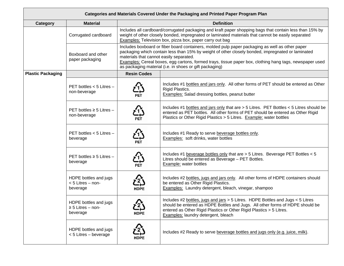| Categories and Materials Covered Under the Packaging and Printed Paper Program Plan |                                                             |                    |                                                                                                                                                                                                                                                                                                                                                                                                                       |  |  |  |  |  |  |  |  |
|-------------------------------------------------------------------------------------|-------------------------------------------------------------|--------------------|-----------------------------------------------------------------------------------------------------------------------------------------------------------------------------------------------------------------------------------------------------------------------------------------------------------------------------------------------------------------------------------------------------------------------|--|--|--|--|--|--|--|--|
| <b>Category</b>                                                                     | <b>Material</b>                                             |                    | <b>Definition</b>                                                                                                                                                                                                                                                                                                                                                                                                     |  |  |  |  |  |  |  |  |
|                                                                                     | Corrugated cardboard                                        |                    | Includes all cardboard/corrugated packaging and kraft paper shopping bags that contain less than 15% by<br>weight of other closely bonded, impregnated or laminated materials that cannot be easily separated<br><b>Examples:</b> Television box, pizza box, paper carry out bag                                                                                                                                      |  |  |  |  |  |  |  |  |
|                                                                                     | Boxboard and other<br>paper packaging                       |                    | Includes boxboard or fiber board containers, molded pulp paper packaging as well as other paper<br>packaging which contain less than 15% by weight of other closely bonded, impregnated or laminated<br>materials that cannot easily separated.<br>Examples: Cereal boxes, egg cartons, formed trays, tissue paper box, clothing hang tags, newspaper used<br>as packaging material (i.e. in shoes or gift packaging) |  |  |  |  |  |  |  |  |
| <b>Plastic Packaging</b>                                                            |                                                             | <b>Resin Codes</b> |                                                                                                                                                                                                                                                                                                                                                                                                                       |  |  |  |  |  |  |  |  |
|                                                                                     | PET bottles $<$ 5 Litres $-$<br>non-beverage                |                    | Includes #1 bottles and jars only. All other forms of PET should be entered as Other<br>Rigid Plastics.<br><b>Examples:</b> Salad dressing bottles, peanut butter                                                                                                                                                                                                                                                     |  |  |  |  |  |  |  |  |
|                                                                                     | PET bottles $\geq$ 5 Litres -<br>non-beverage               |                    | Includes #1 bottles and jars only that are > 5 Litres. PET Bottles < 5 Litres should be<br>entered as PET bottles. All other forms of PET should be entered as Other Rigid<br>Plastics or Other Rigid Plastics > 5 Litres. Example: water bottles                                                                                                                                                                     |  |  |  |  |  |  |  |  |
|                                                                                     | PET bottles $<$ 5 Litres $-$<br>beverage                    | $\mathbf{L}$       | Includes #1 Ready to serve beverage bottles only.<br>Examples: soft drinks, water bottles                                                                                                                                                                                                                                                                                                                             |  |  |  |  |  |  |  |  |
|                                                                                     | PET bottles $\geq$ 5 Litres -<br>beverage                   |                    | Includes #1 beverage bottles only that are $>$ 5 Litres. Beverage PET Bottles < 5<br>Litres should be entered as Beverage - PET Bottles.<br><b>Example:</b> water bottles                                                                                                                                                                                                                                             |  |  |  |  |  |  |  |  |
|                                                                                     | HDPE bottles and jugs<br>$<$ 5 Litres $-$ non-<br>beverage  | <b>HDPE</b>        | Includes #2 bottles, jugs and jars only. All other forms of HDPE containers should<br>be entered as Other Rigid Plastics.<br><b>Examples:</b> Laundry detergent, bleach, vinegar, shampoo                                                                                                                                                                                                                             |  |  |  |  |  |  |  |  |
|                                                                                     | HDPE bottles and jugs<br>$\geq$ 5 Litres - non-<br>beverage | ረ∑<br><b>HDPE</b>  | Includes #2 bottles, jugs and jars > 5 Litres. HDPE Bottles and Jugs < 5 Litres<br>should be entered as HDPE Bottles and Jugs. All other forms of HDPE should be<br>entered as Other Rigid Plastics or Other Rigid Plastics > 5 Litres.<br>Examples: laundry detergent, bleach                                                                                                                                        |  |  |  |  |  |  |  |  |
|                                                                                     | HDPE bottles and jugs<br>$<$ 5 Litres – beverage            | HDPE               | Includes #2 Ready to serve beverage bottles and jugs only (e.g. juice, milk).                                                                                                                                                                                                                                                                                                                                         |  |  |  |  |  |  |  |  |

÷,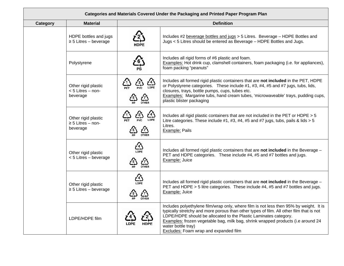|                 | Categories and Materials Covered Under the Packaging and Printed Paper Program Plan |                                   |                                                                                                                                                                                                                                                                                                                                                                                                          |  |  |  |  |  |  |  |  |  |
|-----------------|-------------------------------------------------------------------------------------|-----------------------------------|----------------------------------------------------------------------------------------------------------------------------------------------------------------------------------------------------------------------------------------------------------------------------------------------------------------------------------------------------------------------------------------------------------|--|--|--|--|--|--|--|--|--|
| <b>Category</b> | <b>Material</b>                                                                     |                                   | <b>Definition</b>                                                                                                                                                                                                                                                                                                                                                                                        |  |  |  |  |  |  |  |  |  |
|                 | HDPE bottles and jugs<br>$\geq$ 5 Litres – beverage                                 | HDPE                              | Includes #2 beverage bottles and jugs > 5 Litres. Beverage - HDPE Bottles and<br>Jugs < 5 Litres should be entered as Beverage - HDPE Bottles and Jugs.                                                                                                                                                                                                                                                  |  |  |  |  |  |  |  |  |  |
|                 | Polystyrene                                                                         |                                   | Includes all rigid forms of #6 plastic and foam.<br>Examples: Hot drink cup, clamshell containers, foam packaging (i.e. for appliances),<br>foam packing "peanuts"                                                                                                                                                                                                                                       |  |  |  |  |  |  |  |  |  |
|                 | Other rigid plastic<br>< 5 Litres - non-<br>beverage                                | ڏئ<br>$\sum_{\text{PVC}}$<br>LDPE | Includes all formed rigid plastic containers that are not included in the PET, HDPE<br>or Polystyrene categories. These include #1, #3, #4, #5 and #7 jugs, tubs, lids,<br>closures, trays, bottle pumps, cups, tubes etc.<br>Examples: Margarine tubs, hand cream tubes, 'microwaveable' trays, pudding cups,<br>plastic blister packaging                                                              |  |  |  |  |  |  |  |  |  |
|                 | Other rigid plastic<br>$\geq$ 5 Litres - non-<br>beverage                           |                                   | Includes all rigid plastic containers that are not included in the PET or HDPE > 5<br>Litre categories. These include #1, #3, #4, #5 and #7 jugs, tubs, pails & lids $> 5$<br>Litres.<br>Example: Pails                                                                                                                                                                                                  |  |  |  |  |  |  |  |  |  |
|                 | Other rigid plastic<br>< 5 Litres - beverage                                        | LDPE<br>岔                         | Includes all formed rigid plastic containers that are not included in the Beverage -<br>PET and HDPE categories. These include #4, #5 and #7 bottles and jugs.<br>Example: Juice                                                                                                                                                                                                                         |  |  |  |  |  |  |  |  |  |
|                 | ڏيءَ<br>LDPE<br>Other rigid plastic<br>$\geq$ 5 Litres – beverage<br>岱              |                                   | Includes all formed rigid plastic containers that are not included in the Beverage -<br>PET and HDPE > 5 litre categories. These include #4, #5 and #7 bottles and jugs.<br>Example: Juice                                                                                                                                                                                                               |  |  |  |  |  |  |  |  |  |
|                 | LDPE/HDPE film                                                                      |                                   | Includes polyethylene film/wrap only, where film is not less then 95% by weight. It is<br>typically stretchy and more porous than other types of film. All other film that is not<br>LDPE/HDPE should be allocated to the Plastic Laminates category.<br>Examples: frozen vegetable bag, milk bag, shrink wrapped products (i.e around 24<br>water bottle tray)<br>Excludes: Foam wrap and expanded film |  |  |  |  |  |  |  |  |  |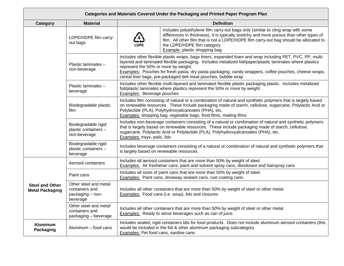|                                                  | Categories and Materials Covered Under the Packaging and Printed Paper Program Plan                                                                                                                                                                                                                                                                   |                                                                                                                                                            |                                                                                                                                                                                                                                                                                                                                                                                                  |  |  |  |  |  |  |  |
|--------------------------------------------------|-------------------------------------------------------------------------------------------------------------------------------------------------------------------------------------------------------------------------------------------------------------------------------------------------------------------------------------------------------|------------------------------------------------------------------------------------------------------------------------------------------------------------|--------------------------------------------------------------------------------------------------------------------------------------------------------------------------------------------------------------------------------------------------------------------------------------------------------------------------------------------------------------------------------------------------|--|--|--|--|--|--|--|
| Category                                         | <b>Material</b>                                                                                                                                                                                                                                                                                                                                       |                                                                                                                                                            | <b>Definition</b>                                                                                                                                                                                                                                                                                                                                                                                |  |  |  |  |  |  |  |
|                                                  | LDPE/HDPE film carry-<br>out bags                                                                                                                                                                                                                                                                                                                     |                                                                                                                                                            | Includes polyethylene film carry-out bags only (similar to cling wrap with some<br>differences in thickness). It is typically stretchy and more porous than other types of<br>film. All other film that is not a LDPE/HDPE film carry-out bag should be allocated to<br>the LDPE/HDPE film category.<br><b>Example:</b> plastic shopping bag                                                     |  |  |  |  |  |  |  |
|                                                  | Plastic laminates -<br>non-beverage                                                                                                                                                                                                                                                                                                                   | represent the 50% or more by weight.                                                                                                                       | Includes other flexible plastic wraps, bags liners, expanded foam and wrap including PET, PVC, PP, multi-<br>layered and laminated flexible packaging. Includes metalized foil/paper/plastic laminates where plastics<br>Examples: Pouches for fresh pasta, dry pasta packaging, candy wrappers, coffee pouches, cheese wraps,<br>cereal liner bags, pre-packaged deli meat pouches, bubble wrap |  |  |  |  |  |  |  |
|                                                  | Plastic laminates -<br>beverage                                                                                                                                                                                                                                                                                                                       |                                                                                                                                                            | Includes other flexible multi-layered and laminated flexible plastic packaging plastic. Includes metalized<br>foil/plastic laminates where plastics represent the 50% or more by weight.<br><b>Examples:</b> Beverage pouches                                                                                                                                                                    |  |  |  |  |  |  |  |
|                                                  | Includes film consisting of natural or a combination of natural and synthetic polymers that is largely based<br>on renewable resources. These include packaging made of starch, cellulose, sugarcane, Polylactic Acid or<br>Polylactide (PLA), Polyhydroxyalcanoates (PHA), etc.<br>Examples: shopping bag, vegetable bags, food films, mailing films |                                                                                                                                                            |                                                                                                                                                                                                                                                                                                                                                                                                  |  |  |  |  |  |  |  |
|                                                  | Biodegradable rigid<br>plastic containers -<br>non-beverage                                                                                                                                                                                                                                                                                           | Examples: trays, pails, lids                                                                                                                               | Includes non-beverage containers consisting of a natural or combination of natural and synthetic polymers<br>that is largely based on renewable resources. These include packaging made of starch, cellulose,<br>sugarcane, Polylactic Acid or Polylactide (PLA), Polyhydroxyalcanoates (PHA), etc.                                                                                              |  |  |  |  |  |  |  |
|                                                  | Biodegradable rigid<br>plastic containers -<br>beverage                                                                                                                                                                                                                                                                                               | Includes beverage containers consisting of a natural or combination of natural and synthetic polymers that<br>is largely based on renewable resources.     |                                                                                                                                                                                                                                                                                                                                                                                                  |  |  |  |  |  |  |  |
|                                                  | Aerosol containers                                                                                                                                                                                                                                                                                                                                    |                                                                                                                                                            | Includes all aerosol containers that are more than 50% by weight of steel.<br><b>Examples:</b> Air freshener cans, paint and solvent spray cans, deodorant and hairspray cans                                                                                                                                                                                                                    |  |  |  |  |  |  |  |
|                                                  | Paint cans                                                                                                                                                                                                                                                                                                                                            | Includes all sizes of paint cans that are more than 50% by weight of steel.<br>Examples: Paint cans, driveway sealant cans, rust coating cans              |                                                                                                                                                                                                                                                                                                                                                                                                  |  |  |  |  |  |  |  |
| <b>Steel and Other</b><br><b>Metal Packaging</b> | Other steel and metal<br>containers and<br>packaging - non-<br>beverage                                                                                                                                                                                                                                                                               | Includes all other containers that are more than 50% by weight of steel or other metal.<br>Examples: Food cans (i.e. soup), lids and closures              |                                                                                                                                                                                                                                                                                                                                                                                                  |  |  |  |  |  |  |  |
|                                                  | Other steel and metal<br>containers and<br>packaging - beverage                                                                                                                                                                                                                                                                                       | Includes all other containers that are more than 50% by weight of steel or other metal.<br><b>Examples:</b> Ready to serve beverages such as can of juice. |                                                                                                                                                                                                                                                                                                                                                                                                  |  |  |  |  |  |  |  |
| <b>Aluminum</b><br>Packaging                     | Aluminum – food cans                                                                                                                                                                                                                                                                                                                                  | Examples: Pet food cans, sardine cans                                                                                                                      | Includes sealed, rigid containers lids for food products. Does not include aluminum aerosol containers (this<br>would be included in the foil & other aluminum packaging subcategory                                                                                                                                                                                                             |  |  |  |  |  |  |  |

÷,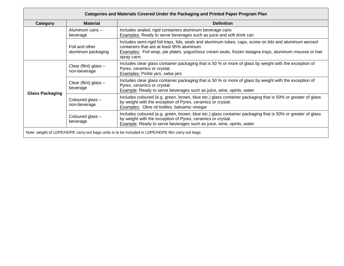| Category               | <b>Material</b>                       | <b>Definition</b>                                                                                                                                                                                                                                                              |
|------------------------|---------------------------------------|--------------------------------------------------------------------------------------------------------------------------------------------------------------------------------------------------------------------------------------------------------------------------------|
|                        | Aluminum cans -<br>beverage           | Includes sealed, rigid containers aluminum beverage cans<br><b>Examples:</b> Ready to serve beverages such as juice and soft drink can                                                                                                                                         |
|                        | Foil and other<br>aluminum packaging  | Includes semi-rigid foil trays, lids, seals and aluminum tubes, caps, screw on lids and aluminum aerosol<br>containers that are at least 95% aluminum<br>Examples: Foil wrap, pie plates, yogurt/sour cream seals, frozen lasagna trays, aluminum mousse or hair<br>spray cans |
|                        | Clear (flint) glass -<br>non-beverage | Includes clear glass container packaging that is 50 % or more of glass by weight with the exception of<br>Pyrex, ceramics or crystal.<br>Examples: Pickle jars, salsa jars                                                                                                     |
|                        | Clear (flint) glass $-$<br>beverage   | Includes clear glass container packaging that is 50 % or more of glass by weight with the exception of<br>Pyrex, ceramics or crystal.<br>Example: Ready to serve beverages such as juice, wine, spirits, water                                                                 |
| <b>Glass Packaging</b> | Coloured glass -<br>non-beverage      | Includes coloured (e.g. green, brown, blue etc.) glass container packaging that is 50% or greater of glass<br>by weight with the exception of Pyrex, ceramics or crystal.<br>Examples: Olive oil bottles, balsamic vinegar                                                     |
|                        | Coloured glass -<br>beverage          | Includes coloured (e.g. green, brown, blue etc.) glass container packaging that is 50% or greater of glass<br>by weight with the exception of Pyrex, ceramics or crystal.<br><b>Example:</b> Ready to serve beverages such as juice, wine, spirits, water                      |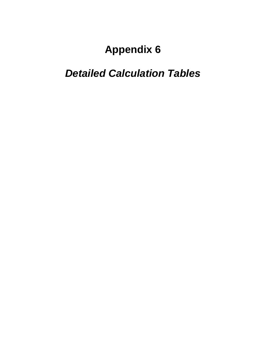# *Detailed Calculation Tables*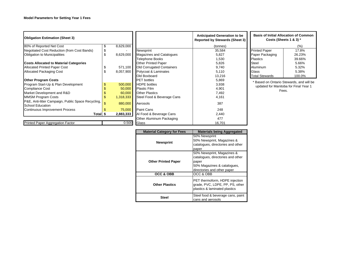| <b>Obligation Estimation (Sheet 3)</b>             |                 |                                  | <b>Anticipated Generation to be</b><br>Reported by Stewards (Sheet 3) | <b>Basis of Initial Allocation of Common</b><br>Costs (Sheets 1 & 3) * |        |
|----------------------------------------------------|-----------------|----------------------------------|-----------------------------------------------------------------------|------------------------------------------------------------------------|--------|
| 80% of Reported Net Cost                           | 8,629,000       |                                  | (tonnes)                                                              |                                                                        | (%)    |
| Negotiated Cost Reduction (from Cost Bands)        |                 | Newsprint                        | 35,584                                                                | <b>Printed Paper</b>                                                   | 17.8%  |
| Obligation to Municipalities                       | \$<br>8,629,000 | <b>Magazines and Catalogues</b>  | 5,827                                                                 | Paper Packaging                                                        | 26.23% |
|                                                    |                 | <b>Telephone Books</b>           | 1,530                                                                 | <b>Plastics</b>                                                        | 39.66% |
| <b>Costs Allocated to Material Categories</b>      |                 | <b>Other Printed Paper</b>       | 5,826                                                                 | <b>Steel</b>                                                           | 5.66%  |
| <b>Allocated Printed Paper Cost</b>                | 571,100         | <b>Old Corrugated Containers</b> | 9,740                                                                 | Aluminum                                                               | 5.32%  |
| <b>Allocated Packaging Cost</b>                    | \$<br>8,057,900 | Polycoat & Laminates             | 5,110                                                                 | Glass                                                                  | 5.38%  |
|                                                    |                 | Old Boxboard                     | 13,216                                                                | <b>Total Stewards</b>                                                  | 100.0% |
| <b>Other Program Costs</b>                         |                 | <b>PET</b> bottles               | 5,869                                                                 | * Based on Ontario Stewards, and will be                               |        |
| Program Start-Up & Plan Development                | 500,000         | <b>HDPE</b> bottles              | 3,938                                                                 | updated for Manitoba for Final Year 1                                  |        |
| <b>Compliance Cost</b>                             | 50,000          | <b>Plastic Film</b>              | 4,901                                                                 | Fees.                                                                  |        |
| Market Development and R&D                         | 60,000          | <b>Other Plastics</b>            | 7,492                                                                 |                                                                        |        |
| <b>MMSM Program Costs</b>                          | 1,318,333       | Steel Food & Beverage Cans       | 4,161                                                                 |                                                                        |        |
| P&E, Anti-litter Campaign, Public Space Recycling, |                 |                                  | 387                                                                   |                                                                        |        |
| School Education                                   | 880,000         | Aerosols                         |                                                                       |                                                                        |        |
| <b>Continuous Improvement Process</b>              | 75,000          | <b>Paint Cans</b>                | 248                                                                   |                                                                        |        |
| Total \$                                           | 2,883,333       | Al Food & Beverage Cans          | 2,440                                                                 |                                                                        |        |
|                                                    |                 | Other Aluminum Packaging         | 477                                                                   |                                                                        |        |
| Printed Paper Aggregation Factor                   | 0.500           | Glass                            | 16,701                                                                |                                                                        |        |

| <b>Material Category for Fees</b> | <b>Materials being Aggregated</b>                                                                                                      |  |  |  |  |  |  |
|-----------------------------------|----------------------------------------------------------------------------------------------------------------------------------------|--|--|--|--|--|--|
| <b>Newsprint</b>                  | 50% Newsprint<br>50% Newsprint, Magazines &<br>catalogues, directories and other<br>paper                                              |  |  |  |  |  |  |
| <b>Other Printed Paper</b>        | 50% Newsprint, Magazines &<br>catalogues, directories and other<br>paper<br>50% Magazines & catalogues,<br>directories and other paper |  |  |  |  |  |  |
| OCC & OBB                         | OCC & OBB                                                                                                                              |  |  |  |  |  |  |
| <b>Other Plastics</b>             | PET thermoform, HDPE injection<br>grade, PVC, LDPE, PP, PS, other<br>plastics & laminated plastics                                     |  |  |  |  |  |  |
| Steel                             | Steel food & beverage cans, paint<br>cans and aerosols                                                                                 |  |  |  |  |  |  |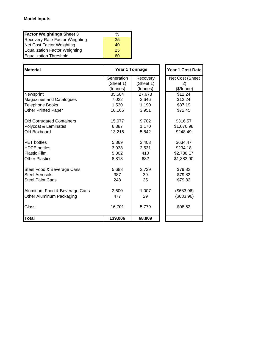| <b>Factor Weightings Sheet 3</b>      | $\%$ |
|---------------------------------------|------|
| <b>Recovery Rate Factor Weighting</b> | 35   |
| Net Cost Factor Weighting             | 40   |
| Equalization Factor Weighting         | 25   |
| <b>Equalization Threshold</b>         | 60   |

| <b>I</b> Material                |            | Year 1 Tonnage | Year 1 Cost Data |
|----------------------------------|------------|----------------|------------------|
|                                  | Generation | Recovery       | Net Cost (Sheet  |
|                                  | (Sheet 1)  | (Sheet 1)      | 2)               |
|                                  | (tonnes)   | (tonnes)       | (\$/tonne)       |
| Newsprint                        | 35,584     | 27,673         | \$12.24          |
| Magazines and Catalogues         | 7,022      | 3,646          | \$12.24          |
| <b>Telephone Books</b>           | 1,530      | 1,190          | \$37.19          |
| <b>Other Printed Paper</b>       | 10,166     | 3,951          | \$72.45          |
| <b>Old Corrugated Containers</b> | 15,077     | 9,702          | \$316.57         |
| Polycoat & Laminates             | 6,387      | 1,170          | \$1,076.98       |
| Old Boxboard                     | 13,216     | 5,842          | \$248.49         |
| <b>PET</b> bottles               | 5,869      | 2,403          | \$634.47         |
| <b>HDPE</b> bottles              | 3,938      | 2,531          | \$234.18         |
| <b>Plastic Film</b>              | 5,302      | 410            | \$2,788.17       |
| <b>Other Plastics</b>            | 8,813      | 682            | \$1,383.90       |
| Steel Food & Beverage Cans       | 5,688      | 2,729          | \$79.82          |
| <b>Steel Aerosols</b>            | 387        | 39             | \$79.82          |
| <b>Steel Paint Cans</b>          | 248        | 25             | \$79.82          |
| Aluminum Food & Beverage Cans    | 2,600      | 1,007          | (\$683.96)       |
| Other Aluminum Packaging         | 477        | 29             | (\$683.96)       |
| Glass                            | 16,701     | 5,779          | \$98.52          |
| <b>Total</b>                     | 139,006    | 68,809         |                  |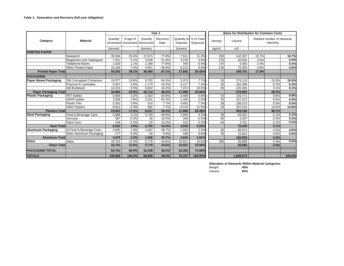|                              |                           |                       |          |                                 | Year 1           |                         | <b>Basis for Distribution for Common Costs</b> |         |                |       |                                          |        |  |
|------------------------------|---------------------------|-----------------------|----------|---------------------------------|------------------|-------------------------|------------------------------------------------|---------|----------------|-------|------------------------------------------|--------|--|
| Category                     | Material                  | Quantity<br>Generated | %'age of | Quantity<br>Generated Recovered | Recovery<br>Rate | Quantity to<br>Disposal | % of Total<br><b>Disposed</b>                  | Density | Volume         |       | Relative number of stewards<br>reporting |        |  |
|                              |                           | (tonnes)              |          | (tonnes)                        |                  | (tonnes)                |                                                | kg/m3   | m <sub>3</sub> |       |                                          |        |  |
| <b>PRINTED PAPER</b>         |                           |                       |          |                                 |                  |                         |                                                |         |                |       |                                          |        |  |
|                              | Newsprint                 | 35,584                | 25.6%    | 27,673                          | 77.8%            | 7,911                   | 11.3%                                          | 250     | 142,337        | 10.7% |                                          | 10.7%  |  |
|                              | Magazines and Catalogues  | 7.022                 | 5.1%     | 3.646                           | 51.9%            | 3,376                   | 4.8%                                           | 275     | 25,535         | 2.0%  |                                          | 2.0%   |  |
|                              | <b>Telephone Books</b>    | 1,530                 | 1.1%     | 1.190                           | 77.8%            | 340                     | 0.5%                                           | 275     | 5,565          | 0.4%  |                                          | 0.4%   |  |
|                              | Other Printed Paper       | 10,166                | 7.3%     | 3,951                           | 38.9%            | 6,215                   | 8.9%                                           | 135     | 75,305         | 4.6%  |                                          | 4.6%   |  |
| <b>Printed Paper Total</b>   |                           | 54,303                | 39.1%    | 36,460                          | 67.1%            | 17,842                  | 25.42%                                         |         | 248,741        | 17.8% |                                          |        |  |
| <b>PACKAGING</b>             |                           |                       |          |                                 |                  |                         |                                                |         |                |       |                                          |        |  |
| <b>Paper Based Packaging</b> | Old Corrugated Containers | 15,077                | 10.8%    | 9.702                           | 64.3%            | 5,375                   | 7.7%                                           | 55      | 274,119        |       | 10.9%                                    | 10.9%  |  |
|                              | Polycoat & Laminates      | 6,387                 | 4.6%     | 1.170                           | 18.3%            | 5,217                   | 7.4%                                           | 35      | 182.498        |       | 6.2%                                     | 6.2%   |  |
|                              | Old Boxboard              | 13,216                | 9.5%     | 5.842                           | 44.2%            | 7,374                   | 10.5%                                          | 60      | 220,266        |       | 9.1%                                     | 9.1%   |  |
| <b>Paper Packaging Total</b> |                           | 34,680                | 24.9%    | 16,714                          | 48.2%            | 17,966                  | 25.59%                                         |         | 676,883        |       | 26.2%                                    |        |  |
| <b>Plastic Packaging</b>     | <b>PET</b> bottles        | 5,869                 | 4.2%     | 2,403                           | 40.9%            | 3,466                   | 4.9%                                           | 25      | 234,771        |       | 9.9%                                     | 9.9%   |  |
|                              | <b>HDPE</b> bottles       | 3,938                 | 2.8%     | 2,531                           | 64.3%            | 1,406                   | 2.0%                                           | 25      | 157,513        |       | 6.6%                                     | 6.6%   |  |
|                              | <b>Plastic Film</b>       | 5,302                 | 3.8%     | 410                             | 7.7%             | 4.892                   | 7.0%                                           | 28      | 189.373        |       | 8.3%                                     | 8.3%   |  |
|                              | <b>Other Plastics</b>     | 8,813                 | 6.3%     | 682                             | 7.7%             | 8,132                   | 11.6%                                          | 25      | 352.532        |       | 14.8%                                    | 14.8%  |  |
| <b>Plastics Total</b>        |                           | 23,923                | 17.2%    | 6.027                           | 25.2%            | 17,896                  | 25.49%                                         |         | 934,190        |       | 39.7%                                    |        |  |
| <b>Steel Packaging</b>       | Food & Beverage Cans      | 5,688                 | 4.1%     | 2,729                           | 48.0%            | 2,959                   | 4.2%                                           | 90      | 63,201         |       | 5.1%                                     | 5.1%   |  |
|                              | Aerosols                  | 387                   | 0.3%     | 39                              | 10.0%            | 348                     | 0.5%                                           | 90      | 4.297          |       | 0.3%                                     | 0.3%   |  |
|                              | Paint Cans                | 248                   | 0.2%     | 25                              | 10.0%            | 223                     | 0.3%                                           | 90      | 2.751          |       | 0.2%                                     | 0.2%   |  |
| <b>Steel Total</b>           |                           | 6,322                 | 4.5%     | 2,793                           | 44.2%            | 3,530                   | 5.03%                                          |         | 70,249         |       | 5.7%                                     |        |  |
| <b>Aluminum Packaging</b>    | Al Food & Beverage Cans   | 2,600                 | 1.9%     | 1,007                           | 38.7%            | 1,593                   | 2.3%                                           | 30      | 86,674         |       | 4.5%                                     | 4.5%   |  |
|                              | Other Aluminum Packaging  | 477                   | 0.3%     | 29                              | 6.0%             | 448                     | 0.6%                                           | 30      | 15,910         |       | 0.8%                                     | 0.8%   |  |
| <b>Aluminum Total</b>        |                           | 3.078                 | 2.2%     | 1.036                           | 33.7%            | 2.042                   | 2.91%                                          |         | 102.583        |       | 5.3%                                     |        |  |
| <b>Glass</b>                 | Glass                     | 16,701                | 12.0%    | 5,779                           | 34.6%            | 10,921                  | 15.6%                                          | 300     | 55,669         |       | 5.4%                                     | 5.4%   |  |
| <b>Glass Total</b>           |                           | 16,701                | 12.0%    | 5.779                           | 34.6%            | 10,921                  | 15.56%                                         | 55,669  |                |       | 5.4%                                     |        |  |
| <b>PACKAGING TOTAL</b>       |                           | 84,703                | 60.9%    | 32,348                          | 38.2%            | 52,355                  | 74.58%                                         |         |                |       |                                          |        |  |
| <b>TOTALS</b>                |                           | 139,006               | 100.0%   | 68.809                          | 49.5%            | 70,197                  | 100.00%                                        |         | 1,839,574      |       |                                          | 100.0% |  |

**Allocation of Stewards Within Material Categories**

| Weight | 40% |
|--------|-----|
| Volume | 60% |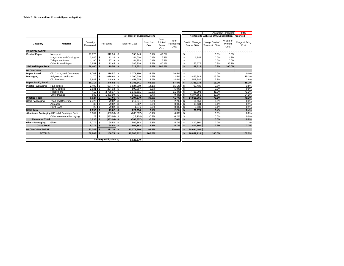|                            |                                            |                       |                          |                        |            |                                   |                  |                                    |                           |               |                               |                                                | <b>Assumed Threshold</b>    | 60%                   |
|----------------------------|--------------------------------------------|-----------------------|--------------------------|------------------------|------------|-----------------------------------|------------------|------------------------------------|---------------------------|---------------|-------------------------------|------------------------------------------------|-----------------------------|-----------------------|
|                            |                                            |                       |                          |                        |            | <b>Net Cost of Current System</b> |                  |                                    |                           |               |                               | Net Cost to Achieve 60% Equalization Threshold |                             |                       |
| Category                   | <b>Material</b>                            | Quantity<br>Recovered |                          | Per-tonne              |            | <b>Total Net Cost</b>             | % of Net<br>Cost | $%$ of<br>Printed<br>Paper<br>Cost | % of<br>Packaging<br>Cost |               | Cost to Manage<br>Rest of 60% | %'age Cost of<br>Tonnes to 60%                 | %'age of<br>Printed<br>Cost | %'age of Pckg<br>Cost |
| <b>PRINTED PAPER</b>       |                                            |                       |                          |                        |            |                                   |                  |                                    |                           |               |                               |                                                |                             |                       |
| <b>Printed Paper</b>       | Newsprint                                  | 27.673                |                          | \$12.24                | S          | 338.743                           | 3.1%             | 47.5%                              |                           | \$            |                               | 0.0%                                           | 0.0%                        |                       |
|                            | Magazines and Catalogues                   | $3.646$ S             |                          | 12.24                  | \$         | 44.630                            | 0.4%             | 6.3%                               |                           | <sup>\$</sup> | 6,944                         | 0.0%                                           | 4.3%                        |                       |
|                            | Telephone Books                            | 1.190                 | l s                      | 37.19                  | \$         | 44.253                            | 0.4%             | 6.2%                               |                           | \$            |                               | 0.0%                                           | 0.0%                        |                       |
|                            | Other Printed Paper                        | 3.951                 | l s                      | 72.45                  | \$         | 286.226                           | 2.7%             | 40.1%                              |                           | \$            | 155.675                       | 0.8%                                           | 95.7%                       |                       |
| <b>Printed Paper Total</b> |                                            | 36,460                |                          | $19.58$ \ \$           |            | 713,852                           | 6.6%             | 100.0%                             |                           | \$.           | 162,619                       | 0.9%                                           | 100.0%                      |                       |
| <b>PACKAGING</b>           |                                            |                       |                          |                        |            |                                   |                  |                                    |                           |               |                               |                                                |                             |                       |
| <b>Paper Based</b>         | Old Corrugated Containers                  | $9.702$ S             |                          | 316.57                 | \$         | 3,071,190                         | 28.5%            |                                    | 30.5%                     | \$            |                               | 0.0%                                           |                             | 0.0%                  |
| Packaging                  | Polycoat & Laminates                       | 1,170                 | $\sqrt{s}$               | 1,076.98               | \$         | 1,260,516                         | 11.7%            |                                    | 12.5%                     | \$            | 2,866,948                     | 15.2%                                          |                             | 15.3%                 |
|                            | Old Boxboard                               | $5,842$ \$            |                          | 248.49                 | \$         | 1.451.635                         | 13.5%            |                                    | 14.4%                     | \$            | 518.786                       | 2.8%                                           |                             | 2.8%                  |
| Paper Pack'g Total         |                                            | 16.714                | $\mathsf{ls}$            | $346.02$ \$            |            | 5,783,341                         | 53.6%            |                                    | 57.4%                     | \$            | 3,385,734                     | 18.0%                                          |                             | 18.1%                 |
| <b>Plastic Packaging</b>   | PET bottles                                | 2,403                 | $\sqrt{s}$               | 634.47                 | ٦s         | 1,524,900                         | 14.1%            |                                    | 15.1%                     | \$            | 709,436                       | 3.8%                                           |                             | 3.8%                  |
|                            | <b>HDPE</b> bottles                        | 2.531                 | $\mathbf{s}$             |                        |            | 592.807                           | 5.5%             |                                    | 5.9%                      | <sup>\$</sup> |                               | 0.0%                                           |                             | 0.0%                  |
|                            | Plastic Film                               | 410                   | Is.                      | 2.788.17               | $\sqrt{s}$ | 1,143,501                         | 10.6%            |                                    | 11.4%                     | \$            | 7,726,993                     | 41.0%                                          |                             | 41.3%                 |
|                            | <b>Other Plastics</b>                      | 682                   | $\overline{\phantom{a}}$ | 1.383.90               | \$         | 943.371                           | 8.7%             |                                    | 9.4%                      | \$            | 6.374.652                     | 33.8%                                          |                             | 34.1%                 |
| <b>Plastics Total</b>      |                                            | 6.027                 | $\mathbf{s}$             | $697.66$ \ \$          |            | 4,204,579                         | 39.0%            |                                    | 41.7%                     | \$.           | 14,811,081                    | 78.5%                                          |                             | 79.2%                 |
| <b>Steel Packaging</b>     | Food and Beverage                          | 2,729                 | Is.                      | 79.82                  | \$         | 217,871                           | 2.0%             |                                    | 2.2%                      | \$            | 54.559                        | 0.3%                                           |                             | 0.3%                  |
|                            | Aerosols                                   | 39                    | Is.                      | 79.82                  | \$         | 3,087                             | 0.0%             |                                    | 0.0%                      | \$            | 15,434                        | 0.1%                                           |                             | 0.1%                  |
|                            | Paint Cans                                 |                       |                          | 79.82                  | \$         | 1.976                             | 0.0%             |                                    | 0.0%                      | \$            | 9.881                         | 0.1%                                           |                             | 0.1%                  |
| <b>Steel Total</b>         |                                            | 2,793                 | l s                      | $79.82$ \ \$           |            | 222,934                           | 2.1%             |                                    | 2.2%                      | $\mathbf{s}$  | 79,874                        | 0.4%                                           |                             | 0.4%                  |
|                            | Aluminum Packaging Al Food & Beverage Cans | 1,007                 | Гs                       | $(683.96)$ \$          |            | (688, 637)                        | $-6.4%$          |                                    | $-6.8%$                   | \$            |                               | 0.0%                                           |                             | 0.0%                  |
|                            | Other Aluminum Packaging                   | 29                    | Ts.                      | $(683.96)$ \$          |            | (19.720)                          | $-0.2%$          |                                    | $-0.2%$                   | \$            | ٠                             | 0.0%                                           |                             | 0.0%                  |
| <b>Aluminum Total</b>      |                                            | $1,036$ \$            |                          | $(683.96)$ \$          |            | (708, 357)                        | $-6.6%$          |                                    | $-7.0%$                   | $\sqrt{2}$    |                               | 0.0%                                           |                             | 0.0%                  |
| <b>Glass Packaging</b>     | Glass                                      | $5.779$ S             |                          | $98.52$ \$             |            | 569.363                           | 5.3%             |                                    | 5.7%                      | \$            | 417.801                       | 2.2%                                           |                             | 2.2%                  |
| <b>Glass Total</b>         |                                            | $5,779$ \ \$          |                          |                        |            | 569,363                           | 5.3%             |                                    | 5.7%                      | $\mathbf{s}$  | 417,801                       | 2.2%                                           |                             | 2.2%                  |
| <b>PACKAGING TOTAL</b>     |                                            | $32,348$ \$           |                          | 311.36                 | Ŝ.         | 10,071,860                        | 93.4%            |                                    | 100.0%                    | Ŝ.            | 18,694,490                    |                                                |                             |                       |
| <b>TOTALS</b>              |                                            | 68,809 \$             |                          | $156.75$ \ \$          |            | 10.785.712                        | 100.0%           |                                    |                           | -96           | 18.857.110                    | 100.0%                                         |                             | 100.0%                |
|                            |                                            |                       |                          |                        |            |                                   |                  |                                    |                           |               |                               |                                                |                             |                       |
|                            |                                            |                       |                          | Industry Obligation \$ |            | 8,628,570                         |                  |                                    |                           |               |                               |                                                |                             |                       |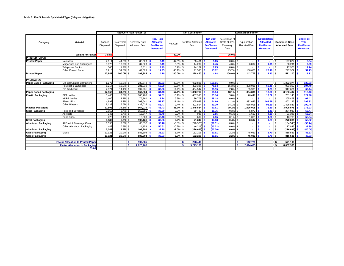|                                           |                           |                    |                        | <b>Recovery Rate Factor (1)</b>              |                                                                              |             | <b>Net Cost Factor</b>    |                                                                             |                                                   | <b>Equalization Factor</b>    |                                                                                 |                                               |                                                                         |
|-------------------------------------------|---------------------------|--------------------|------------------------|----------------------------------------------|------------------------------------------------------------------------------|-------------|---------------------------|-----------------------------------------------------------------------------|---------------------------------------------------|-------------------------------|---------------------------------------------------------------------------------|-----------------------------------------------|-------------------------------------------------------------------------|
| Category                                  | <b>Material</b>           | Tonnes<br>Disposed | % of Total<br>Disposed | <b>Recovery Rate</b><br><b>Allocated Fee</b> | <b>Rec. Rate</b><br><b>Allocated</b><br><b>Fee/Tonne</b><br><b>Generated</b> | Net Cost    | Net Cost Allocated<br>Fee | <b>Net Cost</b><br><b>Allocated</b><br><b>Fee/Tonne</b><br><b>Generated</b> | Percentage of<br>Costs at 60%<br>Recovery<br>Rate | Equalization<br>Allocated Fee | <b>Equalization</b><br><b>Allocated</b><br><b>Fee/Tonne</b><br><b>Generated</b> | <b>Combined Base</b><br><b>Allocated Fees</b> | <b>Base Fee</b><br><b>Total</b><br><b>Fee/Tonne</b><br><b>Generated</b> |
|                                           | <b>Weight for Factor</b>  | 35.0%              |                        |                                              |                                                                              | 40.0%       |                           |                                                                             | 25.0%                                             |                               |                                                                                 |                                               |                                                                         |
| <b>PRINTED PAPER</b>                      |                           |                    |                        |                                              |                                                                              |             |                           |                                                                             |                                                   |                               |                                                                                 |                                               |                                                                         |
| <b>Printed Paper</b>                      | Newsprint                 | 7,911              | 44.3%                  | 88,623                                       | 2.49                                                                         | 47.5%       | 108,401                   | 3.05                                                                        | 0.0%                                              |                               | $\blacksquare$                                                                  | 197,024<br>S                                  | 5.54                                                                    |
|                                           | Magazines and Catalogues  | 3,376              | 18.9%                  | 37,823                                       | 6.49                                                                         | $6.3\%$ \$  | $14,282$ \$               | 2.45                                                                        | 4.3%                                              | 6,097<br>S.                   | 1.05                                                                            | 58,201<br>S.                                  | 9.99                                                                    |
|                                           | <b>Telephone Books</b>    | 340                | $1.9\%$ \$             | 3,811                                        | 2.49<br>Is.                                                                  | $6.2\%$ \$  | $14,162$ \$               | 9.25                                                                        | 0.0%                                              | -S                            | $\blacksquare$                                                                  | 17,973<br>S                                   | 11.74                                                                   |
|                                           | Other Printed Paper       | 6.215              | 34.8% \$               | 69,629                                       | 11.95                                                                        | $40.1\%$ \$ | $91,595$ \$               | 15.72                                                                       | 95.7%                                             | 136.678<br>\$                 | 23.46                                                                           | 297.902<br>S.                                 | 51.13                                                                   |
| <b>Printed Paper</b>                      |                           | 17.842             | 100.0%                 | 199.885                                      | 4.10                                                                         | 100.0% \$   | 228.440                   | 4.68                                                                        | 100.0%                                            | 142.775<br>-S.                | 2.93                                                                            | 571.100<br>- \$                               | 11.71                                                                   |
|                                           |                           |                    |                        |                                              |                                                                              |             |                           |                                                                             |                                                   |                               |                                                                                 |                                               |                                                                         |
| <b>PACKAGING</b>                          |                           |                    |                        |                                              |                                                                              |             |                           |                                                                             |                                                   |                               |                                                                                 |                                               |                                                                         |
| <b>Paper Based Packaging</b>              | Old Corrugated Containers | 5,375              | 10.3% \$               | 289,542                                      | 29.73                                                                        | 30.5%       | 982,831<br>l \$           | 100.91                                                                      | 0.0%                                              | -S                            | $\sim$                                                                          | 1,272,374<br>\$.                              | 130.63                                                                  |
|                                           | Polycoat & Laminates      | 5,217              | 10.0% \$               | 281.030                                      | 55.00                                                                        | 12.5%       | 403.386<br>\$.            | 78.94                                                                       | 15.3%                                             | \$<br>308.936                 | 60.46                                                                           | S.<br>993.352                                 | 194.40                                                                  |
|                                           | Old Boxboard              | 7.374              | $14.1\%$ \$            | 397.231                                      | 30.06                                                                        | 14.4%       | 464.547<br>\$.            | 35.15                                                                       | 2.8%                                              | 55,903<br>£.                  | 4.23                                                                            | $\mathbf{s}$<br>917.681                       | 69.44                                                                   |
| <b>Paper Based Packaging</b>              |                           | 17,966             | $34.3%$ \$             | 967.804                                      | 34.48                                                                        | 57.4% \$    | 1.850.764                 | 65.94                                                                       | 18.1%                                             | 364.839<br>ŝ.                 | 13.00                                                                           | 3,183,407<br>\$                               | 113.43                                                                  |
| <b>Plastic Packaging</b>                  | <b>PET</b> bottles        | 3,466              | $6.6\%$ \$             | 186,700                                      | 31.81                                                                        | 15.1% \$    | 487,993                   | 83.14                                                                       | 3.8%                                              | 76,447<br>-S                  | 13.02                                                                           | 751,140<br>\$                                 | 127.98                                                                  |
|                                           | <b>HDPE</b> bottles       | 1,406              | $2.7\%$ \$             | 75,760                                       | 19.24                                                                        | 5.9%        | 189,708<br>\$.            | 48.18                                                                       | 0.0%                                              | \$.                           | $\sim$                                                                          | 265,468                                       | 67.41                                                                   |
|                                           | <b>Plastic Film</b>       | 4,892              | 9.3%                   | 263,541                                      | 53.77                                                                        | 11.4%       | 365,939<br><b>S</b>       | 74.66                                                                       | 41.3%                                             | 832.643<br>S.                 | 169.89                                                                          | ,462,123<br>\$.                               | 298.32                                                                  |
|                                           | <b>Other Plastics</b>     | 8.132              | 15.5% \$               | 438.035                                      | 58.47                                                                        | 9.4%        | 301,894<br>\$.            | 40.30                                                                       | 34.1%                                             | $\mathbf{s}$<br>686.918       | 91.69                                                                           | 1.426.847<br>S                                | 190.46                                                                  |
| <b>Plastics Packaging</b>                 |                           | 17.896             | $34.2%$ \$             | 964.036 \$                                   | 43.43                                                                        | $41.7%$ \$  | 1,345,534                 | 60.61                                                                       | 79.2%                                             | 1.596.008<br>ŝ.               | 71.89                                                                           | s.<br>3.905.578                               | 175.93                                                                  |
| <b>Steel Packaging</b>                    | Food and Beverage         | 2,959              | $5.7\%$ \$             | 159,381                                      | 38.30<br>l S                                                                 | $2.2\%$ \$  | 69.722                    | 16.75                                                                       | 0.3%                                              | S.<br>5.879                   | 1.41                                                                            | -S<br>234.983                                 | 56.47                                                                   |
|                                           | Aerosols                  | 348                | $0.7\%$ \$             | 18,747                                       | 48.48<br>l s                                                                 | $0.0\%$ \$  | 988                       | 2.55                                                                        | 0.1%                                              | S.<br>1,663                   | 4.30                                                                            | \$<br>21,398                                  | 55.34                                                                   |
|                                           | Paint Cans                | 223                | $0.4\%$ \$             | 12.003                                       | 48.48                                                                        | 0.0%        | 632                       | 2.55                                                                        | 0.1%                                              | 1.065<br>\$.                  | 4.30                                                                            | 13,700<br>\$.                                 | 55.34                                                                   |
| <b>Steel Packaging</b>                    |                           | 3.530              | $6.7%$ \$              | 190.131                                      | 39.65                                                                        | $2.2%$ \$   | 71.342                    | 14.88                                                                       | 0.4%                                              | 8.607<br>-S                   | 1.79                                                                            | 270.081<br>\$                                 | 56.32                                                                   |
| <b>Aluminum Packaging</b>                 | Al Food & Beverage Cans   | 1,593              | $3.0\%$ \$             | 85,832                                       | 35.18                                                                        | $-6.8%$     | (220, 375)                | (90.31)                                                                     | 0.0%                                              | -S                            | $\sim$                                                                          | (134, 543)<br>\$.                             | (55.14)                                                                 |
|                                           | Other Aluminum Packaging  | 448                | 0.9%                   | 24,158                                       | 50.61                                                                        | $-0.2%$     | \$<br>(6, 311)            | (13.22)                                                                     | 0.0%                                              | \$                            | $\sim$                                                                          | \$<br>17.847                                  | 37.39                                                                   |
| <b>Aluminum Packaging</b>                 |                           | 2,042              | $3.9\%$ \$             | 109,990 \$                                   | 37.70                                                                        | $-7.0\%$ \$ | (226, 686)                | (77.70)                                                                     | $0.0\%$ \$                                        |                               | $\sim$                                                                          | $(116, 696)$ \$<br>\$                         | (40.00)                                                                 |
| <b>Glass Packaging</b>                    | Glass                     | 10,921             | 20.9%                  | 588,304                                      | 35.23                                                                        | 5.7% \$     | 182,206                   | 10.91                                                                       | 2.2%                                              | 45,021                        | 2.70                                                                            | 815,531<br>$\mathbf{s}$                       | 48.83                                                                   |
| <b>Glass Packaging</b>                    |                           | 10,921             | $20.9%$ \$             | 588,304                                      | 35.23                                                                        | $5.7%$ \$   | 182,206                   | 10.91                                                                       | $2.2%$ \$                                         | 45.021                        | $2.70$ S                                                                        | 815,531                                       | 48.83                                                                   |
|                                           |                           |                    |                        |                                              |                                                                              |             |                           |                                                                             |                                                   |                               |                                                                                 |                                               |                                                                         |
| <b>Factor Allocation to Printed Paper</b> |                           |                    |                        | \$.<br>199.885                               |                                                                              |             | 228,440<br>s.             |                                                                             |                                                   | 142.775<br>s.                 |                                                                                 | 571.100<br>Ŝ.                                 |                                                                         |
| <b>Factor Allocation to Packaging</b>     |                           |                    |                        | 2,820,265                                    |                                                                              |             | s<br>3,223,160            |                                                                             |                                                   | \$.<br>2,014,475              |                                                                                 | 8,057,900<br>\$                               |                                                                         |
|                                           | <b>Total</b>              |                    |                        |                                              |                                                                              |             |                           |                                                                             |                                                   |                               |                                                                                 |                                               |                                                                         |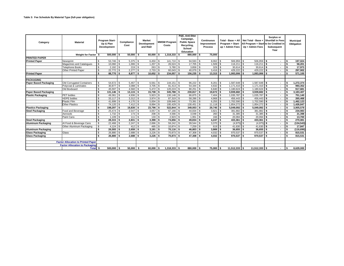| Category                     | <b>Material</b>                           | Program Start-<br>Up & Plan<br>Development |            | Compliance<br>Cost |            | <b>Market</b><br><b>Development</b><br>and R&D |             | <b>MMSM Program</b><br>Costs |                | P&E, Anti-litter<br>Campaign,<br><b>Public Space</b><br>Recycling,<br>School<br>Education |               |                          | Continuous<br>Improvement<br><b>Process</b> | Program + Start-<br>up + Admin Fees |     | Total - Base + All   Net Total - Base + Shortfall in Fees<br>All Program + Start to be Credited in<br>Up + Admin Fees |                | Surplus or<br>Subsequent<br>Year |    | <b>Municipal</b><br>Obligation |  |
|------------------------------|-------------------------------------------|--------------------------------------------|------------|--------------------|------------|------------------------------------------------|-------------|------------------------------|----------------|-------------------------------------------------------------------------------------------|---------------|--------------------------|---------------------------------------------|-------------------------------------|-----|-----------------------------------------------------------------------------------------------------------------------|----------------|----------------------------------|----|--------------------------------|--|
|                              | <b>Weight for Factor</b>                  |                                            | 500.000 \$ |                    | 50,000     | ŝ.                                             | 60.000      |                              | $1,318,333$ \$ |                                                                                           | 880,000 \$    |                          | 75,000                                      |                                     |     |                                                                                                                       |                |                                  |    |                                |  |
| <b>PRINTED PAPER</b>         |                                           |                                            |            |                    |            |                                                |             |                              |                |                                                                                           |               |                          |                                             |                                     |     |                                                                                                                       |                |                                  |    |                                |  |
| <b>Printed Paper</b>         | Newsprint                                 | \$                                         | 53,746     | S                  | $5,375$ \$ |                                                | $6,450$ \$  |                              | 141,710        | $\mathbf{s}$                                                                              | $94,593$ \$   |                          | 8,062                                       | 506.959                             | -S  | 506.959                                                                                                               |                |                                  |    | 197,024                        |  |
|                              | Magazines and Catalogues                  | \$                                         | 10.060     | \$                 | 1,006      | S                                              | $1,207$ \$  |                              | 26,524         | s.                                                                                        | $17,705$ \ \$ |                          | 1,509                                       | 116,211 \$                          |     | 116,211                                                                                                               | l s            |                                  |    | 58,201                         |  |
|                              | <b>Telephone Books</b>                    | s.                                         | 2,192      | \$                 | 219        | -S                                             | $263$ \$    |                              | 5,780          | s.                                                                                        | $3,858$ \$    |                          | 329                                         | $30,614$ \$                         |     | $30,614$ \$                                                                                                           |                |                                  |    | 17,973                         |  |
|                              | Other Printed Paper                       | \$                                         | 22,772     | \$.                | $2,277$ \$ |                                                | $2,733$ \$  |                              | $60,043$ \$    |                                                                                           | 40,079 \$     |                          | $3,416$ \$                                  | 429.222                             | l s | 429.222                                                                                                               | l s            |                                  |    | 297,902                        |  |
| <b>Printed Paper</b>         |                                           | Ŝ.                                         | 88.770 \$  |                    | 8,877 \$   |                                                | $10,652$ \$ |                              | 234,057 \$     |                                                                                           | $156,235$ \$  |                          | $13,315$ \$                                 | $1,083,006$ \$                      |     | $1,083,006$ \$                                                                                                        |                |                                  |    | 571,100                        |  |
| <b>PACKAGING</b>             |                                           |                                            |            |                    |            |                                                |             |                              |                |                                                                                           |               |                          |                                             |                                     |     |                                                                                                                       |                |                                  |    |                                |  |
| <b>Paper Based Packaging</b> | Old Corrugated Containers                 | s.                                         | 54,672     | £.                 | 5,467      |                                                | 6,561       |                              | 144.151        |                                                                                           | $96.222$ \$   |                          | $8,201$ \$                                  | $1,587,648$ \$                      |     | 1.587.648                                                                                                             |                |                                  |    | 1,272,374                      |  |
|                              | Polycoat & Laminates                      | \$                                         | 30,877     | \$                 | 3,088      | S                                              | $3,705$ \$  |                              | 81,413         | $\mathbf{s}$                                                                              | 54,344        | l \$                     | $4,632$ \$                                  | 1,171,410 \$                        |     | $1,171,410$ \$                                                                                                        |                |                                  |    | 993,352                        |  |
|                              | Old Boxboard                              | \$.                                        | 45,597     | \$.                | 4,560      | \$.                                            | $5,472$ \$  |                              | 120,224        | -S                                                                                        | $80,251$ \$   |                          | 6,840                                       | 1,180,624<br>-S                     | l s | 1,180,624 \$                                                                                                          |                |                                  |    | 917,681                        |  |
| <b>Paper Based Packaging</b> |                                           | \$                                         | 131,146    | \$                 | 13,115     | Ŝ.                                             | $15,738$ \$ |                              | $345,788$ \$   |                                                                                           | 230,817 \$    |                          | $19,672$ \$                                 | 3,939,682                           | l s | 3,939,682 \$                                                                                                          |                |                                  |    | 3,183,407                      |  |
| <b>Plastic Packaging</b>     | <b>PET</b> bottles                        | \$.                                        | 49,361     | \$                 | 4,936      | S                                              | $5,923$ \$  |                              | $130,148$ \$   |                                                                                           | 86,875 \$     |                          | 7,404                                       | 1,035,787<br>l \$                   | l s | 1,035,787                                                                                                             | l s            |                                  |    | 751,140                        |  |
|                              | <b>HDPE</b> bottles                       | s.                                         | 33.117     | \$.                | 3,312      | $\mathcal{S}$                                  | $3,974$ \$  |                              | 87,319         | \$.                                                                                       | 58,286        | l \$                     | 4,968                                       | 456,443<br>\$.                      |     | 456,443 \$                                                                                                            |                | $\overline{\phantom{a}}$         |    | 265,468                        |  |
|                              | <b>Plastic Film</b>                       | s.                                         | 41,699     | \$                 | 4,170      | S                                              | $5,004$ \$  |                              | 109,948        | \$                                                                                        | 73,391 \$     |                          | 6,255                                       | 1,702,590                           |     | 1,702,590                                                                                                             | l s            |                                  |    | 1,462,123                      |  |
|                              | <b>Other Plastics</b>                     | s.                                         | 74,120     | \$                 | 7,412      | S                                              | 8,894 \$    |                              | 195,429        | \$                                                                                        | 130,451       | $\overline{\phantom{a}}$ | $11,118$ \$                                 | 1,854,272                           | l S | 1,854,272 \$                                                                                                          |                |                                  |    | 1,426,847                      |  |
| <b>Plastics Packaging</b>    |                                           | \$                                         | 198.297    | \$                 | 19,830     | Ŝ.                                             | $23,796$ \$ |                              | 522,844        | \$                                                                                        | $349,003$ \$  |                          | 29,745                                      | $5,049,092$ \$<br>l \$              |     | $5.049.092$ \$                                                                                                        |                |                                  |    | 3,905,578                      |  |
| <b>Steel Packaging</b>       | Food and Beverage                         | \$                                         | 25,474     | \$                 | 2,547      | \$                                             | $3,057$ \$  |                              | 67,166         | \$                                                                                        | 44,834 \$     |                          | $3,821$ \$                                  | 381,882                             | l s | 381,882 \$                                                                                                            |                |                                  |    | 234,983                        |  |
|                              | Aerosols                                  | \$                                         | 1,732      | \$                 | 173S       |                                                | 208 \$      |                              | 4,566          | \$.                                                                                       | $3,048$ \$    |                          | 260                                         | $31,385$ \$<br>l \$                 |     | 31,385                                                                                                                |                |                                  |    | 21,398                         |  |
|                              | Paint Cans                                | \$                                         | 1,109      | \$.                | 111        | \$.                                            | 133S        |                              | 2,923          | \$                                                                                        | $1,951$ \$    |                          | 166                                         | 20,094                              |     | 20,094                                                                                                                | $\blacksquare$ |                                  |    | 13,700                         |  |
| <b>Steel Packaging</b>       |                                           | \$                                         | 28,315     | \$                 | 2,831      | s.                                             | $3,398$ \$  |                              | 74,656         | l \$                                                                                      | $49,834$ \$   |                          | 4,247                                       | 433,361<br>$\cdot$ S                | ŝ.  | $433,361$ \$                                                                                                          |                |                                  | -9 | 270,081                        |  |
| <b>Aluminum Packaging</b>    | Al Food & Beverage Cans                   | \$                                         | 22.468     | \$.                | 2,247      | \$.                                            | $2,696$ \$  |                              | 59.242         | \$.                                                                                       | 39,544 \$     |                          | 3,370                                       | (4,975)                             | \$. | $(4,975)$ \$                                                                                                          |                |                                  |    | (134, 543)                     |  |
|                              | Other Aluminum Packaging                  | $\mathbb{S}$                               | 4,124      | \$.                | 412        | $\mathbf{s}$                                   | 495 \$      |                              | $10,874$ \$    |                                                                                           | $7,259$ \$    |                          | 619 S                                       | 41,630                              | \$. | $41.630$ \$                                                                                                           |                |                                  |    | 17,847                         |  |
| <b>Aluminum Packaging</b>    |                                           | \$                                         | 26.593     | \$                 | $2,659$ \$ |                                                | $3.191$ S   |                              | $70.116$ S     |                                                                                           | $46.803$ \$   |                          | 3,989                                       | $36.655$ \$                         |     | $36.655$ \ \$                                                                                                         |                |                                  |    | (116, 696)                     |  |
| <b>Glass Packaging</b>       | Glass                                     | \$                                         | 26.880     | \$.                | 2,688      | - \$                                           |             |                              | 70.873 \$      |                                                                                           | 47.308 \$     |                          | 4,032                                       | 970.537                             | l s | 970.537 \$                                                                                                            |                |                                  |    | 815,531                        |  |
| <b>Glass Packaging</b>       |                                           | \$                                         | 26.880     | \$                 | 2,688      | -S                                             | $3,226$ \$  |                              | 70,873 \$      |                                                                                           | 47,308 \$     |                          | $4,032$ \$                                  | 970,537 \$                          |     | 970,537 \$                                                                                                            |                |                                  |    | 815,531                        |  |
|                              |                                           |                                            |            |                    |            |                                                |             |                              |                |                                                                                           |               |                          |                                             |                                     |     |                                                                                                                       |                |                                  |    |                                |  |
|                              | <b>Factor Allocation to Printed Paper</b> |                                            |            |                    |            |                                                |             |                              |                |                                                                                           |               |                          |                                             |                                     |     |                                                                                                                       |                |                                  |    |                                |  |
|                              | <b>Factor Allocation to Packaging</b>     |                                            |            |                    |            |                                                |             |                              |                |                                                                                           |               |                          |                                             |                                     |     |                                                                                                                       |                |                                  |    |                                |  |
|                              | Total \$                                  |                                            | 500,000 \$ |                    | 50,000     | - \$                                           | 60,000 \$   |                              | $1,318,333$ \$ |                                                                                           | 880.000 \$    |                          | 75,000 \$                                   | $11,512,333$ \$                     |     | $11,512,333$ \$                                                                                                       |                |                                  |    | 8,629,000                      |  |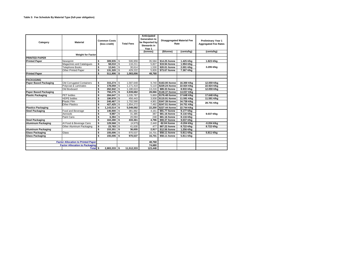| Category                                  | <b>Material</b>                               |    | <b>Common Costs</b><br>(less credit) |    | <b>Total Fees</b> | Anticipated<br><b>Generation to</b><br>be Reported by<br>Stewards in<br>Year 1 | <b>Disaggregated Material Fee</b><br>Rate |               | <b>Preliminary Year 1</b><br><b>Aggregated Fee Rates</b> |  |  |
|-------------------------------------------|-----------------------------------------------|----|--------------------------------------|----|-------------------|--------------------------------------------------------------------------------|-------------------------------------------|---------------|----------------------------------------------------------|--|--|
|                                           |                                               |    |                                      |    |                   | (tonnes)                                                                       | (\$/tonne)                                | (cents/kg)    | (cents/kg)                                               |  |  |
|                                           | <b>Weight for Factor</b>                      |    |                                      |    |                   |                                                                                |                                           |               |                                                          |  |  |
| <b>PRINTED PAPER</b>                      |                                               |    |                                      |    |                   |                                                                                |                                           |               |                                                          |  |  |
| <b>Printed Paper</b>                      | Newsprint                                     | \$ | 309.935                              | \$ | 506.959           | 35.584                                                                         | \$14.25 /tonne                            | 1.425 ¢/kg    | 1.823 ¢/kg                                               |  |  |
|                                           | Magazines and Catalogues                      | \$ | $58,010$ \$                          |    | 116.211           | 5.827                                                                          | \$19.94 /tonne                            | 1.994 ¢/kg    |                                                          |  |  |
|                                           | <b>Telephone Books</b><br>Other Printed Paper |    | $12,641$ \$                          |    | 30.614            | 1,530                                                                          | \$20.01 /tonne                            | 2.001 ¢/kg    | 3.295 ¢/kg                                               |  |  |
|                                           |                                               |    | 131,320 \$                           |    | 429.222           | 5.826                                                                          | \$73.67 /tonne                            | 7.367 ¢/kg    |                                                          |  |  |
| <b>Printed Paper</b>                      |                                               |    | 511.906 \$                           |    | 1.083.006         | 48.768                                                                         |                                           |               |                                                          |  |  |
|                                           |                                               |    |                                      |    |                   |                                                                                |                                           |               |                                                          |  |  |
| <b>PACKAGING</b>                          |                                               |    |                                      |    |                   |                                                                                |                                           |               |                                                          |  |  |
| <b>Paper Based Packaging</b>              | Old Corrugated Containers                     | \$ | 315,274 \$                           |    | 1,587,648         | 9,740                                                                          | \$163.00 /tonne                           | 16.300 ¢/kg   | 12.059 ¢/kg                                              |  |  |
|                                           | Polycoat & Laminates                          | \$ | 178.059 \$                           |    | 1,171,410         | 5.110                                                                          | \$229.24 /tonne                           | 22.924 ¢/kg   | 22.924 ¢/kg                                              |  |  |
|                                           | Old Boxboard                                  | \$ | 262.942 \$                           |    | 1.180.624         | 13.216                                                                         | \$89.33 /tonne                            | 8.933 ¢/kg    | 12.059 ¢/kg                                              |  |  |
| <b>Paper Based Packaging</b>              |                                               | \$ | 756.275 \$                           |    | 3.939.682         | 28.066                                                                         | \$140.37 /tonne                           | 14.037 ¢/kg   |                                                          |  |  |
| <b>Plastic Packaging</b>                  | <b>PET</b> bottles                            | \$ | 284,647 \$                           |    | 1.035.787         | 5,869                                                                          | \$176.48 /tonne                           | 17.648 ¢/kg   | 17.648 ¢/kg                                              |  |  |
|                                           | <b>HDPE</b> bottles                           | \$ | 190.976 S                            |    | 456.443           | 3,938                                                                          | \$115.91 /tonne                           | 11.591 ¢/kg   | 11.591 ¢/kg                                              |  |  |
|                                           | <b>Plastic Film</b>                           | \$ | 240.467 S                            |    | 1.702.590         | 4.901                                                                          | \$347.39 /tonne                           | 34.739 ¢/kg   | 28.701 ¢/kg                                              |  |  |
|                                           | <b>Other Plastics</b>                         | \$ | 427,425 \$                           |    | 1.854.272         | 7,492                                                                          | \$247.51 /tonne                           | 24.751 ¢/kg   |                                                          |  |  |
| <b>Plastics Packaging</b>                 |                                               | \$ | $1,143,514$ \$                       |    | 5,049,092         | 22,200                                                                         | \$227.44 /tonne                           | 22.744 ¢/kg   |                                                          |  |  |
| <b>Steel Packaging</b>                    | Food and Beverage                             | \$ | $146,900$ \$                         |    | 381.882           | 4,161                                                                          | \$91.77 /tonne                            | 9.177 ¢/kg    |                                                          |  |  |
|                                           | Aerosols                                      | \$ | 9,987                                | \$ | 31.385            | 387                                                                            | \$81.16 /tonne                            | 8.116 ¢/kg    | 9.037 ¢/kg                                               |  |  |
|                                           | Paint Cans                                    | \$ | 6.394                                | \$ | 20.094            | 248                                                                            | \$81.16 /tonne                            | 8.116 ¢/kg    |                                                          |  |  |
| <b>Steel Packaging</b>                    |                                               | \$ | 163.280                              | s. | 433.361           | 4.796                                                                          | \$90.37 /tonne                            | 9.037 ¢/kg    |                                                          |  |  |
| <b>Aluminum Packaging</b>                 | Al Food & Beverage Cans                       | \$ | 129.568                              | \$ | (4.975)           | 2.440                                                                          | -\$2.04 /tonne                            | $-0.204$ ¢/kg | -0.204 ¢/kg                                              |  |  |
|                                           | Other Aluminum Packaging                      | \$ | 23.783                               | \$ | 41.630            | 477                                                                            | \$87.22 /tonne                            | 8.722 ¢/kg    | 8.722 ¢/kg                                               |  |  |
| <b>Aluminum Packaging</b>                 |                                               | \$ | 153.351                              | \$ | 36.655            | 2.917                                                                          | \$12.56 /tonne                            | 1.256 ¢/kg    |                                                          |  |  |
| <b>Glass Packaging</b>                    | Glass                                         | \$ | 155.006                              | \$ | 970.537           | 16.701                                                                         | \$58.11 /tonne                            | 5.811 ¢/kg    | 5.811 ¢/kg                                               |  |  |
| <b>Glass Packaging</b>                    |                                               | \$ | 155.006                              | \$ | 970.537           | 16.701                                                                         | \$58.11 /tonne                            | 5.811 ¢/kg    |                                                          |  |  |
|                                           |                                               |    |                                      |    |                   |                                                                                |                                           |               |                                                          |  |  |
| <b>Factor Allocation to Printed Paper</b> |                                               |    |                                      |    | 48,768            |                                                                                |                                           |               |                                                          |  |  |
| <b>Factor Allocation to Packaging</b>     |                                               |    |                                      |    |                   | 74,680                                                                         |                                           |               |                                                          |  |  |
|                                           | Total \$                                      |    | $2,883,333$ \$                       |    | 11.512.333        | 123.448                                                                        |                                           |               |                                                          |  |  |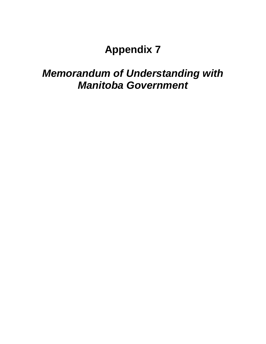# *Memorandum of Understanding with Manitoba Government*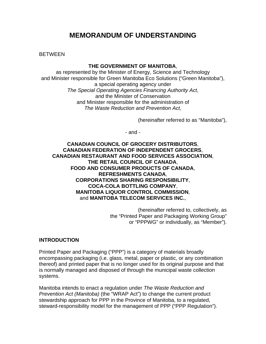## **MEMORANDUM OF UNDERSTANDING**

BETWEEN

### **THE GOVERNMENT OF MANITOBA**,

as represented by the Minister of Energy, Science and Technology and Minister responsible for Green Manitoba Eco Solutions ("Green Manitoba"), a special operating agency under *The Special Operating Agencies Financing Authority Act*, and the Minister of Conservation and Minister responsible for the administration of *The Waste Reduction and Prevention Act*,

(hereinafter referred to as "Manitoba"),

- and -

**CANADIAN COUNCIL OF GROCERY DISTRIBUTORS**, **CANADIAN FEDERATION OF INDEPENDENT GROCERS**, **CANADIAN RESTAURANT AND FOOD SERVICES ASSOCIATION**, **THE RETAIL COUNCIL OF CANADA**, **FOOD AND CONSUMER PRODUCTS OF CANADA**, **REFRESHMENTS CANADA**, **CORPORATIONS SHARING RESPONSIBILITY**, **COCA-COLA BOTTLING COMPANY**, **MANITOBA LIQUOR CONTROL COMMISSION**, and **MANITOBA TELECOM SERVICES INC.**,

> (hereinafter referred to, collectively, as the "Printed Paper and Packaging Working Group" or "PPPWG" or individually, as "Member").

### **INTRODUCTION**

Printed Paper and Packaging ("PPP") is a category of materials broadly encompassing packaging (i.e. glass, metal, paper or plastic, or any combination thereof) and printed paper that is no longer used for its original purpose and that is normally managed and disposed of through the municipal waste collection systems.

Manitoba intends to enact a regulation under *The Waste Reduction and Prevention Act (Manitoba)* (the "WRAP Act") to change the current product stewardship approach for PPP in the Province of Manitoba, to a regulated, steward-responsibility model for the management of PPP ("PPP Regulation").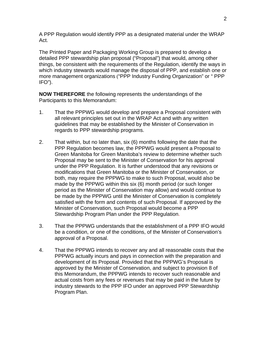A PPP Regulation would identify PPP as a designated material under the WRAP Act.

The Printed Paper and Packaging Working Group is prepared to develop a detailed PPP stewardship plan proposal ("Proposal") that would, among other things, be consistent with the requirements of the Regulation, identify the ways in which industry stewards would manage the disposal of PPP, and establish one or more management organizations ("PPP Industry Funding Organization" or " PPP IFO").

**NOW THEREFORE** the following represents the understandings of the Participants to this Memorandum:

- 1. That the PPPWG would develop and prepare a Proposal consistent with all relevant principles set out in the WRAP Act and with any written guidelines that may be established by the Minister of Conservation in regards to PPP stewardship programs.
- 2. That within, but no later than, six (6) months following the date that the PPP Regulation becomes law, the PPPWG would present a Proposal to Green Manitoba for Green Manitoba's review to determine whether such Proposal may be sent to the Minister of Conservation for his approval under the PPP Regulation. It is further understood that any revisions or modifications that Green Manitoba or the Minister of Conservation, or both, may require the PPPWG to make to such Proposal, would also be made by the PPPWG within this six (6) month period (or such longer period as the Minister of Conservation may allow) and would continue to be made by the PPPWG until the Minister of Conservation is completely satisfied with the form and contents of such Proposal. If approved by the Minister of Conservation, such Proposal would become a PPP Stewardship Program Plan under the PPP Regulation.
- 3. That the PPPWG understands that the establishment of a PPP IFO would be a condition, or one of the conditions, of the Minister of Conservation's approval of a Proposal.
- 4. That the PPPWG intends to recover any and all reasonable costs that the PPPWG actually incurs and pays in connection with the preparation and development of its Proposal. Provided that the PPPWG's Proposal is approved by the Minister of Conservation, and subject to provision 8 of this Memorandum, the PPPWG intends to recover such reasonable and actual costs from any fees or revenues that may be paid in the future by industry stewards to the PPP IFO under an approved PPP Stewardship Program Plan.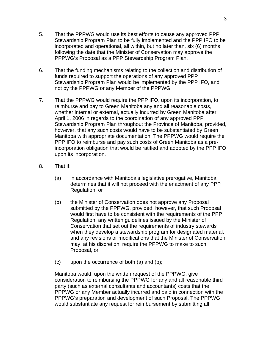- 5. That the PPPWG would use its best efforts to cause any approved PPP Stewardship Program Plan to be fully implemented and the PPP IFO to be incorporated and operational, all within, but no later than, six (6) months following the date that the Minister of Conservation may approve the PPPWG's Proposal as a PPP Stewardship Program Plan.
- 6. That the funding mechanisms relating to the collection and distribution of funds required to support the operations of any approved PPP Stewardship Program Plan would be implemented by the PPP IFO, and not by the PPPWG or any Member of the PPPWG.
- 7. That the PPPWG would require the PPP IFO, upon its incorporation, to reimburse and pay to Green Manitoba any and all reasonable costs, whether internal or external, actually incurred by Green Manitoba after April 1, 2006 in regards to the coordination of any approved PPP Stewardship Program Plan throughout the Province of Manitoba, provided, however, that any such costs would have to be substantiated by Green Manitoba with appropriate documentation. The PPPWG would require the PPP IFO to reimburse and pay such costs of Green Manitoba as a preincorporation obligation that would be ratified and adopted by the PPP IFO upon its incorporation.
- 8. That if:
	- (a) in accordance with Manitoba's legislative prerogative, Manitoba determines that it will not proceed with the enactment of any PPP Regulation, or
	- (b) the Minister of Conservation does not approve any Proposal submitted by the PPPWG, provided, however, that such Proposal would first have to be consistent with the requirements of the PPP Regulation, any written guidelines issued by the Minister of Conservation that set out the requirements of industry stewards when they develop a stewardship program for designated material, and any revisions or modifications that the Minister of Conservation may, at his discretion, require the PPPWG to make to such Proposal, or
	- (c) upon the occurrence of both (a) and (b);

Manitoba would, upon the written request of the PPPWG, give consideration to reimbursing the PPPWG for any and all reasonable third party (such as external consultants and accountants) costs that the PPPWG or any Member actually incurred and paid in connection with the PPPWG's preparation and development of such Proposal. The PPPWG would substantiate any request for reimbursement by submitting all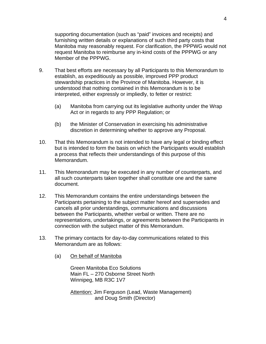supporting documentation (such as "paid" invoices and receipts) and furnishing written details or explanations of such third party costs that Manitoba may reasonably request. For clarification, the PPPWG would not request Manitoba to reimburse any in-kind costs of the PPPWG or any Member of the PPPWG.

- 9. That best efforts are necessary by all Participants to this Memorandum to establish, as expeditiously as possible, improved PPP product stewardship practices in the Province of Manitoba. However, it is understood that nothing contained in this Memorandum is to be interpreted, either expressly or impliedly, to fetter or restrict:
	- (a) Manitoba from carrying out its legislative authority under the Wrap Act or in regards to any PPP Regulation; or
	- (b) the Minister of Conservation in exercising his administrative discretion in determining whether to approve any Proposal.
- 10. That this Memorandum is not intended to have any legal or binding effect but is intended to form the basis on which the Participants would establish a process that reflects their understandings of this purpose of this Memorandum.
- 11. This Memorandum may be executed in any number of counterparts, and all such counterparts taken together shall constitute one and the same document.
- 12. This Memorandum contains the entire understandings between the Participants pertaining to the subject matter hereof and supersedes and cancels all prior understandings, communications and discussions between the Participants, whether verbal or written. There are no representations, undertakings, or agreements between the Participants in connection with the subject matter of this Memorandum.
- 13. The primary contacts for day-to-day communications related to this Memorandum are as follows:
	- (a) On behalf of Manitoba

Green Manitoba Eco Solutions Main FL – 270 Osborne Street North Winnipeg, MB R3C 1V7

Attention: Jim Ferguson (Lead, Waste Management) and Doug Smith (Director)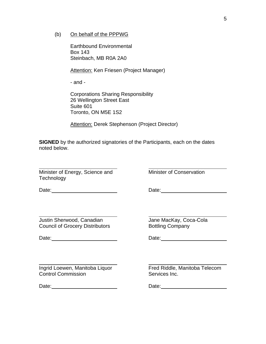(b) On behalf of the PPPWG

Earthbound Environmental Box 143 Steinbach, MB R0A 2A0

Attention: Ken Friesen (Project Manager)

- and -

Corporations Sharing Responsibility 26 Wellington Street East Suite 601 Toronto, ON M5E 1S2

Attention: Derek Stephenson (Project Director)

**SIGNED** by the authorized signatories of the Participants, each on the dates noted below.

Minister of Energy, Science and Minister of Conservation **Technology** 

Date: Date: Date: Date: Date: Date: Date: Date: Date: Date: Date: Date: Date: Date: Date: Date: Date: Date: Date: Date: Date: Date: Date: Date: Date: Date: Date: Date: Date: Date: Date: Date: Date: Date: Date: Date: Date:

Justin Sherwood, Canadian Jane MacKay, Coca-Cola Council of Grocery Distributors **Bottling Company** 

Date: Date: Date: Date: Date: Date: Date: Date: Date: Date: Date: Date: Date: Date: Date: Date: Date: Date: Date: Date: Date: Date: Date: Date: Date: Date: Date: Date: Date: Date: Date: Date: Date: Date: Date: Date: Date:

l Ingrid Loewen, Manitoba Liquor Fred Riddle, Manitoba Telecom **Control Commission** Control Commission Control Commission

Date: Date:

 $\overline{a}$ 

 $\overline{a}$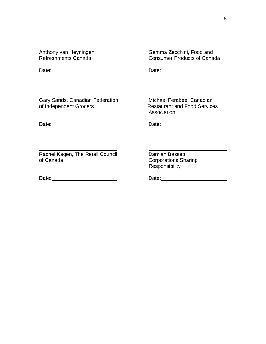$\overline{a}$ 

Anthony van Heyningen, and and Gemma Zecchini, Food and Refreshments Canada **Consumer Products of Canada** 

Date: Date: Date: Date: Date: Date: Date: Date: Date: Date: Date: Date: Date: Date: Date: Date: Date: Date: Date: Date: Date: Date: Date: Date: Date: Date: Date: Date: Date: Date: Date: Date: Date: Date: Date: Date: Date:

 $\overline{a}$ Gary Sands, Canadian Federation Michael Ferabee, Canadian<br>
of Independent Grocers **Exercise Exercise Exercise Exercise Exercise Exercise Exercise Exercise Exercise Exercise Exercise Exerci** 

**Restaurant and Food Services** Association

Date: Date: Date: Date: Date: Date: Date: Date: Date: Date: Date: Date: Date: Date: Date: Date: Date: Date: Date: Date: Date: Date: Date: Date: Date: Date: Date: Date: Date: Date: Date: Date: Date: Date: Date: Date: Date:

 $\overline{a}$ Rachel Kagen, The Retail Council **Damian Bassett,** of Canada **Corporations** Sharing

Date: Date:

**Responsibility**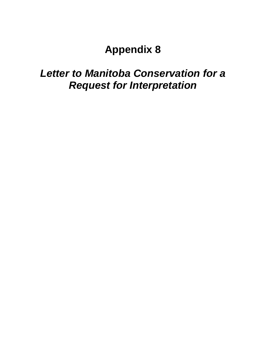## **Appendix 8**

# *Letter to Manitoba Conservation for a Request for Interpretation*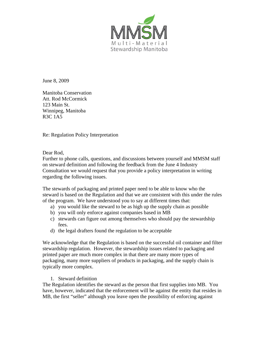

June 8, 2009

Manitoba Conservation Att. Rod McCormick 123 Main St. Winnipeg, Manitoba R3C 1A5

Re: Regulation Policy Interpretation

Dear Rod,

Further to phone calls, questions, and discussions between yourself and MMSM staff on steward definition and following the feedback from the June 4 Industry Consultation we would request that you provide a policy interpretation in writing regarding the following issues.

The stewards of packaging and printed paper need to be able to know who the steward is based on the Regulation and that we are consistent with this under the rules of the program. We have understood you to say at different times that:

- a) you would like the steward to be as high up the supply chain as possible
- b) you will only enforce against companies based in MB
- c) stewards can figure out among themselves who should pay the stewardship fees.
- d) the legal drafters found the regulation to be acceptable

We acknowledge that the Regulation is based on the successful oil container and filter stewardship regulation. However, the stewardship issues related to packaging and printed paper are much more complex in that there are many more types of packaging, many more suppliers of products in packaging, and the supply chain is typically more complex.

1. Steward definition

The Regulation identifies the steward as the person that first supplies into MB. You have, however, indicated that the enforcement will be against the entity that resides in MB, the first "seller" although you leave open the possibility of enforcing against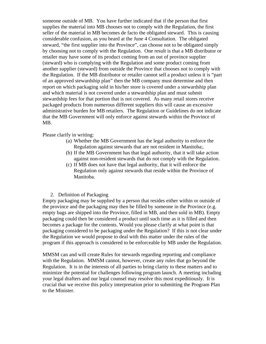someone outside of MB. You have further indicated that if the person that first supplies the material into MB chooses not to comply with the Regulation, the first seller of the material in MB becomes de facto the obligated steward. This is causing considerable confusion, as you heard at the June 4 Consultation. The obligated steward, "the first supplier into the Province", can choose not to be obligated simply by choosing not to comply with the Regulation. One result is that a MB distributor or retailer may have some of its product coming from an out of province supplier (steward) who is complying with the Regulation and some product coming from another supplier (steward) from outside the Province that chooses not to comply with the Regulation. If the MB distributor or retailer cannot sell a product unless it is "part of an approved stewardship plan" then the MB company must determine and then report on which packaging sold in his/her store is covered under a stewardship plan and which material is not covered under a stewardship plan and must submit stewardship fees for that portion that is not covered. As many retail stores receive packaged products from numerous different suppliers this will cause an excessive administrative burden for MB retailers. The Regulation or Guidelines do not indicate that the MB Government will only enforce against stewards within the Province of MB.

Please clarify in writing:

- (a) Whether the MB Government has the legal authority to enforce the Regulation against stewards that are not resident in Manitoba;.
- (b) If the MB Government has that legal authority, that it will take action against non-resident stewards that do not comply with the Regulation.
- (c) If MB does not have that legal authority, that it will enforce the Regulation only against stewards that reside within the Province of Manitoba.

### 2. Definition of Packaging

Empty packaging may be supplied by a person that resides either within or outside of the province and the packaging may then be filled by someone in the Province (e.g. empty bags are shipped into the Province, filled in MB, and then sold in MB). Empty packaging could then be considered a product until such time as it is filled and then becomes a package for the contents. Would you please clarify at what point is that packaging considered to be packaging under the Regulation? If this is not clear under the Regulation we would propose to deal with this matter under the rules of the program if this approach is considered to be enforceable by MB under the Regulation.

MMSM can and will create Rules for stewards regarding reporting and compliance with the Regulation. MMSM cannot, however, create any rules that go beyond the Regulation. It is in the interests of all parties to bring clarity to these matters and to minimize the potential for challenges following program launch. A meeting including your legal drafters and our legal counsel may resolve this most expeditiously. It is crucial that we receive this policy interpretation prior to submitting the Program Plan to the Minister.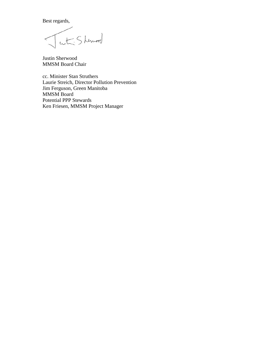Best regards,

cet Sherwood

Justin Sherwood MMSM Board Chair

cc. Minister Stan Struthers Laurie Streich, Director Pollution Prevention Jim Ferguson, Green Manitoba MMSM Board Potential PPP Stewards Ken Friesen, MMSM Project Manager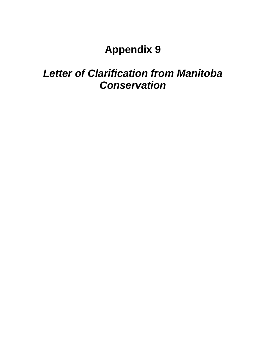# **Appendix 9**

# *Letter of Clarification from Manitoba Conservation*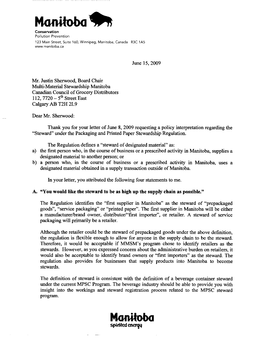

Conservation **Pollution Prevention** 123 Main Street, Suite 160, Winnipeg, Manitoba, Canada R3C 1A5 www.manitoba.ca

June 15, 2009

Mr. Justin Sherwood, Board Chair Multi-Material Stewardship Manitoba **Canadian Council of Grocery Distributors** 112,  $7720 - 5$ <sup>th</sup> Street East Calgary AB T2H 2L9

Dear Mr. Sherwood:

Thank you for your letter of June 8, 2009 requesting a policy interpretation regarding the "Steward" under the Packaging and Printed Paper Stewardship Regulation.

The Regulation defines a "steward of designated material" as:

- a) the first person who, in the course of business or a prescribed activity in Manitoba, supplies a designated material to another person; or
- b) a person who, in the course of business or a prescribed activity in Manitoba, uses a designated material obtained in a supply transaction outside of Manitoba.

In your letter, you attributed the following four statements to me.

### A. "You would like the steward to be as high up the supply chain as possible."

The Regulation identifies the "first supplier in Manitoba" as the steward of "prepackaged" goods", "service packaging" or "printed paper". The first supplier in Manitoba will be either a manufacturer/brand owner, distributor/"first importer", or retailer. A steward of service packaging will primarily be a retailer.

Although the retailer could be the steward of prepackaged goods under the above definition, the regulation is flexible enough to allow for anyone in the supply chain to be the steward. Therefore, it would be acceptable if MMSM's program chose to identify retailers as the stewards. However, as you expressed concern about the administrative burden on retailers, it would also be acceptable to identify brand owners or "first importers" as the steward. The regulation also provides for businesses that supply products into Manitoba to become stewards.

The definition of steward is consistent with the definition of a beverage container steward under the current MPSC Program. The beverage industry should be able to provide you with insight into the workings and steward registration process related to the MPSC steward program.